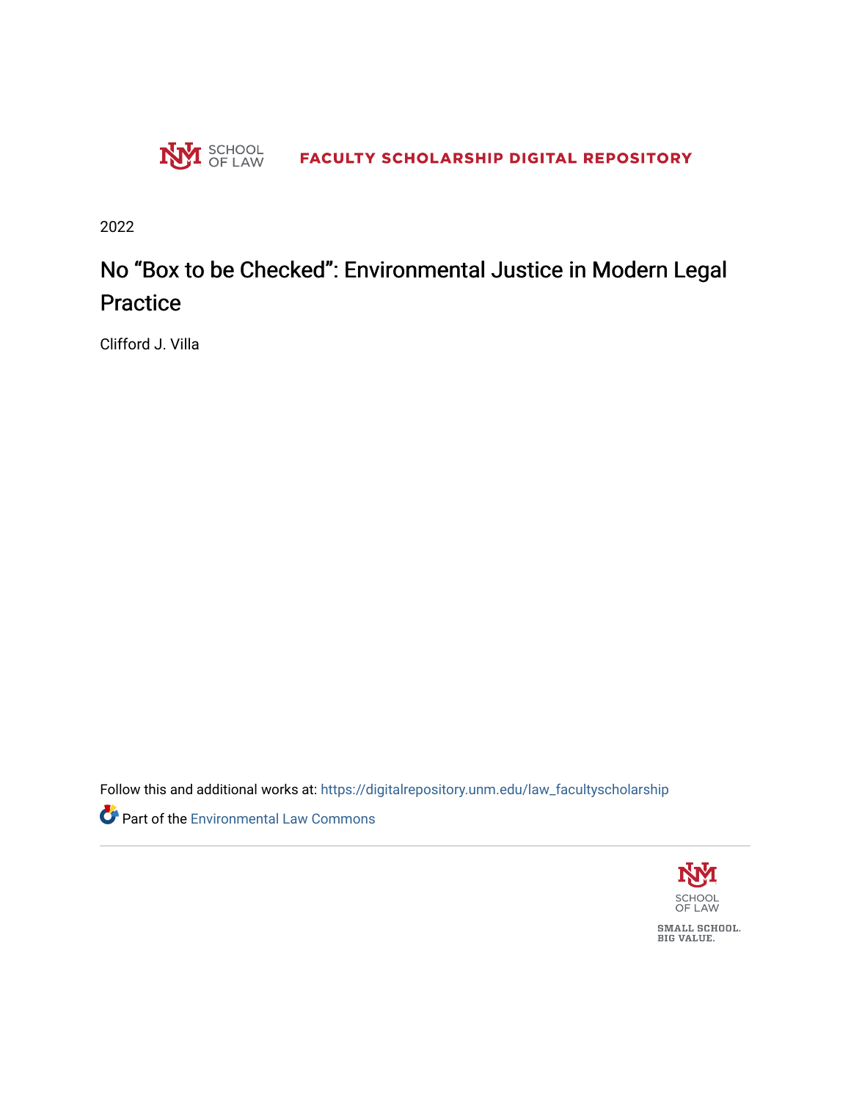

2022

# No "Box to be Checked": Environmental Justice in Modern Legal **Practice**

Clifford J. Villa

Follow this and additional works at: [https://digitalrepository.unm.edu/law\\_facultyscholarship](https://digitalrepository.unm.edu/law_facultyscholarship?utm_source=digitalrepository.unm.edu%2Flaw_facultyscholarship%2F892&utm_medium=PDF&utm_campaign=PDFCoverPages) 

Part of the [Environmental Law Commons](http://network.bepress.com/hgg/discipline/599?utm_source=digitalrepository.unm.edu%2Flaw_facultyscholarship%2F892&utm_medium=PDF&utm_campaign=PDFCoverPages)

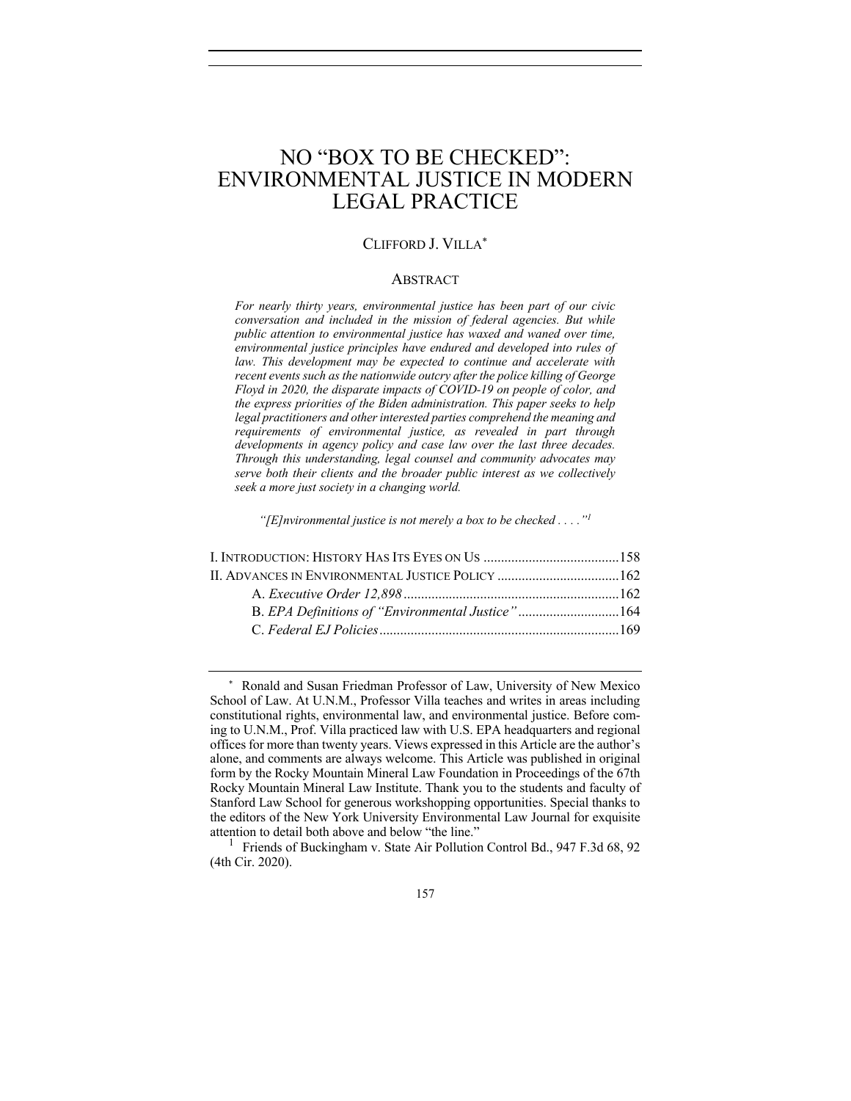# NO "BOX TO BE CHECKED": ENVIRONMENTAL JUSTICE IN MODERN LEGAL PRACTICE

#### CLIFFORD J. VILLA\*

#### ABSTRACT

*For nearly thirty years, environmental justice has been part of our civic conversation and included in the mission of federal agencies. But while public attention to environmental justice has waxed and waned over time, environmental justice principles have endured and developed into rules of law. This development may be expected to continue and accelerate with recent events such as the nationwide outcry after the police killing of George Floyd in 2020, the disparate impacts of COVID-19 on people of color, and the express priorities of the Biden administration. This paper seeks to help legal practitioners and other interested parties comprehend the meaning and requirements of environmental justice, as revealed in part through developments in agency policy and case law over the last three decades. Through this understanding, legal counsel and community advocates may serve both their clients and the broader public interest as we collectively seek a more just society in a changing world.*

*"[E]nvironmental justice is not merely a box to be checked . . . ."1*

<sup>\*</sup> Ronald and Susan Friedman Professor of Law, University of New Mexico School of Law. At U.N.M., Professor Villa teaches and writes in areas including constitutional rights, environmental law, and environmental justice. Before coming to U.N.M., Prof. Villa practiced law with U.S. EPA headquarters and regional offices for more than twenty years. Views expressed in this Article are the author's alone, and comments are always welcome. This Article was published in original form by the Rocky Mountain Mineral Law Foundation in Proceedings of the 67th Rocky Mountain Mineral Law Institute. Thank you to the students and faculty of Stanford Law School for generous workshopping opportunities. Special thanks to the editors of the New York University Environmental Law Journal for exquisite attention to detail both above and below "the line."

<sup>1</sup> Friends of Buckingham v. State Air Pollution Control Bd., 947 F.3d 68, 92 (4th Cir. 2020).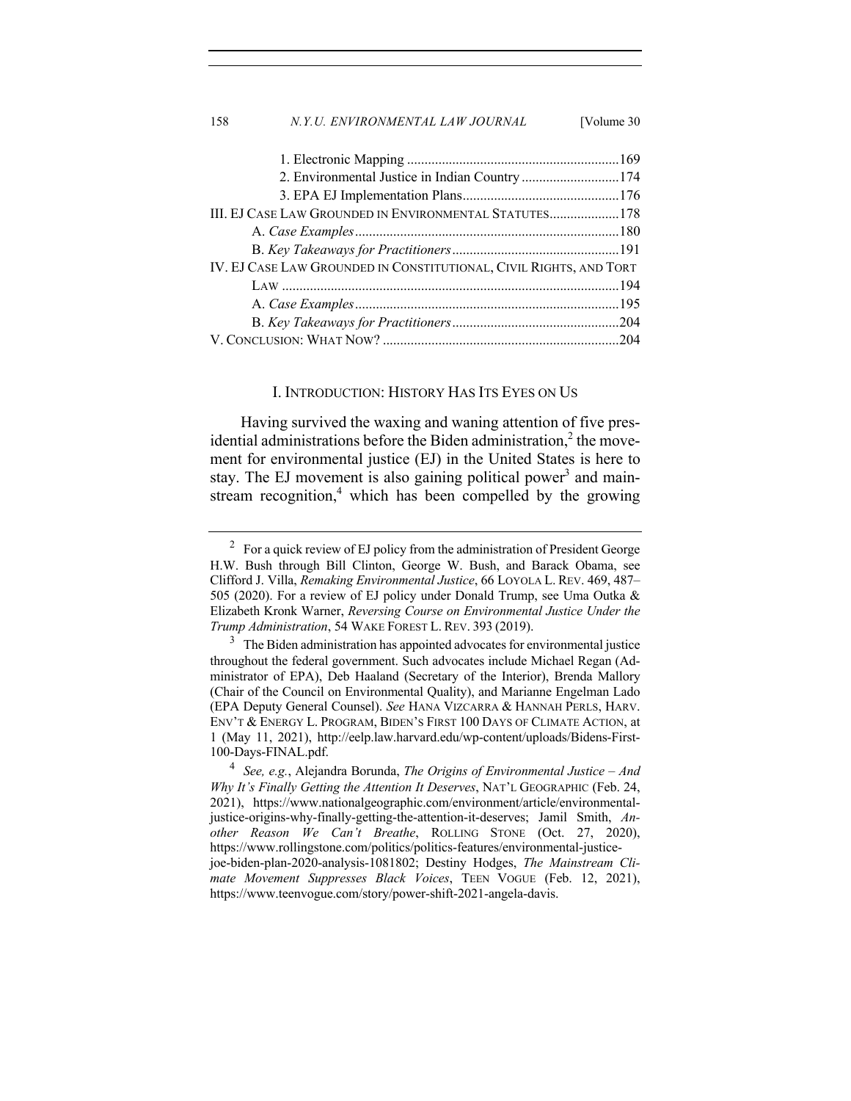| 158 | N.Y.U. ENVIRONMENTAL LAW JOURNAL                                   | [Volume 30] |
|-----|--------------------------------------------------------------------|-------------|
|     |                                                                    |             |
|     |                                                                    |             |
|     |                                                                    |             |
|     |                                                                    |             |
|     | III. EJ CASE LAW GROUNDED IN ENVIRONMENTAL STATUTES178             |             |
|     |                                                                    |             |
|     |                                                                    |             |
|     | IV. EJ CASE LAW GROUNDED IN CONSTITUTIONAL, CIVIL RIGHTS, AND TORT |             |
|     |                                                                    |             |
|     |                                                                    |             |
|     |                                                                    |             |
|     |                                                                    |             |

#### I. INTRODUCTION: HISTORY HAS ITS EYES ON US

Having survived the waxing and waning attention of five presidential administrations before the Biden administration, $<sup>2</sup>$  the move-</sup> ment for environmental justice (EJ) in the United States is here to stay. The EJ movement is also gaining political power<sup>3</sup> and mainstream recognition, $4$  which has been compelled by the growing

 $2 \text{ For a quick review of EJ policy from the administration of President George}$ H.W. Bush through Bill Clinton, George W. Bush, and Barack Obama, see Clifford J. Villa, *Remaking Environmental Justice*, 66 LOYOLA L. REV. 469, 487– 505 (2020). For a review of EJ policy under Donald Trump, see Uma Outka & Elizabeth Kronk Warner, *Reversing Course on Environmental Justice Under the Trump Administration*, 54 WAKE FOREST L. REV. 393 (2019).

<sup>&</sup>lt;sup>3</sup> The Biden administration has appointed advocates for environmental justice throughout the federal government. Such advocates include Michael Regan (Administrator of EPA), Deb Haaland (Secretary of the Interior), Brenda Mallory (Chair of the Council on Environmental Quality), and Marianne Engelman Lado (EPA Deputy General Counsel). *See* HANA VIZCARRA & HANNAH PERLS, HARV. ENV'T & ENERGY L. PROGRAM, BIDEN'S FIRST 100 DAYS OF CLIMATE ACTION, at 1 (May 11, 2021), http://eelp.law.harvard.edu/wp-content/uploads/Bidens-First-100-Days-FINAL.pdf.

<sup>4</sup> *See, e.g.*, Alejandra Borunda, *The Origins of Environmental Justice – And Why It's Finally Getting the Attention It Deserves*, NAT'L GEOGRAPHIC (Feb. 24, 2021), https://www.nationalgeographic.com/environment/article/environmentaljustice-origins-why-finally-getting-the-attention-it-deserves; Jamil Smith, *Another Reason We Can't Breathe*, ROLLING STONE (Oct. 27, 2020), https://www.rollingstone.com/politics/politics-features/environmental-justicejoe-biden-plan-2020-analysis-1081802; Destiny Hodges, *The Mainstream Climate Movement Suppresses Black Voices*, TEEN VOGUE (Feb. 12, 2021), https://www.teenvogue.com/story/power-shift-2021-angela-davis.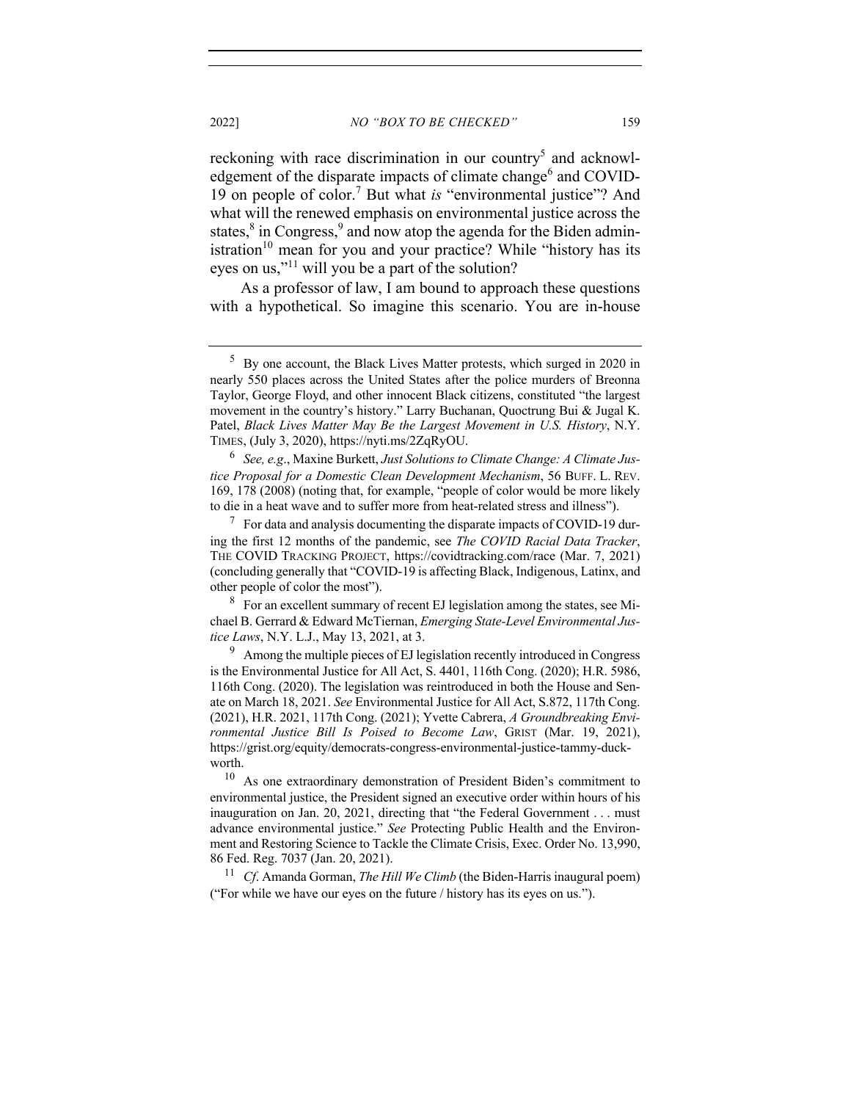reckoning with race discrimination in our country<sup>5</sup> and acknowledgement of the disparate impacts of climate change $<sup>6</sup>$  and COVID-</sup> 19 on people of color.<sup>7</sup> But what *is* "environmental justice"? And what will the renewed emphasis on environmental justice across the states, $8 \text{ in Congress}, 9 \text{ and now atop the agenda for the Biden admin-}$ istration<sup>10</sup> mean for you and your practice? While "history has its eyes on us,"<sup>11</sup> will you be a part of the solution?

As a professor of law, I am bound to approach these questions with a hypothetical. So imagine this scenario. You are in-house

<sup>6</sup> *See, e.g*., Maxine Burkett, *Just Solutions to Climate Change: A Climate Justice Proposal for a Domestic Clean Development Mechanism*, 56 BUFF. L. REV. 169, 178 (2008) (noting that, for example, "people of color would be more likely to die in a heat wave and to suffer more from heat-related stress and illness").

 $7\;$  For data and analysis documenting the disparate impacts of COVID-19 during the first 12 months of the pandemic, see *The COVID Racial Data Tracker*, THE COVID TRACKING PROJECT, https://covidtracking.com/race (Mar. 7, 2021) (concluding generally that "COVID-19 is affecting Black, Indigenous, Latinx, and other people of color the most").

<sup>8</sup> For an excellent summary of recent EJ legislation among the states, see Michael B. Gerrard & Edward McTiernan, *Emerging State-Level Environmental Justice Laws*, N.Y. L.J., May 13, 2021, at 3.

<sup>9</sup> Among the multiple pieces of EJ legislation recently introduced in Congress is the Environmental Justice for All Act, S. 4401, 116th Cong. (2020); H.R. 5986, 116th Cong. (2020). The legislation was reintroduced in both the House and Senate on March 18, 2021. *See* Environmental Justice for All Act, S.872, 117th Cong. (2021), H.R. 2021, 117th Cong. (2021); Yvette Cabrera, *A Groundbreaking Environmental Justice Bill Is Poised to Become Law*, GRIST (Mar. 19, 2021), https://grist.org/equity/democrats-congress-environmental-justice-tammy-duckworth.

<sup>10</sup> As one extraordinary demonstration of President Biden's commitment to environmental justice, the President signed an executive order within hours of his inauguration on Jan. 20, 2021, directing that "the Federal Government . . . must advance environmental justice." *See* Protecting Public Health and the Environment and Restoring Science to Tackle the Climate Crisis, Exec. Order No. 13,990, 86 Fed. Reg. 7037 (Jan. 20, 2021).

<sup>11</sup> *Cf*. Amanda Gorman, *The Hill We Climb* (the Biden-Harris inaugural poem) ("For while we have our eyes on the future / history has its eyes on us.").

<sup>&</sup>lt;sup>5</sup> By one account, the Black Lives Matter protests, which surged in 2020 in nearly 550 places across the United States after the police murders of Breonna Taylor, George Floyd, and other innocent Black citizens, constituted "the largest movement in the country's history." Larry Buchanan, Quoctrung Bui & Jugal K. Patel, *Black Lives Matter May Be the Largest Movement in U.S. History*, N.Y. TIMES, (July 3, 2020), https://nyti.ms/2ZqRyOU.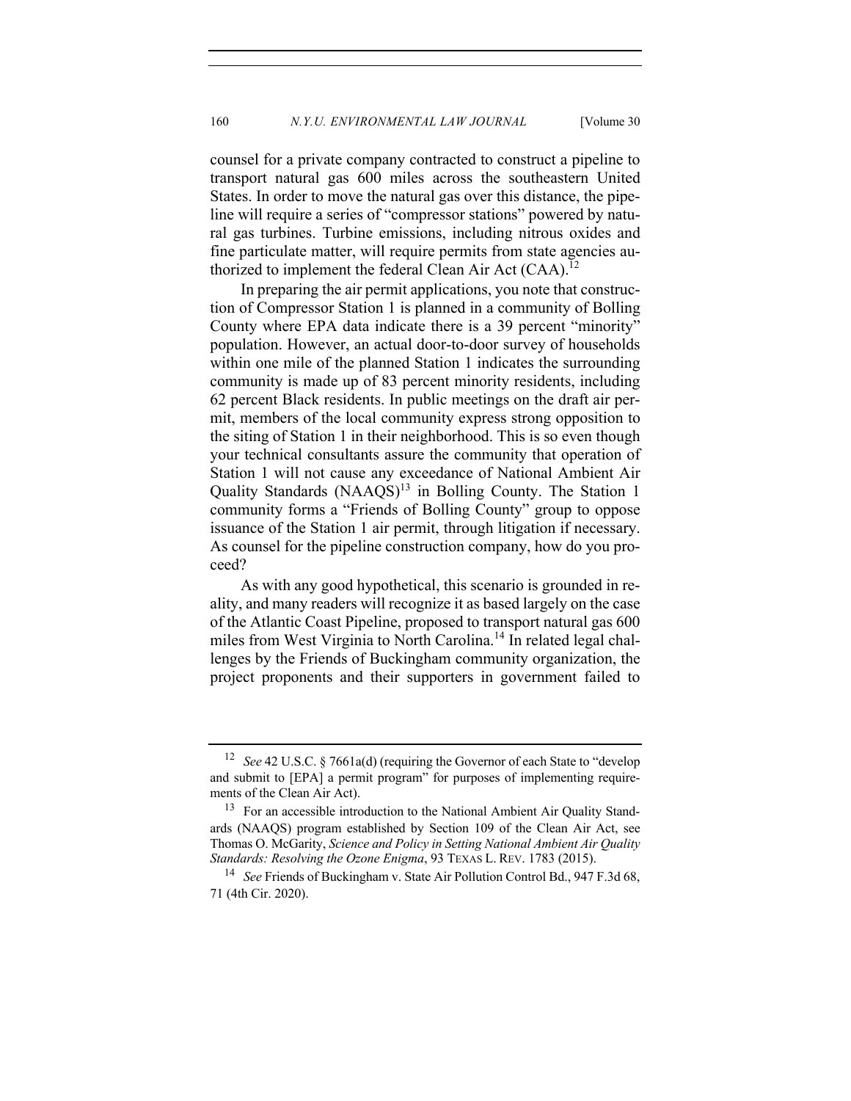counsel for a private company contracted to construct a pipeline to transport natural gas 600 miles across the southeastern United States. In order to move the natural gas over this distance, the pipeline will require a series of "compressor stations" powered by natural gas turbines. Turbine emissions, including nitrous oxides and fine particulate matter, will require permits from state agencies authorized to implement the federal Clean Air Act  $(CAA)$ .<sup>12</sup>

In preparing the air permit applications, you note that construction of Compressor Station 1 is planned in a community of Bolling County where EPA data indicate there is a 39 percent "minority" population. However, an actual door-to-door survey of households within one mile of the planned Station 1 indicates the surrounding community is made up of 83 percent minority residents, including 62 percent Black residents. In public meetings on the draft air permit, members of the local community express strong opposition to the siting of Station 1 in their neighborhood. This is so even though your technical consultants assure the community that operation of Station 1 will not cause any exceedance of National Ambient Air Quality Standards (NAAQS)<sup>13</sup> in Bolling County. The Station 1 community forms a "Friends of Bolling County" group to oppose issuance of the Station 1 air permit, through litigation if necessary. As counsel for the pipeline construction company, how do you proceed?

As with any good hypothetical, this scenario is grounded in reality, and many readers will recognize it as based largely on the case of the Atlantic Coast Pipeline, proposed to transport natural gas 600 miles from West Virginia to North Carolina.<sup>14</sup> In related legal challenges by the Friends of Buckingham community organization, the project proponents and their supporters in government failed to

<sup>12</sup> *See* 42 U.S.C. § 7661a(d) (requiring the Governor of each State to "develop and submit to [EPA] a permit program" for purposes of implementing requirements of the Clean Air Act).

<sup>&</sup>lt;sup>13</sup> For an accessible introduction to the National Ambient Air Quality Standards (NAAQS) program established by Section 109 of the Clean Air Act, see Thomas O. McGarity, *Science and Policy in Setting National Ambient Air Quality Standards: Resolving the Ozone Enigma*, 93 TEXAS L. REV. 1783 (2015).

<sup>14</sup> *See* Friends of Buckingham v. State Air Pollution Control Bd., 947 F.3d 68, 71 (4th Cir. 2020).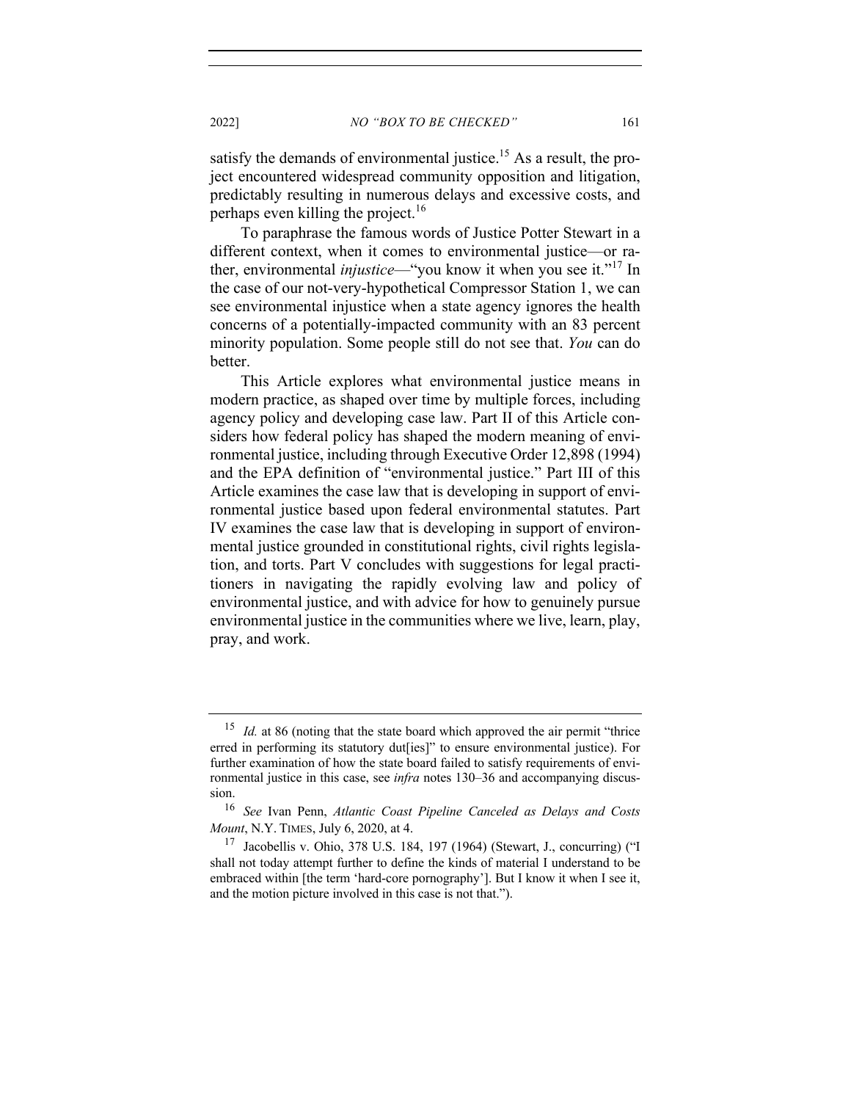2022] *NO "BOX TO BE CHECKED"* 161

satisfy the demands of environmental justice.<sup>15</sup> As a result, the project encountered widespread community opposition and litigation, predictably resulting in numerous delays and excessive costs, and perhaps even killing the project.<sup>16</sup>

To paraphrase the famous words of Justice Potter Stewart in a different context, when it comes to environmental justice—or rather, environmental *injustice*—"you know it when you see it."<sup>17</sup> In the case of our not-very-hypothetical Compressor Station 1, we can see environmental injustice when a state agency ignores the health concerns of a potentially-impacted community with an 83 percent minority population. Some people still do not see that. *You* can do better.

This Article explores what environmental justice means in modern practice, as shaped over time by multiple forces, including agency policy and developing case law. Part II of this Article considers how federal policy has shaped the modern meaning of environmental justice, including through Executive Order 12,898 (1994) and the EPA definition of "environmental justice." Part III of this Article examines the case law that is developing in support of environmental justice based upon federal environmental statutes. Part IV examines the case law that is developing in support of environmental justice grounded in constitutional rights, civil rights legislation, and torts. Part V concludes with suggestions for legal practitioners in navigating the rapidly evolving law and policy of environmental justice, and with advice for how to genuinely pursue environmental justice in the communities where we live, learn, play, pray, and work.

<sup>&</sup>lt;sup>15</sup> *Id.* at 86 (noting that the state board which approved the air permit "thrice erred in performing its statutory dut[ies]" to ensure environmental justice). For further examination of how the state board failed to satisfy requirements of environmental justice in this case, see *infra* notes 130–36 and accompanying discussion.

<sup>16</sup> *See* Ivan Penn, *Atlantic Coast Pipeline Canceled as Delays and Costs Mount*, N.Y. TIMES, July 6, 2020, at 4.

 $17$  Jacobellis v. Ohio, 378 U.S. 184, 197 (1964) (Stewart, J., concurring) ("I shall not today attempt further to define the kinds of material I understand to be embraced within [the term 'hard-core pornography']. But I know it when I see it, and the motion picture involved in this case is not that.").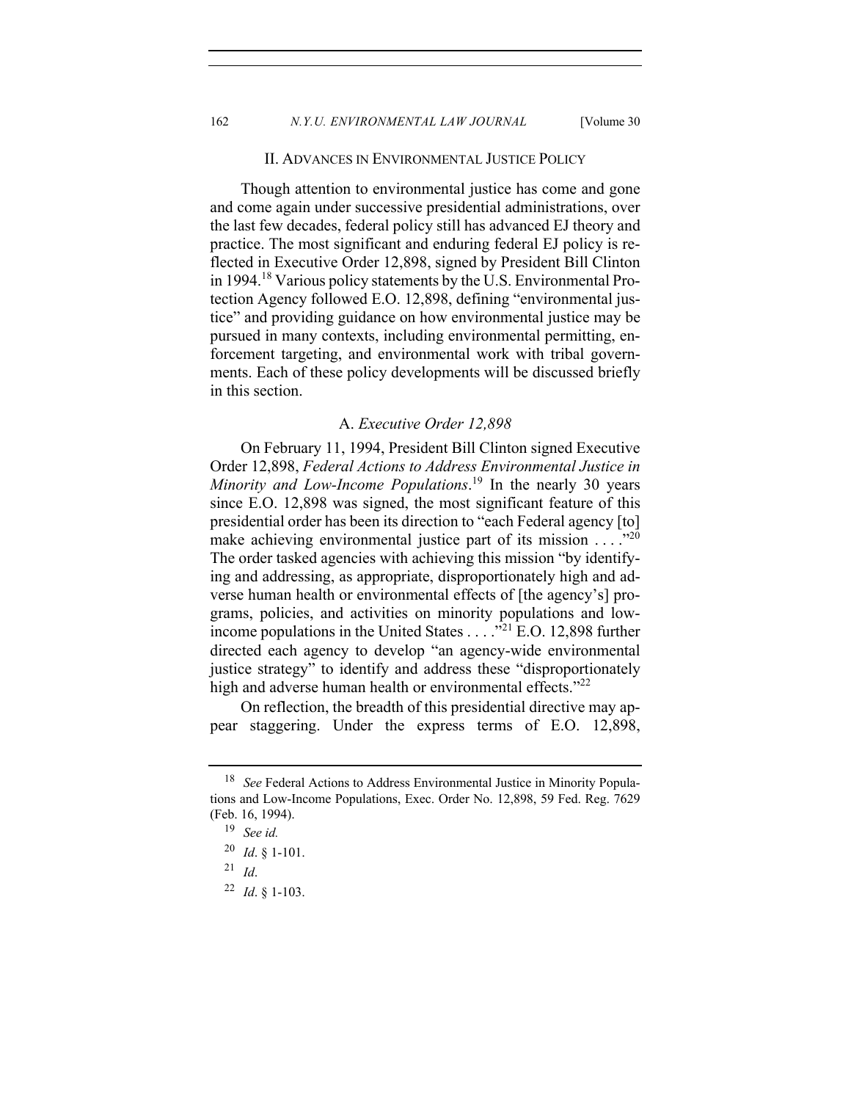162 *N.Y.U. ENVIRONMENTAL LAW JOURNAL* [Volume 30

#### II. ADVANCES IN ENVIRONMENTAL JUSTICE POLICY

Though attention to environmental justice has come and gone and come again under successive presidential administrations, over the last few decades, federal policy still has advanced EJ theory and practice. The most significant and enduring federal EJ policy is reflected in Executive Order 12,898, signed by President Bill Clinton in 1994.18 Various policy statements by the U.S. Environmental Protection Agency followed E.O. 12,898, defining "environmental justice" and providing guidance on how environmental justice may be pursued in many contexts, including environmental permitting, enforcement targeting, and environmental work with tribal governments. Each of these policy developments will be discussed briefly in this section.

# A. *Executive Order 12,898*

On February 11, 1994, President Bill Clinton signed Executive Order 12,898, *Federal Actions to Address Environmental Justice in Minority and Low-Income Populations*. <sup>19</sup> In the nearly 30 years since E.O. 12,898 was signed, the most significant feature of this presidential order has been its direction to "each Federal agency [to] make achieving environmental justice part of its mission  $\dots$ ." The order tasked agencies with achieving this mission "by identifying and addressing, as appropriate, disproportionately high and adverse human health or environmental effects of [the agency's] programs, policies, and activities on minority populations and lowincome populations in the United States . . . ."<sup>21</sup> E.O. 12,898 further directed each agency to develop "an agency-wide environmental justice strategy" to identify and address these "disproportionately high and adverse human health or environmental effects."<sup>22</sup>

On reflection, the breadth of this presidential directive may appear staggering. Under the express terms of E.O. 12,898,

<sup>18</sup> *See* Federal Actions to Address Environmental Justice in Minority Populations and Low-Income Populations, Exec. Order No. 12,898, 59 Fed. Reg. 7629 (Feb. 16, 1994).

<sup>19</sup> *See id.*

<sup>20</sup> *Id*. § 1-101.

 $21$  *Id.* 

<sup>22</sup> *Id*. § 1-103.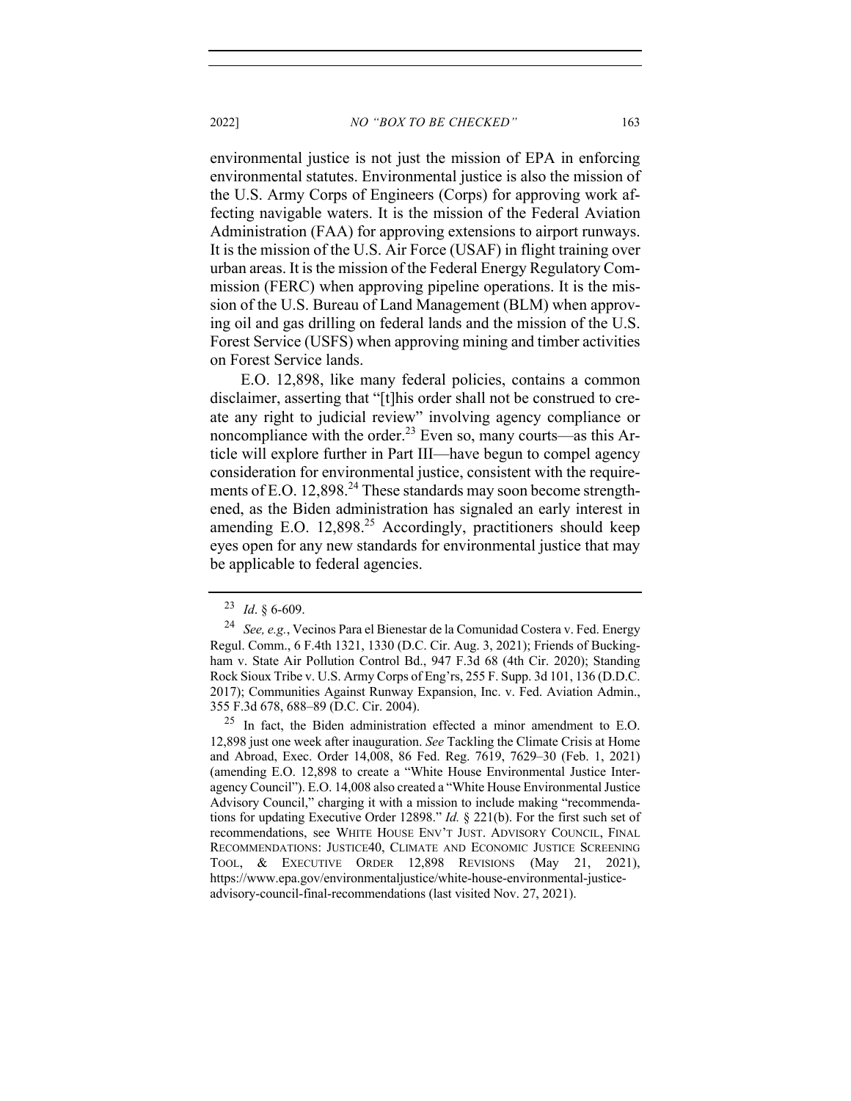2022] *NO "BOX TO BE CHECKED"* 163

environmental justice is not just the mission of EPA in enforcing environmental statutes. Environmental justice is also the mission of the U.S. Army Corps of Engineers (Corps) for approving work affecting navigable waters. It is the mission of the Federal Aviation Administration (FAA) for approving extensions to airport runways. It is the mission of the U.S. Air Force (USAF) in flight training over urban areas. It is the mission of the Federal Energy Regulatory Commission (FERC) when approving pipeline operations. It is the mission of the U.S. Bureau of Land Management (BLM) when approving oil and gas drilling on federal lands and the mission of the U.S. Forest Service (USFS) when approving mining and timber activities on Forest Service lands.

E.O. 12,898, like many federal policies, contains a common disclaimer, asserting that "[t]his order shall not be construed to create any right to judicial review" involving agency compliance or noncompliance with the order.<sup>23</sup> Even so, many courts—as this Article will explore further in Part III—have begun to compel agency consideration for environmental justice, consistent with the requirements of E.O. 12,898.<sup>24</sup> These standards may soon become strengthened, as the Biden administration has signaled an early interest in amending E.O.  $12,898^{25}$  Accordingly, practitioners should keep eyes open for any new standards for environmental justice that may be applicable to federal agencies.

<sup>23</sup> *Id*. § 6-609.

<sup>24</sup> *See, e.g.*, Vecinos Para el Bienestar de la Comunidad Costera v. Fed. Energy Regul. Comm., 6 F.4th 1321, 1330 (D.C. Cir. Aug. 3, 2021); Friends of Buckingham v. State Air Pollution Control Bd., 947 F.3d 68 (4th Cir. 2020); Standing Rock Sioux Tribe v. U.S. Army Corps of Eng'rs, 255 F. Supp. 3d 101, 136 (D.D.C. 2017); Communities Against Runway Expansion, Inc. v. Fed. Aviation Admin., 355 F.3d 678, 688–89 (D.C. Cir. 2004).

 $25$  In fact, the Biden administration effected a minor amendment to E.O. 12,898 just one week after inauguration. *See* Tackling the Climate Crisis at Home and Abroad, Exec. Order 14,008, 86 Fed. Reg. 7619, 7629–30 (Feb. 1, 2021) (amending E.O. 12,898 to create a "White House Environmental Justice Interagency Council"). E.O. 14,008 also created a "White House Environmental Justice Advisory Council," charging it with a mission to include making "recommendations for updating Executive Order 12898." *Id.* § 221(b). For the first such set of recommendations, see WHITE HOUSE ENV'T JUST. ADVISORY COUNCIL, FINAL RECOMMENDATIONS: JUSTICE40, CLIMATE AND ECONOMIC JUSTICE SCREENING TOOL, & EXECUTIVE ORDER 12,898 REVISIONS (May 21, 2021), https://www.epa.gov/environmentaljustice/white-house-environmental-justiceadvisory-council-final-recommendations (last visited Nov. 27, 2021).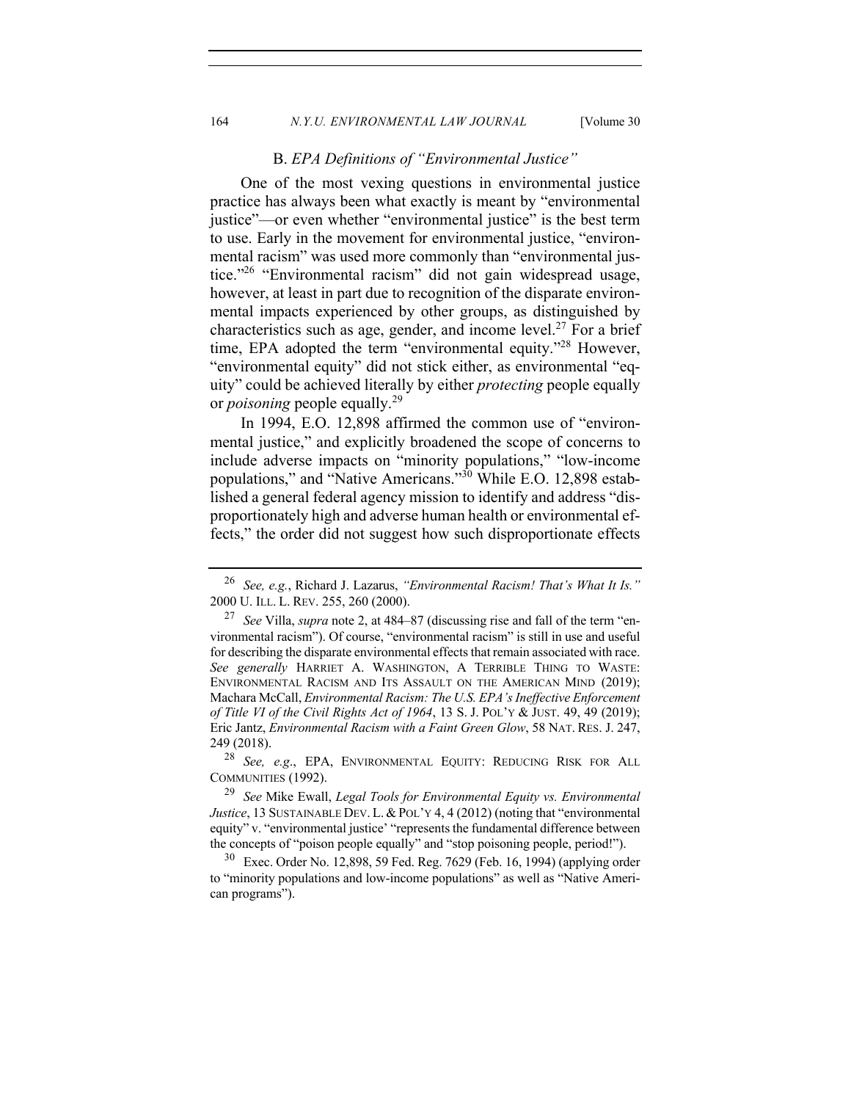#### 164 *N.Y.U. ENVIRONMENTAL LAW JOURNAL* [Volume 30]

#### B. *EPA Definitions of "Environmental Justice"*

One of the most vexing questions in environmental justice practice has always been what exactly is meant by "environmental justice"—or even whether "environmental justice" is the best term to use. Early in the movement for environmental justice, "environmental racism" was used more commonly than "environmental justice."26 "Environmental racism" did not gain widespread usage, however, at least in part due to recognition of the disparate environmental impacts experienced by other groups, as distinguished by characteristics such as age, gender, and income level.<sup>27</sup> For a brief time, EPA adopted the term "environmental equity."<sup>28</sup> However, "environmental equity" did not stick either, as environmental "equity" could be achieved literally by either *protecting* people equally or *poisoning* people equally.<sup>29</sup>

In 1994, E.O. 12,898 affirmed the common use of "environmental justice," and explicitly broadened the scope of concerns to include adverse impacts on "minority populations," "low-income populations," and "Native Americans."<sup>30</sup> While E.O. 12,898 established a general federal agency mission to identify and address "disproportionately high and adverse human health or environmental effects," the order did not suggest how such disproportionate effects

<sup>26</sup> *See, e.g.*, Richard J. Lazarus, *"Environmental Racism! That's What It Is."* 2000 U. ILL. L. REV. 255, 260 (2000).

<sup>27</sup> *See* Villa, *supra* note 2, at 484–87 (discussing rise and fall of the term "environmental racism"). Of course, "environmental racism" is still in use and useful for describing the disparate environmental effects that remain associated with race. *See generally* HARRIET A. WASHINGTON, A TERRIBLE THING TO WASTE: ENVIRONMENTAL RACISM AND ITS ASSAULT ON THE AMERICAN MIND (2019); Machara McCall, *Environmental Racism: The U.S. EPA's Ineffective Enforcement of Title VI of the Civil Rights Act of 1964*, 13 S. J. POL'Y & JUST. 49, 49 (2019); Eric Jantz, *Environmental Racism with a Faint Green Glow*, 58 NAT. RES. J. 247, 249 (2018).

<sup>28</sup> *See, e.g*., EPA, ENVIRONMENTAL EQUITY: REDUCING RISK FOR ALL COMMUNITIES (1992).

<sup>29</sup> *See* Mike Ewall, *Legal Tools for Environmental Equity vs. Environmental Justice*, 13 SUSTAINABLE DEV. L. & POL'Y 4, 4 (2012) (noting that "environmental equity" v. "environmental justice' "represents the fundamental difference between the concepts of "poison people equally" and "stop poisoning people, period!").

 $30\,$  Exec. Order No. 12,898, 59 Fed. Reg. 7629 (Feb. 16, 1994) (applying order to "minority populations and low-income populations" as well as "Native American programs").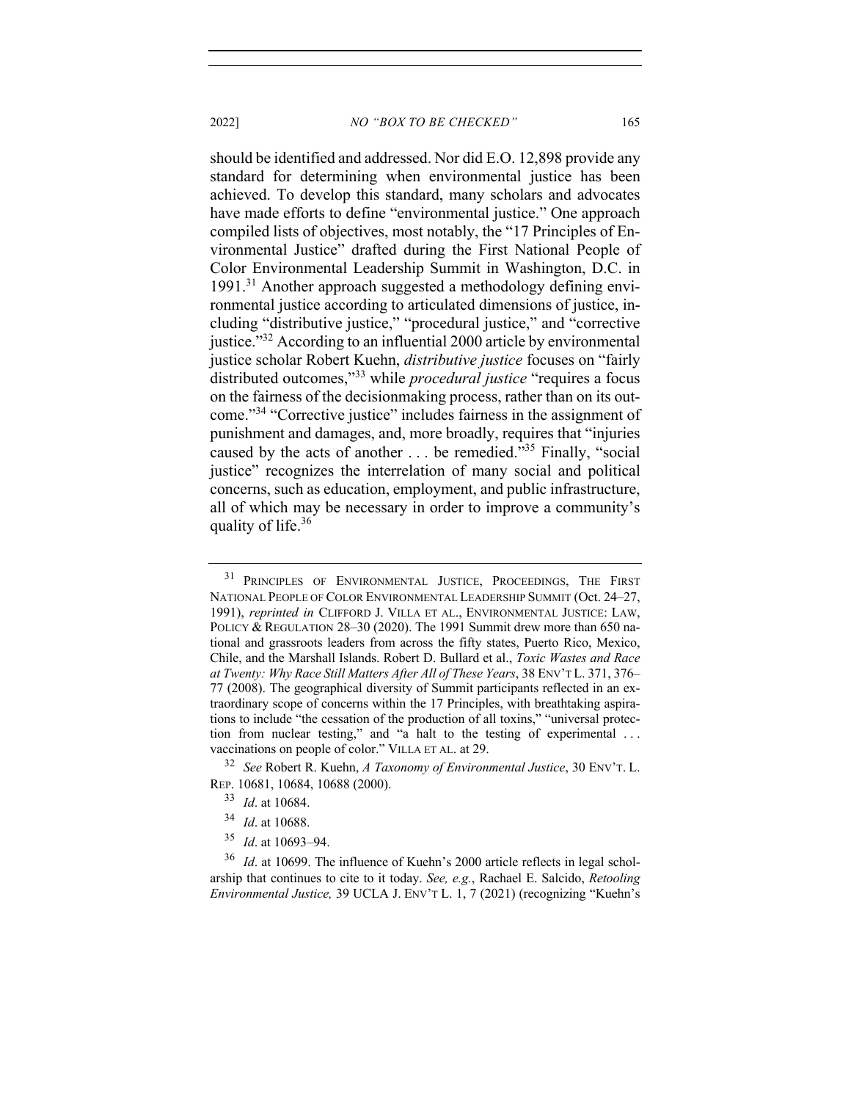2022] *NO "BOX TO BE CHECKED"* 165

should be identified and addressed. Nor did E.O. 12,898 provide any standard for determining when environmental justice has been achieved. To develop this standard, many scholars and advocates have made efforts to define "environmental justice." One approach compiled lists of objectives, most notably, the "17 Principles of Environmental Justice" drafted during the First National People of Color Environmental Leadership Summit in Washington, D.C. in 1991.<sup>31</sup> Another approach suggested a methodology defining environmental justice according to articulated dimensions of justice, including "distributive justice," "procedural justice," and "corrective justice."<sup>32</sup> According to an influential 2000 article by environmental justice scholar Robert Kuehn, *distributive justice* focuses on "fairly distributed outcomes,"<sup>33</sup> while *procedural justice* "requires a focus on the fairness of the decisionmaking process, rather than on its outcome."34 "Corrective justice" includes fairness in the assignment of punishment and damages, and, more broadly, requires that "injuries caused by the acts of another . . . be remedied."<sup>35</sup> Finally, "social justice" recognizes the interrelation of many social and political concerns, such as education, employment, and public infrastructure, all of which may be necessary in order to improve a community's quality of life.<sup>36</sup>

<sup>&</sup>lt;sup>31</sup> PRINCIPLES OF ENVIRONMENTAL JUSTICE, PROCEEDINGS, THE FIRST NATIONAL PEOPLE OF COLOR ENVIRONMENTAL LEADERSHIP SUMMIT (Oct. 24–27, 1991), *reprinted in* CLIFFORD J. VILLA ET AL., ENVIRONMENTAL JUSTICE: LAW, POLICY & REGULATION 28-30 (2020). The 1991 Summit drew more than 650 national and grassroots leaders from across the fifty states, Puerto Rico, Mexico, Chile, and the Marshall Islands. Robert D. Bullard et al., *Toxic Wastes and Race at Twenty: Why Race Still Matters After All of These Years*, 38 ENV'T L. 371, 376– 77 (2008). The geographical diversity of Summit participants reflected in an extraordinary scope of concerns within the 17 Principles, with breathtaking aspirations to include "the cessation of the production of all toxins," "universal protection from nuclear testing," and "a halt to the testing of experimental . . . vaccinations on people of color." VILLA ET AL. at 29.

<sup>32</sup> *See* Robert R. Kuehn, *A Taxonomy of Environmental Justice*, 30 ENV'T. L. REP. 10681, 10684, 10688 (2000).

<sup>33</sup> *Id*. at 10684.

<sup>34</sup> *Id*. at 10688.

<sup>35</sup> *Id*. at 10693–94.

<sup>36</sup> *Id*. at 10699. The influence of Kuehn's 2000 article reflects in legal scholarship that continues to cite to it today. *See, e.g.*, Rachael E. Salcido, *Retooling Environmental Justice,* 39 UCLA J. ENV'T L. 1, 7 (2021) (recognizing "Kuehn's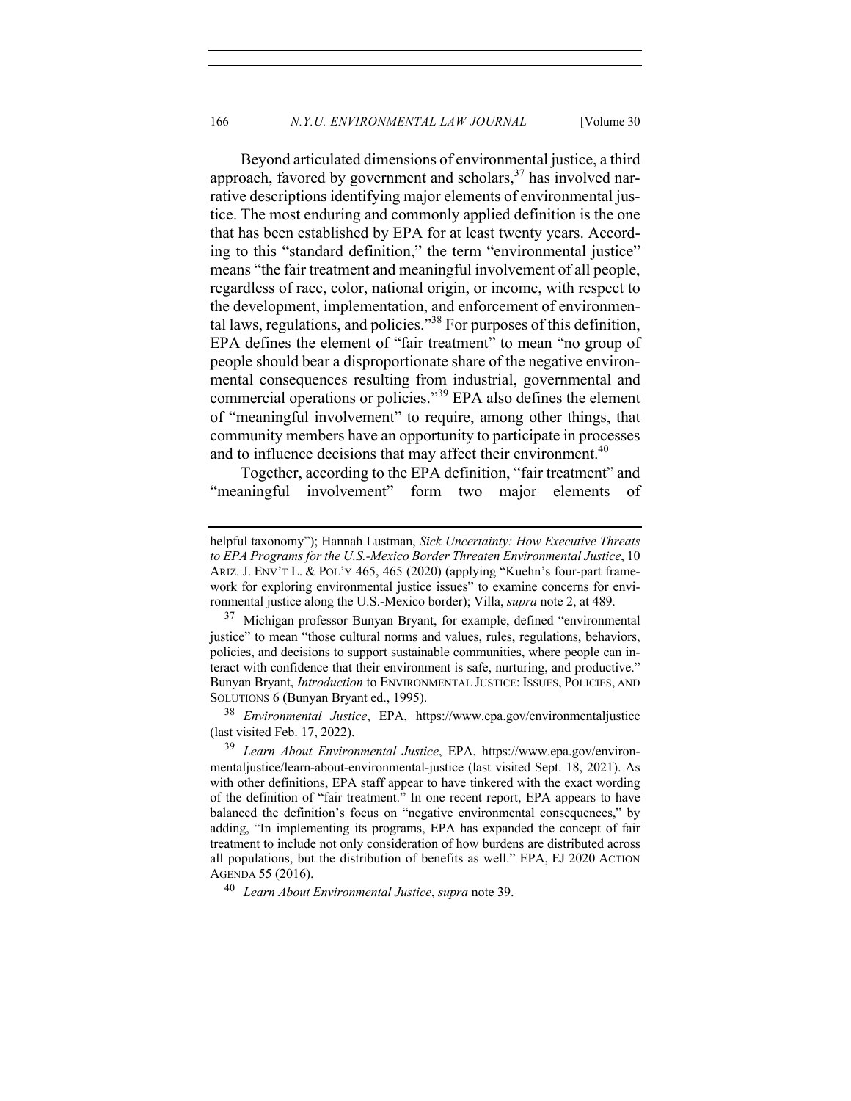Beyond articulated dimensions of environmental justice, a third approach, favored by government and scholars,  $37$  has involved narrative descriptions identifying major elements of environmental justice. The most enduring and commonly applied definition is the one that has been established by EPA for at least twenty years. According to this "standard definition," the term "environmental justice" means "the fair treatment and meaningful involvement of all people, regardless of race, color, national origin, or income, with respect to the development, implementation, and enforcement of environmental laws, regulations, and policies. $138$  For purposes of this definition, EPA defines the element of "fair treatment" to mean "no group of people should bear a disproportionate share of the negative environmental consequences resulting from industrial, governmental and commercial operations or policies."<sup>39</sup> EPA also defines the element of "meaningful involvement" to require, among other things, that community members have an opportunity to participate in processes and to influence decisions that may affect their environment.<sup>40</sup>

Together, according to the EPA definition, "fair treatment" and "meaningful involvement" form two major elements of

<sup>38</sup> *Environmental Justice*, EPA, https://www.epa.gov/environmentaljustice (last visited Feb. 17, 2022).

<sup>40</sup> *Learn About Environmental Justice*, *supra* note 39.

helpful taxonomy"); Hannah Lustman, *Sick Uncertainty: How Executive Threats to EPA Programs for the U.S.-Mexico Border Threaten Environmental Justice*, 10 ARIZ. J. ENV'T L. & POL'Y 465, 465 (2020) (applying "Kuehn's four-part framework for exploring environmental justice issues" to examine concerns for environmental justice along the U.S.-Mexico border); Villa, *supra* note 2, at 489.

 $37$  Michigan professor Bunyan Bryant, for example, defined "environmental justice" to mean "those cultural norms and values, rules, regulations, behaviors, policies, and decisions to support sustainable communities, where people can interact with confidence that their environment is safe, nurturing, and productive." Bunyan Bryant, *Introduction* to ENVIRONMENTAL JUSTICE: ISSUES, POLICIES, AND SOLUTIONS 6 (Bunyan Bryant ed., 1995).

<sup>39</sup> *Learn About Environmental Justice*, EPA, https://www.epa.gov/environmentaljustice/learn-about-environmental-justice (last visited Sept. 18, 2021). As with other definitions, EPA staff appear to have tinkered with the exact wording of the definition of "fair treatment." In one recent report, EPA appears to have balanced the definition's focus on "negative environmental consequences," by adding, "In implementing its programs, EPA has expanded the concept of fair treatment to include not only consideration of how burdens are distributed across all populations, but the distribution of benefits as well." EPA, EJ 2020 ACTION AGENDA 55 (2016).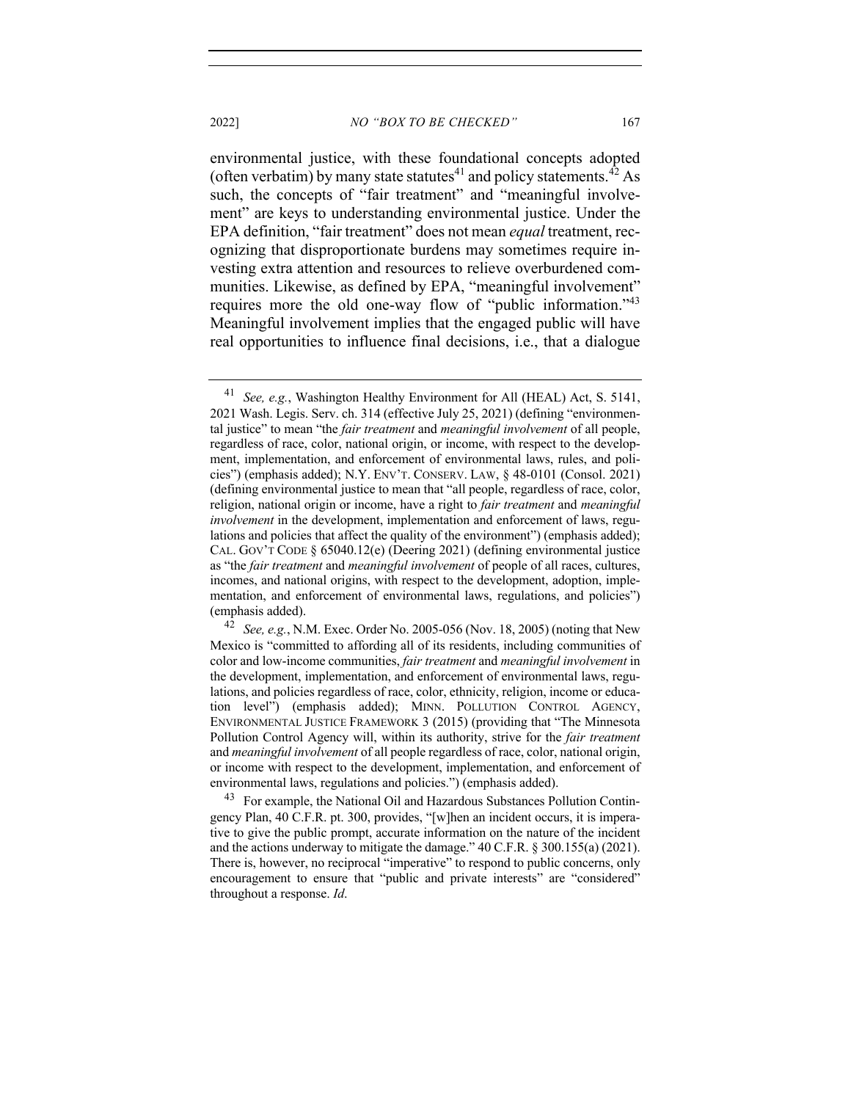environmental justice, with these foundational concepts adopted (often verbatim) by many state statutes<sup>41</sup> and policy statements.<sup>42</sup> As such, the concepts of "fair treatment" and "meaningful involvement" are keys to understanding environmental justice. Under the EPA definition, "fair treatment" does not mean *equal* treatment, recognizing that disproportionate burdens may sometimes require investing extra attention and resources to relieve overburdened communities. Likewise, as defined by EPA, "meaningful involvement" requires more the old one-way flow of "public information."<sup>43</sup> Meaningful involvement implies that the engaged public will have real opportunities to influence final decisions, i.e., that a dialogue

<sup>41</sup> *See, e.g.*, Washington Healthy Environment for All (HEAL) Act, S. 5141, 2021 Wash. Legis. Serv. ch. 314 (effective July 25, 2021) (defining "environmental justice" to mean "the *fair treatment* and *meaningful involvement* of all people, regardless of race, color, national origin, or income, with respect to the development, implementation, and enforcement of environmental laws, rules, and policies") (emphasis added); N.Y. ENV'T. CONSERV. LAW, § 48-0101 (Consol. 2021) (defining environmental justice to mean that "all people, regardless of race, color, religion, national origin or income, have a right to *fair treatment* and *meaningful involvement* in the development, implementation and enforcement of laws, regulations and policies that affect the quality of the environment") (emphasis added); CAL. GOV'T CODE § 65040.12(e) (Deering 2021) (defining environmental justice as "the *fair treatment* and *meaningful involvement* of people of all races, cultures, incomes, and national origins, with respect to the development, adoption, implementation, and enforcement of environmental laws, regulations, and policies") (emphasis added).

<sup>42</sup> *See, e.g.*, N.M. Exec. Order No. 2005-056 (Nov. 18, 2005) (noting that New Mexico is "committed to affording all of its residents, including communities of color and low-income communities, *fair treatment* and *meaningful involvement* in the development, implementation, and enforcement of environmental laws, regulations, and policies regardless of race, color, ethnicity, religion, income or education level") (emphasis added); MINN. POLLUTION CONTROL AGENCY, ENVIRONMENTAL JUSTICE FRAMEWORK 3 (2015) (providing that "The Minnesota Pollution Control Agency will, within its authority, strive for the *fair treatment* and *meaningful involvement* of all people regardless of race, color, national origin, or income with respect to the development, implementation, and enforcement of environmental laws, regulations and policies.") (emphasis added).

<sup>&</sup>lt;sup>43</sup> For example, the National Oil and Hazardous Substances Pollution Contingency Plan, 40 C.F.R. pt. 300, provides, "[w]hen an incident occurs, it is imperative to give the public prompt, accurate information on the nature of the incident and the actions underway to mitigate the damage." 40 C.F.R. § 300.155(a) (2021). There is, however, no reciprocal "imperative" to respond to public concerns, only encouragement to ensure that "public and private interests" are "considered" throughout a response. *Id*.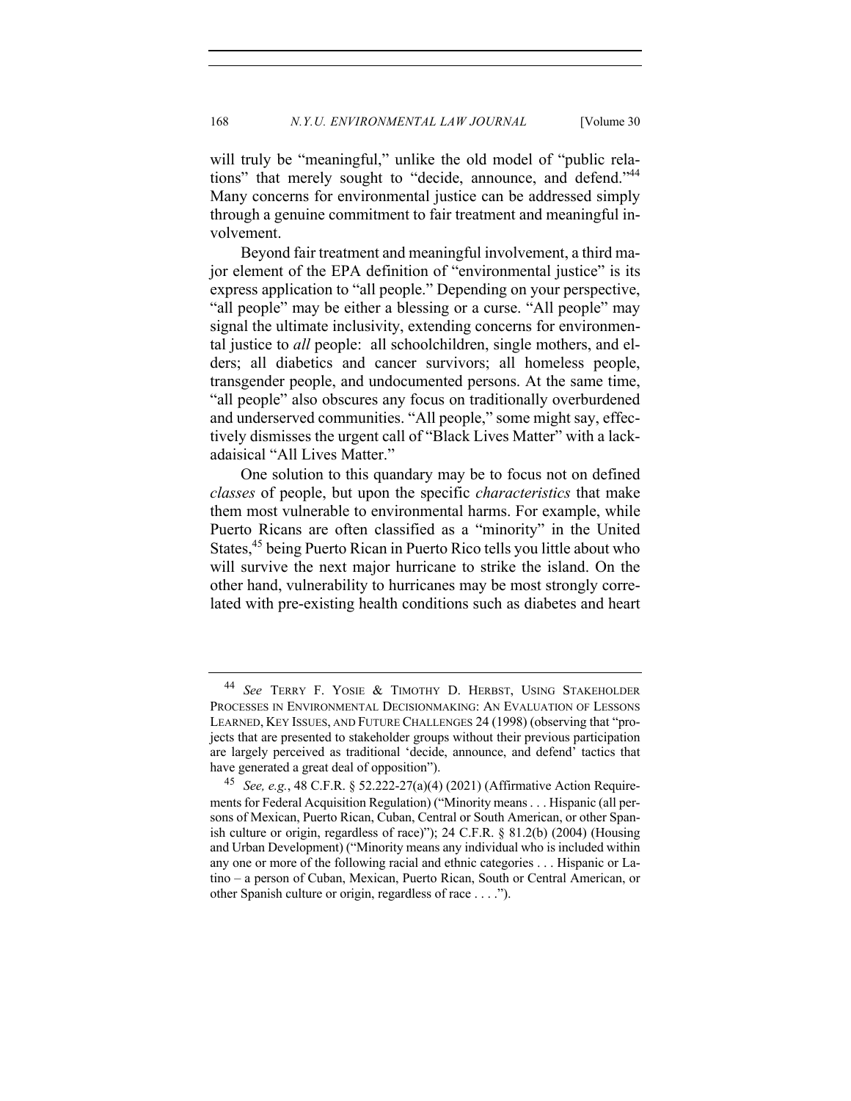will truly be "meaningful," unlike the old model of "public relations" that merely sought to "decide, announce, and defend."<sup>44</sup> Many concerns for environmental justice can be addressed simply through a genuine commitment to fair treatment and meaningful involvement.

Beyond fair treatment and meaningful involvement, a third major element of the EPA definition of "environmental justice" is its express application to "all people." Depending on your perspective, "all people" may be either a blessing or a curse. "All people" may signal the ultimate inclusivity, extending concerns for environmental justice to *all* people: all schoolchildren, single mothers, and elders; all diabetics and cancer survivors; all homeless people, transgender people, and undocumented persons. At the same time, "all people" also obscures any focus on traditionally overburdened and underserved communities. "All people," some might say, effectively dismisses the urgent call of "Black Lives Matter" with a lackadaisical "All Lives Matter."

One solution to this quandary may be to focus not on defined *classes* of people, but upon the specific *characteristics* that make them most vulnerable to environmental harms. For example, while Puerto Ricans are often classified as a "minority" in the United States,<sup>45</sup> being Puerto Rican in Puerto Rico tells you little about who will survive the next major hurricane to strike the island. On the other hand, vulnerability to hurricanes may be most strongly correlated with pre-existing health conditions such as diabetes and heart

<sup>44</sup> *See* TERRY F. YOSIE & TIMOTHY D. HERBST, USING STAKEHOLDER PROCESSES IN ENVIRONMENTAL DECISIONMAKING: AN EVALUATION OF LESSONS LEARNED, KEY ISSUES, AND FUTURE CHALLENGES 24 (1998) (observing that "projects that are presented to stakeholder groups without their previous participation are largely perceived as traditional 'decide, announce, and defend' tactics that have generated a great deal of opposition").

<sup>45</sup> *See, e.g.*, 48 C.F.R. § 52.222-27(a)(4) (2021) (Affirmative Action Requirements for Federal Acquisition Regulation) ("Minority means . . . Hispanic (all persons of Mexican, Puerto Rican, Cuban, Central or South American, or other Spanish culture or origin, regardless of race)"); 24 C.F.R. § 81.2(b) (2004) (Housing and Urban Development) ("Minority means any individual who is included within any one or more of the following racial and ethnic categories . . . Hispanic or Latino – a person of Cuban, Mexican, Puerto Rican, South or Central American, or other Spanish culture or origin, regardless of race . . . .").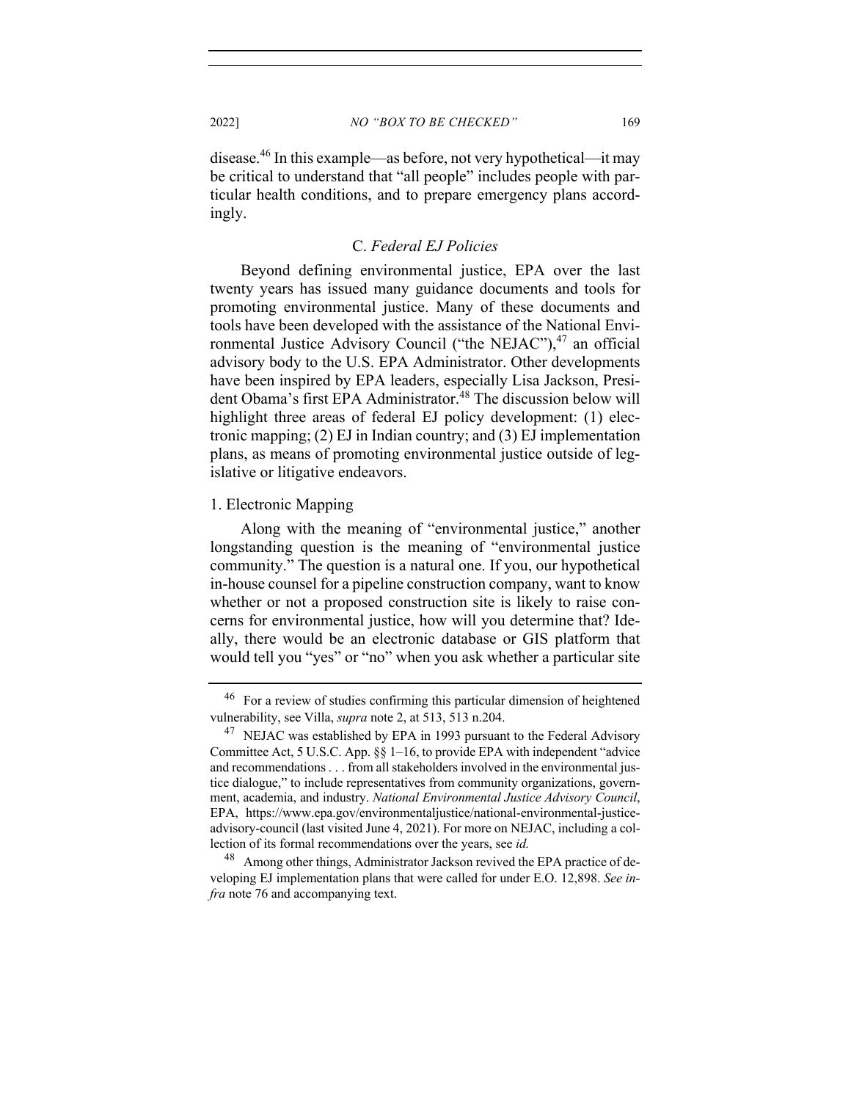disease.46 In this example—as before, not very hypothetical—it may be critical to understand that "all people" includes people with particular health conditions, and to prepare emergency plans accordingly.

#### C. *Federal EJ Policies*

Beyond defining environmental justice, EPA over the last twenty years has issued many guidance documents and tools for promoting environmental justice. Many of these documents and tools have been developed with the assistance of the National Environmental Justice Advisory Council ("the NEJAC"), $47$  an official advisory body to the U.S. EPA Administrator. Other developments have been inspired by EPA leaders, especially Lisa Jackson, President Obama's first EPA Administrator.<sup>48</sup> The discussion below will highlight three areas of federal EJ policy development: (1) electronic mapping; (2) EJ in Indian country; and (3) EJ implementation plans, as means of promoting environmental justice outside of legislative or litigative endeavors.

#### 1. Electronic Mapping

Along with the meaning of "environmental justice," another longstanding question is the meaning of "environmental justice community." The question is a natural one. If you, our hypothetical in-house counsel for a pipeline construction company, want to know whether or not a proposed construction site is likely to raise concerns for environmental justice, how will you determine that? Ideally, there would be an electronic database or GIS platform that would tell you "yes" or "no" when you ask whether a particular site

<sup>46</sup> For a review of studies confirming this particular dimension of heightened vulnerability, see Villa, *supra* note 2, at 513, 513 n.204.

 $47$  NEJAC was established by EPA in 1993 pursuant to the Federal Advisory Committee Act, 5 U.S.C. App. §§ 1–16, to provide EPA with independent "advice and recommendations . . . from all stakeholders involved in the environmental justice dialogue," to include representatives from community organizations, government, academia, and industry. *National Environmental Justice Advisory Council*, EPA, https://www.epa.gov/environmentaljustice/national-environmental-justiceadvisory-council (last visited June 4, 2021). For more on NEJAC, including a collection of its formal recommendations over the years, see *id.*

<sup>&</sup>lt;sup>48</sup> Among other things, Administrator Jackson revived the EPA practice of developing EJ implementation plans that were called for under E.O. 12,898. *See infra* note 76 and accompanying text.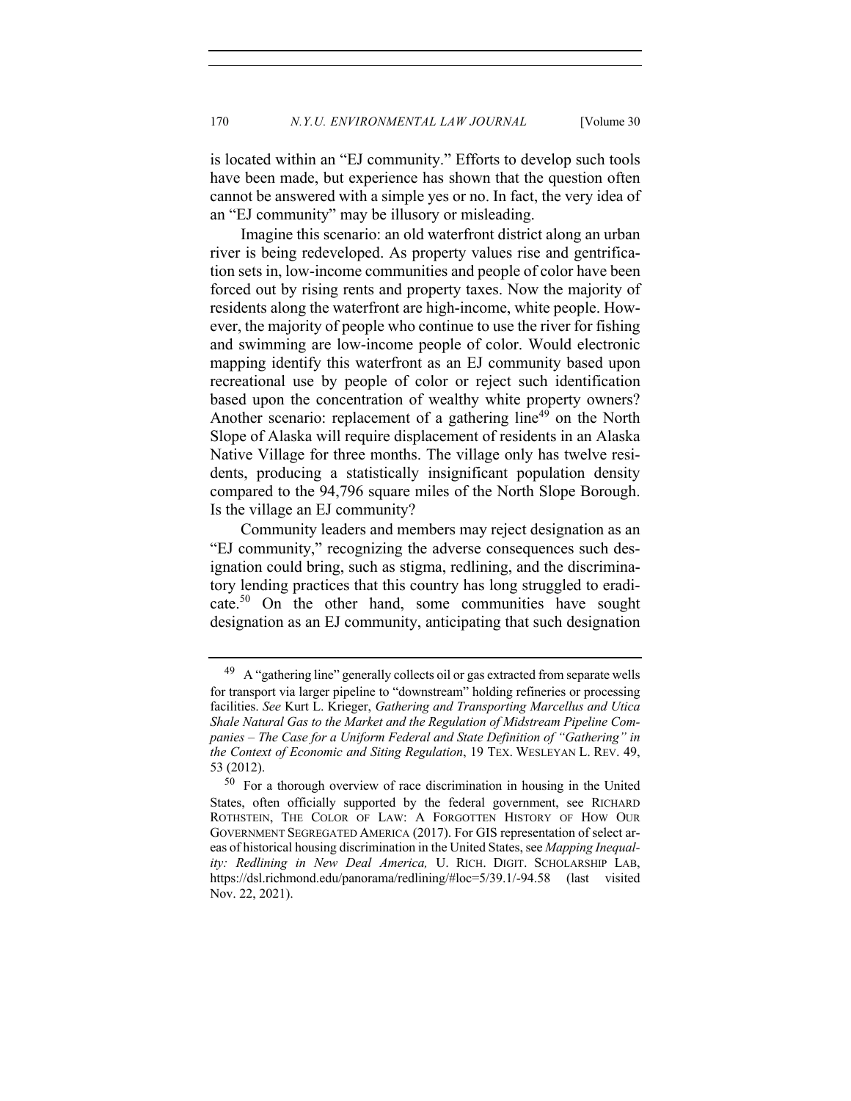is located within an "EJ community." Efforts to develop such tools have been made, but experience has shown that the question often cannot be answered with a simple yes or no. In fact, the very idea of an "EJ community" may be illusory or misleading.

Imagine this scenario: an old waterfront district along an urban river is being redeveloped. As property values rise and gentrification sets in, low-income communities and people of color have been forced out by rising rents and property taxes. Now the majority of residents along the waterfront are high-income, white people. However, the majority of people who continue to use the river for fishing and swimming are low-income people of color. Would electronic mapping identify this waterfront as an EJ community based upon recreational use by people of color or reject such identification based upon the concentration of wealthy white property owners? Another scenario: replacement of a gathering line<sup>49</sup> on the North Slope of Alaska will require displacement of residents in an Alaska Native Village for three months. The village only has twelve residents, producing a statistically insignificant population density compared to the 94,796 square miles of the North Slope Borough. Is the village an EJ community?

Community leaders and members may reject designation as an "EJ community," recognizing the adverse consequences such designation could bring, such as stigma, redlining, and the discriminatory lending practices that this country has long struggled to eradicate.50 On the other hand, some communities have sought designation as an EJ community, anticipating that such designation

 $^{49}$  A "gathering line" generally collects oil or gas extracted from separate wells for transport via larger pipeline to "downstream" holding refineries or processing facilities. *See* Kurt L. Krieger, *Gathering and Transporting Marcellus and Utica Shale Natural Gas to the Market and the Regulation of Midstream Pipeline Companies – The Case for a Uniform Federal and State Definition of "Gathering" in the Context of Economic and Siting Regulation*, 19 TEX. WESLEYAN L. REV. 49, 53 (2012).

<sup>50</sup> For a thorough overview of race discrimination in housing in the United States, often officially supported by the federal government, see RICHARD ROTHSTEIN, THE COLOR OF LAW: A FORGOTTEN HISTORY OF HOW OUR GOVERNMENT SEGREGATED AMERICA (2017). For GIS representation of select areas of historical housing discrimination in the United States, see *Mapping Inequality: Redlining in New Deal America,* U. RICH. DIGIT. SCHOLARSHIP LAB, https://dsl.richmond.edu/panorama/redlining/#loc=5/39.1/-94.58 (last visited Nov. 22, 2021).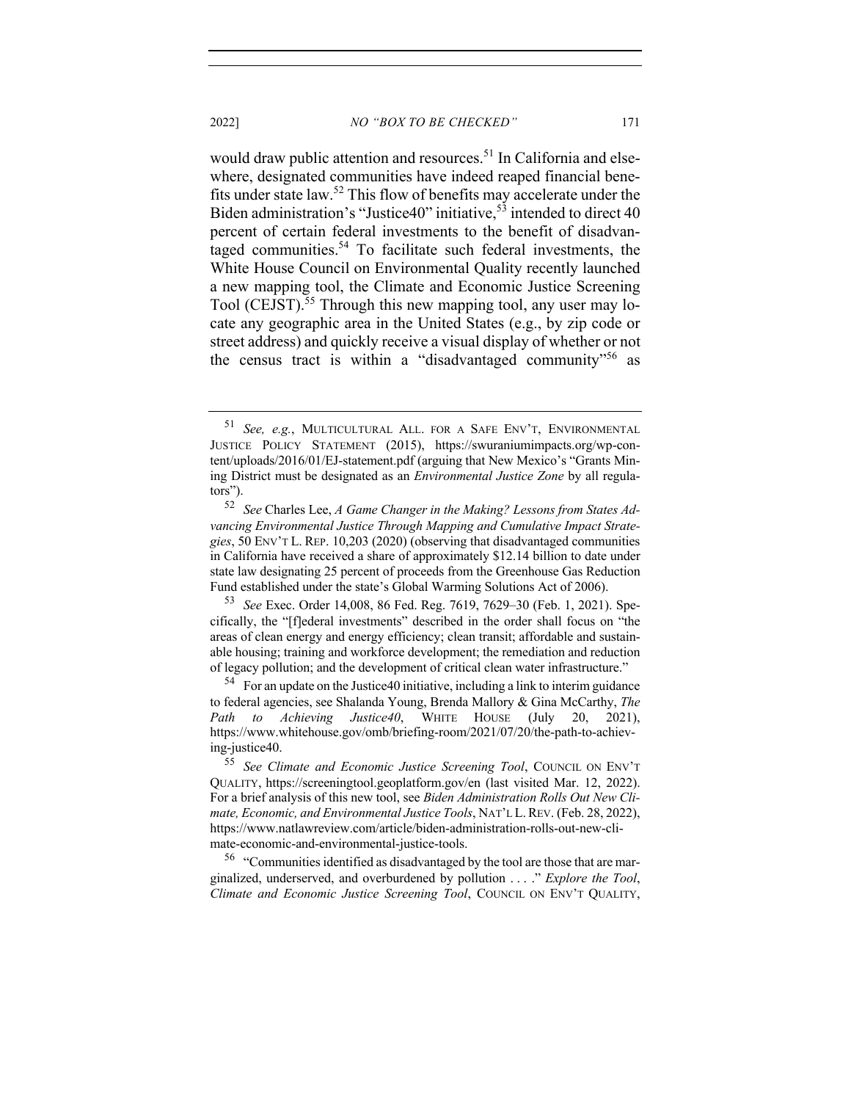would draw public attention and resources.<sup>51</sup> In California and elsewhere, designated communities have indeed reaped financial benefits under state law.52 This flow of benefits may accelerate under the Biden administration's "Justice40" initiative,  $53$  intended to direct 40 percent of certain federal investments to the benefit of disadvantaged communities.<sup>54</sup> To facilitate such federal investments, the White House Council on Environmental Quality recently launched a new mapping tool, the Climate and Economic Justice Screening Tool (CEJST).<sup>55</sup> Through this new mapping tool, any user may locate any geographic area in the United States (e.g., by zip code or street address) and quickly receive a visual display of whether or not the census tract is within a "disadvantaged community"<sup>56</sup> as

 $56$  "Communities identified as disadvantaged by the tool are those that are marginalized, underserved, and overburdened by pollution . . . ." *Explore the Tool*, *Climate and Economic Justice Screening Tool*, COUNCIL ON ENV'T QUALITY,

<sup>51</sup> *See, e.g.*, MULTICULTURAL ALL. FOR A SAFE ENV'T, ENVIRONMENTAL JUSTICE POLICY STATEMENT (2015), https://swuraniumimpacts.org/wp-content/uploads/2016/01/EJ-statement.pdf (arguing that New Mexico's "Grants Mining District must be designated as an *Environmental Justice Zone* by all regulators").

<sup>52</sup> *See* Charles Lee, *A Game Changer in the Making? Lessons from States Advancing Environmental Justice Through Mapping and Cumulative Impact Strategies*, 50 ENV'T L. REP. 10,203 (2020) (observing that disadvantaged communities in California have received a share of approximately \$12.14 billion to date under state law designating 25 percent of proceeds from the Greenhouse Gas Reduction Fund established under the state's Global Warming Solutions Act of 2006).

<sup>53</sup> *See* Exec. Order 14,008, 86 Fed. Reg. 7619, 7629–30 (Feb. 1, 2021). Specifically, the "[f]ederal investments" described in the order shall focus on "the areas of clean energy and energy efficiency; clean transit; affordable and sustainable housing; training and workforce development; the remediation and reduction of legacy pollution; and the development of critical clean water infrastructure."

 $54$  For an update on the Justice 40 initiative, including a link to interim guidance to federal agencies, see Shalanda Young, Brenda Mallory & Gina McCarthy, *The Path to Achieving Justice40*, WHITE HOUSE (July 20, 2021), https://www.whitehouse.gov/omb/briefing-room/2021/07/20/the-path-to-achieving-justice40.

<sup>55</sup> *See Climate and Economic Justice Screening Tool*, COUNCIL ON ENV'T QUALITY, https://screeningtool.geoplatform.gov/en (last visited Mar. 12, 2022). For a brief analysis of this new tool, see *Biden Administration Rolls Out New Climate, Economic, and Environmental Justice Tools*, NAT'L L.REV. (Feb. 28, 2022), https://www.natlawreview.com/article/biden-administration-rolls-out-new-climate-economic-and-environmental-justice-tools.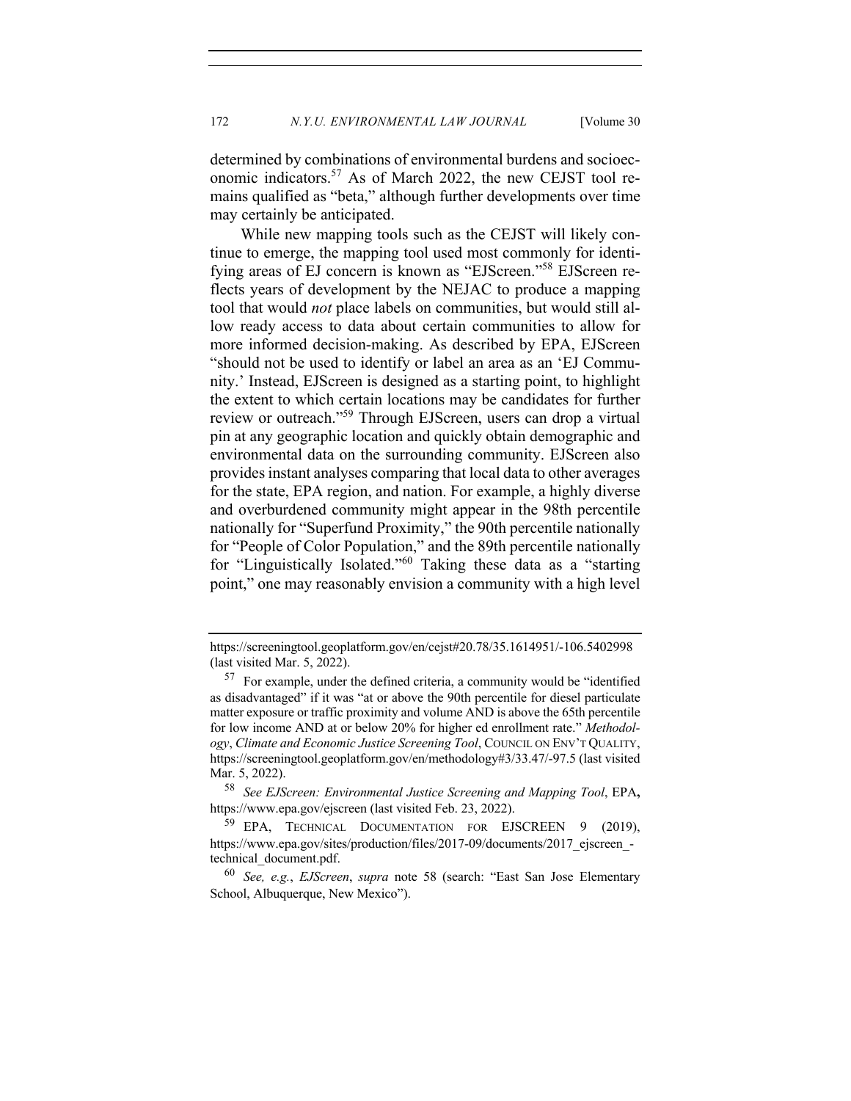determined by combinations of environmental burdens and socioeconomic indicators.57 As of March 2022, the new CEJST tool remains qualified as "beta," although further developments over time may certainly be anticipated.

While new mapping tools such as the CEJST will likely continue to emerge, the mapping tool used most commonly for identifying areas of EJ concern is known as "EJScreen."<sup>58</sup> EJScreen reflects years of development by the NEJAC to produce a mapping tool that would *not* place labels on communities, but would still allow ready access to data about certain communities to allow for more informed decision-making. As described by EPA, EJScreen "should not be used to identify or label an area as an 'EJ Community.' Instead, EJScreen is designed as a starting point, to highlight the extent to which certain locations may be candidates for further review or outreach."59 Through EJScreen, users can drop a virtual pin at any geographic location and quickly obtain demographic and environmental data on the surrounding community. EJScreen also provides instant analyses comparing that local data to other averages for the state, EPA region, and nation. For example, a highly diverse and overburdened community might appear in the 98th percentile nationally for "Superfund Proximity," the 90th percentile nationally for "People of Color Population," and the 89th percentile nationally for "Linguistically Isolated."<sup>60</sup> Taking these data as a "starting point," one may reasonably envision a community with a high level

https://screeningtool.geoplatform.gov/en/cejst#20.78/35.1614951/-106.5402998 (last visited Mar. 5, 2022).

 $57$  For example, under the defined criteria, a community would be "identified" as disadvantaged" if it was "at or above the 90th percentile for diesel particulate matter exposure or traffic proximity and volume AND is above the 65th percentile for low income AND at or below 20% for higher ed enrollment rate." *Methodology*, *Climate and Economic Justice Screening Tool*, COUNCIL ON ENV'T QUALITY, https://screeningtool.geoplatform.gov/en/methodology#3/33.47/-97.5 (last visited Mar. 5, 2022).

<sup>58</sup> *See EJScreen: Environmental Justice Screening and Mapping Tool*, EPA**,**  https://www.epa.gov/ejscreen (last visited Feb. 23, 2022).

<sup>59</sup> EPA, TECHNICAL DOCUMENTATION FOR EJSCREEN 9 (2019), https://www.epa.gov/sites/production/files/2017-09/documents/2017\_ejscreen\_technical\_document.pdf.

<sup>60</sup> *See, e.g.*, *EJScreen*, *supra* note 58 (search: "East San Jose Elementary School, Albuquerque, New Mexico").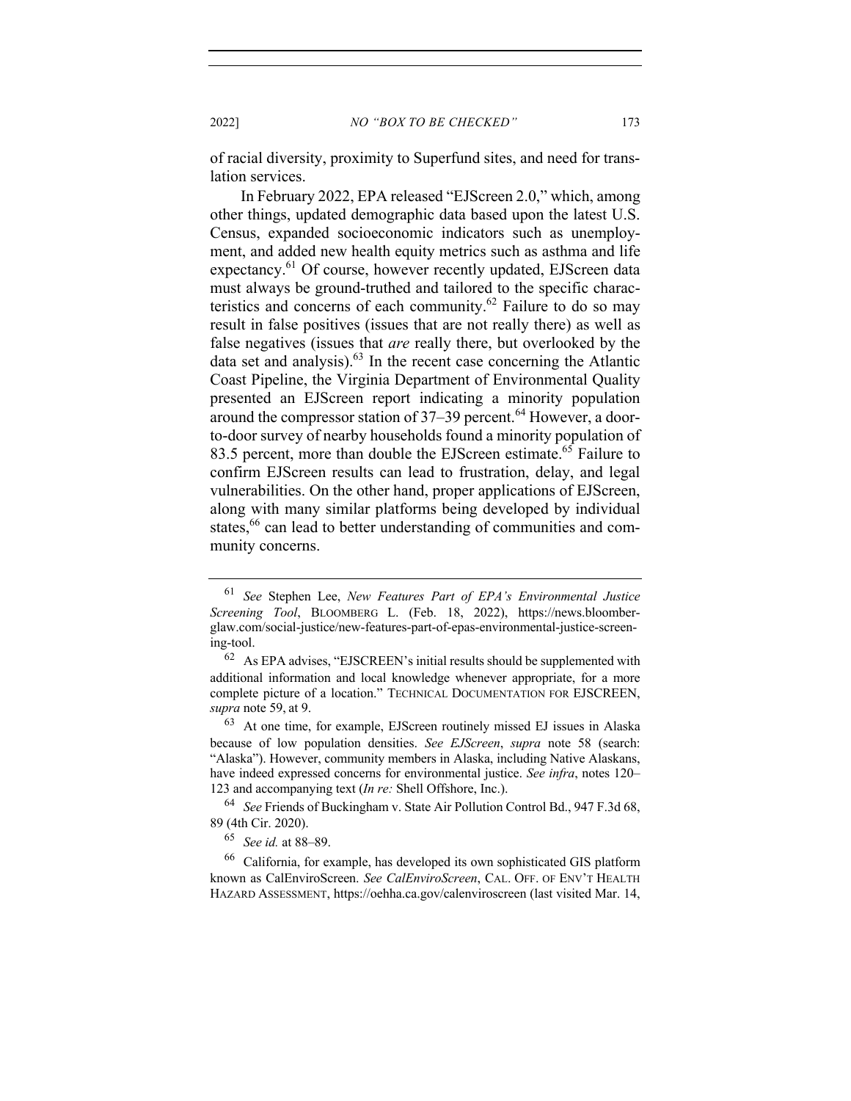2022] *NO "BOX TO BE CHECKED"* 173

of racial diversity, proximity to Superfund sites, and need for translation services.

In February 2022, EPA released "EJScreen 2.0," which, among other things, updated demographic data based upon the latest U.S. Census, expanded socioeconomic indicators such as unemployment, and added new health equity metrics such as asthma and life expectancy.<sup>61</sup> Of course, however recently updated, EJScreen data must always be ground-truthed and tailored to the specific characteristics and concerns of each community.62 Failure to do so may result in false positives (issues that are not really there) as well as false negatives (issues that *are* really there, but overlooked by the data set and analysis). $63$  In the recent case concerning the Atlantic Coast Pipeline, the Virginia Department of Environmental Quality presented an EJScreen report indicating a minority population around the compressor station of  $37-39$  percent.<sup>64</sup> However, a doorto-door survey of nearby households found a minority population of 83.5 percent, more than double the EJScreen estimate.<sup>65</sup> Failure to confirm EJScreen results can lead to frustration, delay, and legal vulnerabilities. On the other hand, proper applications of EJScreen, along with many similar platforms being developed by individual states,<sup>66</sup> can lead to better understanding of communities and community concerns.

<sup>61</sup> *See* Stephen Lee, *New Features Part of EPA's Environmental Justice Screening Tool*, BLOOMBERG L. (Feb. 18, 2022), https://news.bloomberglaw.com/social-justice/new-features-part-of-epas-environmental-justice-screening-tool.

 $62$  As EPA advises, "EJSCREEN's initial results should be supplemented with additional information and local knowledge whenever appropriate, for a more complete picture of a location." TECHNICAL DOCUMENTATION FOR EJSCREEN, *supra* note 59, at 9.

<sup>63</sup> At one time, for example, EJScreen routinely missed EJ issues in Alaska because of low population densities. *See EJScreen*, *supra* note 58 (search: "Alaska"). However, community members in Alaska, including Native Alaskans, have indeed expressed concerns for environmental justice. *See infra*, notes 120– 123 and accompanying text (*In re:* Shell Offshore, Inc.).

<sup>64</sup> *See* Friends of Buckingham v. State Air Pollution Control Bd., 947 F.3d 68, 89 (4th Cir. 2020).

<sup>65</sup> *See id.* at 88–89.

<sup>66</sup> California, for example, has developed its own sophisticated GIS platform known as CalEnviroScreen. *See CalEnviroScreen*, CAL. OFF. OF ENV'T HEALTH HAZARD ASSESSMENT, https://oehha.ca.gov/calenviroscreen (last visited Mar. 14,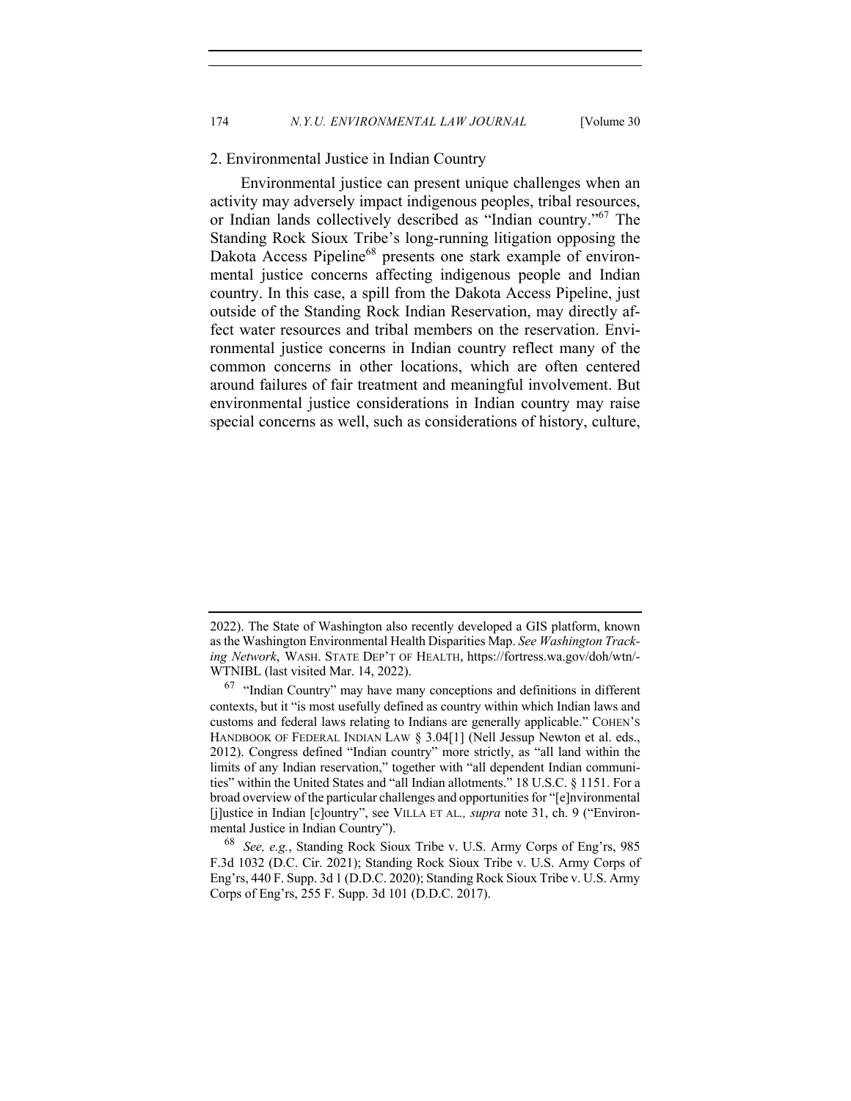#### 2. Environmental Justice in Indian Country

Environmental justice can present unique challenges when an activity may adversely impact indigenous peoples, tribal resources, or Indian lands collectively described as "Indian country."<sup>67</sup> The Standing Rock Sioux Tribe's long-running litigation opposing the Dakota Access Pipeline<sup>68</sup> presents one stark example of environmental justice concerns affecting indigenous people and Indian country. In this case, a spill from the Dakota Access Pipeline, just outside of the Standing Rock Indian Reservation, may directly affect water resources and tribal members on the reservation. Environmental justice concerns in Indian country reflect many of the common concerns in other locations, which are often centered around failures of fair treatment and meaningful involvement. But environmental justice considerations in Indian country may raise special concerns as well, such as considerations of history, culture,

<sup>2022).</sup> The State of Washington also recently developed a GIS platform, known as the Washington Environmental Health Disparities Map. *See Washington Tracking Network*, WASH. STATE DEP'T OF HEALTH, https://fortress.wa.gov/doh/wtn/- WTNIBL (last visited Mar. 14, 2022).

 $67$  "Indian Country" may have many conceptions and definitions in different contexts, but it "is most usefully defined as country within which Indian laws and customs and federal laws relating to Indians are generally applicable." COHEN'S HANDBOOK OF FEDERAL INDIAN LAW § 3.04[1] (Nell Jessup Newton et al. eds., 2012). Congress defined "Indian country" more strictly, as "all land within the limits of any Indian reservation," together with "all dependent Indian communities" within the United States and "all Indian allotments." 18 U.S.C. § 1151. For a broad overview of the particular challenges and opportunities for "[e]nvironmental [j]ustice in Indian [c]ountry", see VILLA ET AL*., supra* note 31, ch. 9 ("Environmental Justice in Indian Country").

<sup>68</sup> *See, e.g.*, Standing Rock Sioux Tribe v. U.S. Army Corps of Eng'rs, 985 F.3d 1032 (D.C. Cir. 2021); Standing Rock Sioux Tribe v. U.S. Army Corps of Eng'rs, 440 F. Supp. 3d 1 (D.D.C. 2020); Standing Rock Sioux Tribe v. U.S. Army Corps of Eng'rs, 255 F. Supp. 3d 101 (D.D.C. 2017).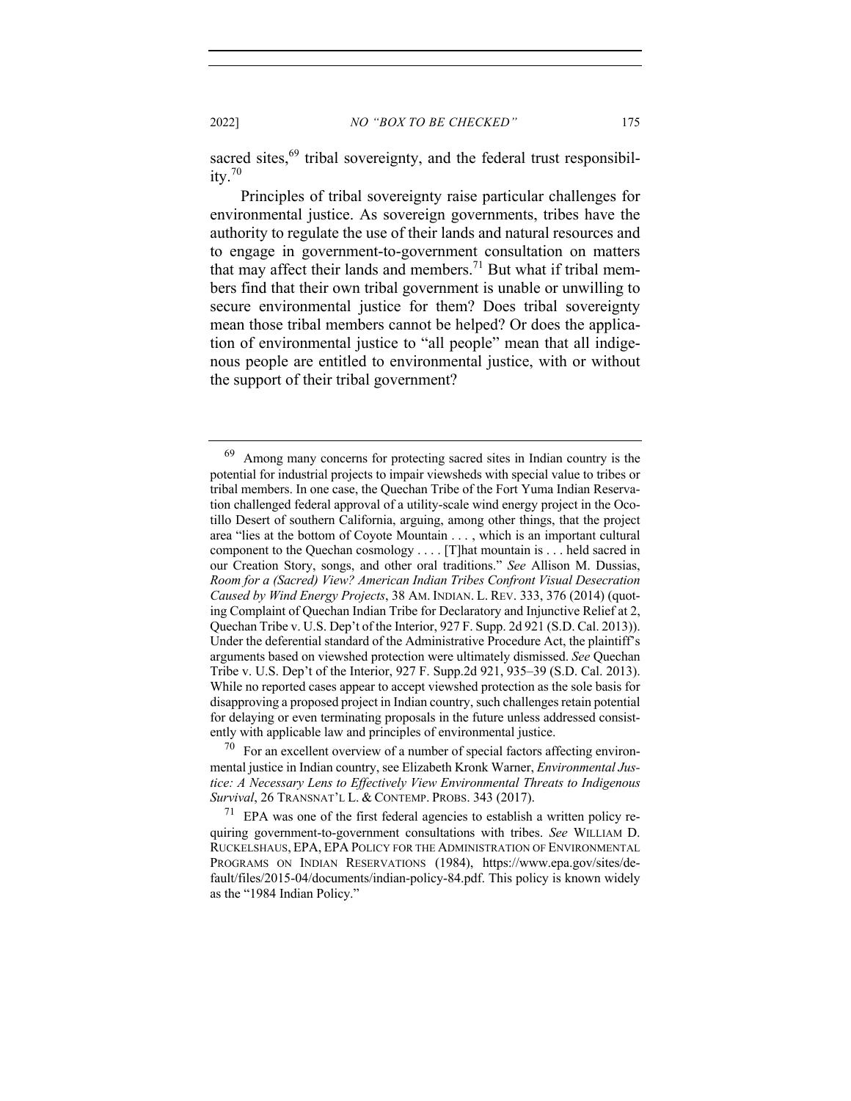sacred sites, $69$  tribal sovereignty, and the federal trust responsibility.<sup>70</sup>

Principles of tribal sovereignty raise particular challenges for environmental justice. As sovereign governments, tribes have the authority to regulate the use of their lands and natural resources and to engage in government-to-government consultation on matters that may affect their lands and members.<sup>71</sup> But what if tribal members find that their own tribal government is unable or unwilling to secure environmental justice for them? Does tribal sovereignty mean those tribal members cannot be helped? Or does the application of environmental justice to "all people" mean that all indigenous people are entitled to environmental justice, with or without the support of their tribal government?

<sup>&</sup>lt;sup>69</sup> Among many concerns for protecting sacred sites in Indian country is the potential for industrial projects to impair viewsheds with special value to tribes or tribal members. In one case, the Quechan Tribe of the Fort Yuma Indian Reservation challenged federal approval of a utility-scale wind energy project in the Ocotillo Desert of southern California, arguing, among other things, that the project area "lies at the bottom of Coyote Mountain . . . , which is an important cultural component to the Quechan cosmology . . . . [T]hat mountain is . . . held sacred in our Creation Story, songs, and other oral traditions." *See* Allison M. Dussias, *Room for a (Sacred) View? American Indian Tribes Confront Visual Desecration Caused by Wind Energy Projects*, 38 AM. INDIAN. L. REV. 333, 376 (2014) (quoting Complaint of Quechan Indian Tribe for Declaratory and Injunctive Relief at 2, Quechan Tribe v. U.S. Dep't of the Interior, 927 F. Supp. 2d 921 (S.D. Cal. 2013)). Under the deferential standard of the Administrative Procedure Act, the plaintiff's arguments based on viewshed protection were ultimately dismissed. *See* Quechan Tribe v. U.S. Dep't of the Interior, 927 F. Supp.2d 921, 935–39 (S.D. Cal. 2013). While no reported cases appear to accept viewshed protection as the sole basis for disapproving a proposed project in Indian country, such challenges retain potential for delaying or even terminating proposals in the future unless addressed consistently with applicable law and principles of environmental justice.

 $70$  For an excellent overview of a number of special factors affecting environmental justice in Indian country, see Elizabeth Kronk Warner, *Environmental Justice: A Necessary Lens to Effectively View Environmental Threats to Indigenous Survival*, 26 TRANSNAT'L L. & CONTEMP. PROBS. 343 (2017).

 $71$  EPA was one of the first federal agencies to establish a written policy requiring government-to-government consultations with tribes. *See* WILLIAM D. RUCKELSHAUS, EPA, EPA POLICY FOR THE ADMINISTRATION OF ENVIRONMENTAL PROGRAMS ON INDIAN RESERVATIONS (1984), https://www.epa.gov/sites/default/files/2015-04/documents/indian-policy-84.pdf. This policy is known widely as the "1984 Indian Policy."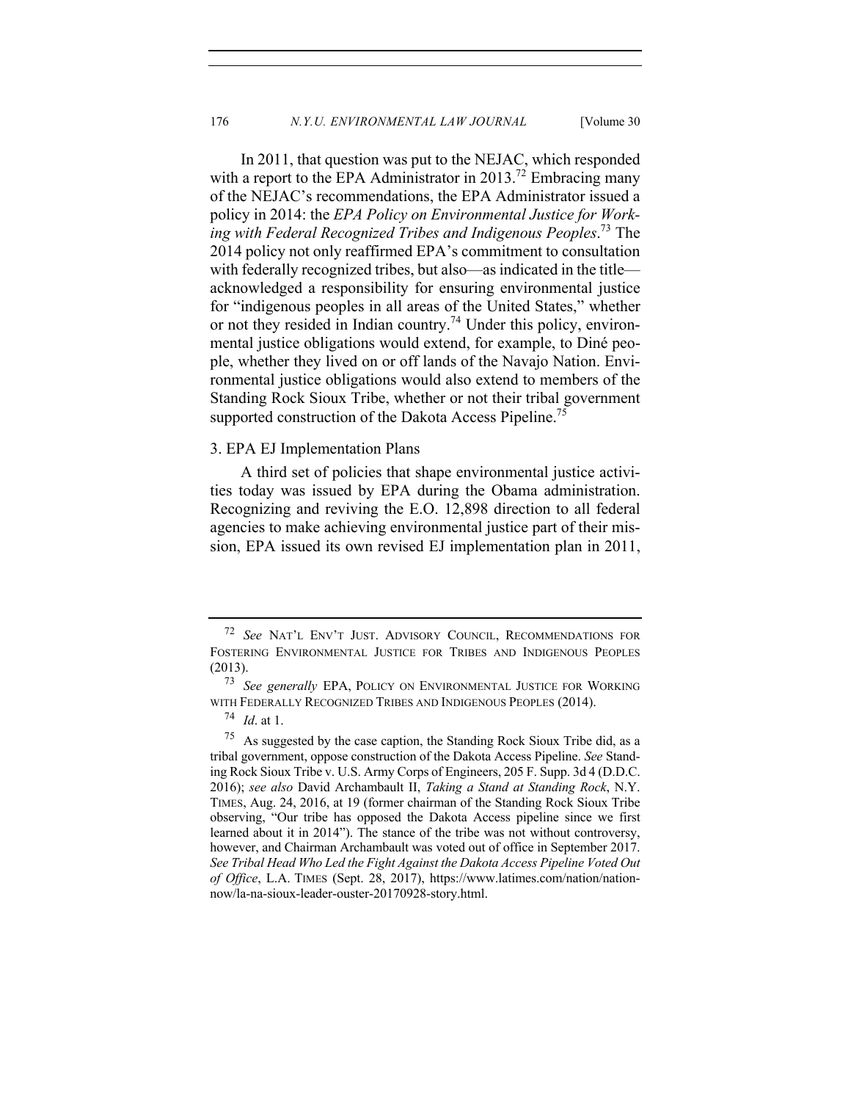In 2011, that question was put to the NEJAC, which responded with a report to the EPA Administrator in 2013.<sup>72</sup> Embracing many of the NEJAC's recommendations, the EPA Administrator issued a policy in 2014: the *EPA Policy on Environmental Justice for Working with Federal Recognized Tribes and Indigenous Peoples*. <sup>73</sup> The 2014 policy not only reaffirmed EPA's commitment to consultation with federally recognized tribes, but also—as indicated in the title acknowledged a responsibility for ensuring environmental justice for "indigenous peoples in all areas of the United States," whether or not they resided in Indian country.<sup>74</sup> Under this policy, environmental justice obligations would extend, for example, to Diné people, whether they lived on or off lands of the Navajo Nation. Environmental justice obligations would also extend to members of the Standing Rock Sioux Tribe, whether or not their tribal government supported construction of the Dakota Access Pipeline.<sup>75</sup>

#### 3. EPA EJ Implementation Plans

A third set of policies that shape environmental justice activities today was issued by EPA during the Obama administration. Recognizing and reviving the E.O. 12,898 direction to all federal agencies to make achieving environmental justice part of their mission, EPA issued its own revised EJ implementation plan in 2011,

<sup>72</sup> *See* NAT'L ENV'T JUST. ADVISORY COUNCIL, RECOMMENDATIONS FOR FOSTERING ENVIRONMENTAL JUSTICE FOR TRIBES AND INDIGENOUS PEOPLES (2013).

<sup>73</sup> *See generally* EPA, POLICY ON ENVIRONMENTAL JUSTICE FOR WORKING WITH FEDERALLY RECOGNIZED TRIBES AND INDIGENOUS PEOPLES (2014).

<sup>74</sup> *Id*. at 1.

 $75$  As suggested by the case caption, the Standing Rock Sioux Tribe did, as a tribal government, oppose construction of the Dakota Access Pipeline. *See* Standing Rock Sioux Tribe v. U.S. Army Corps of Engineers, 205 F. Supp. 3d 4 (D.D.C. 2016); *see also* David Archambault II, *Taking a Stand at Standing Rock*, N.Y. TIMES, Aug. 24, 2016, at 19 (former chairman of the Standing Rock Sioux Tribe observing, "Our tribe has opposed the Dakota Access pipeline since we first learned about it in 2014"). The stance of the tribe was not without controversy, however, and Chairman Archambault was voted out of office in September 2017. *See Tribal Head Who Led the Fight Against the Dakota Access Pipeline Voted Out of Office*, L.A. TIMES (Sept. 28, 2017), https://www.latimes.com/nation/nationnow/la-na-sioux-leader-ouster-20170928-story.html.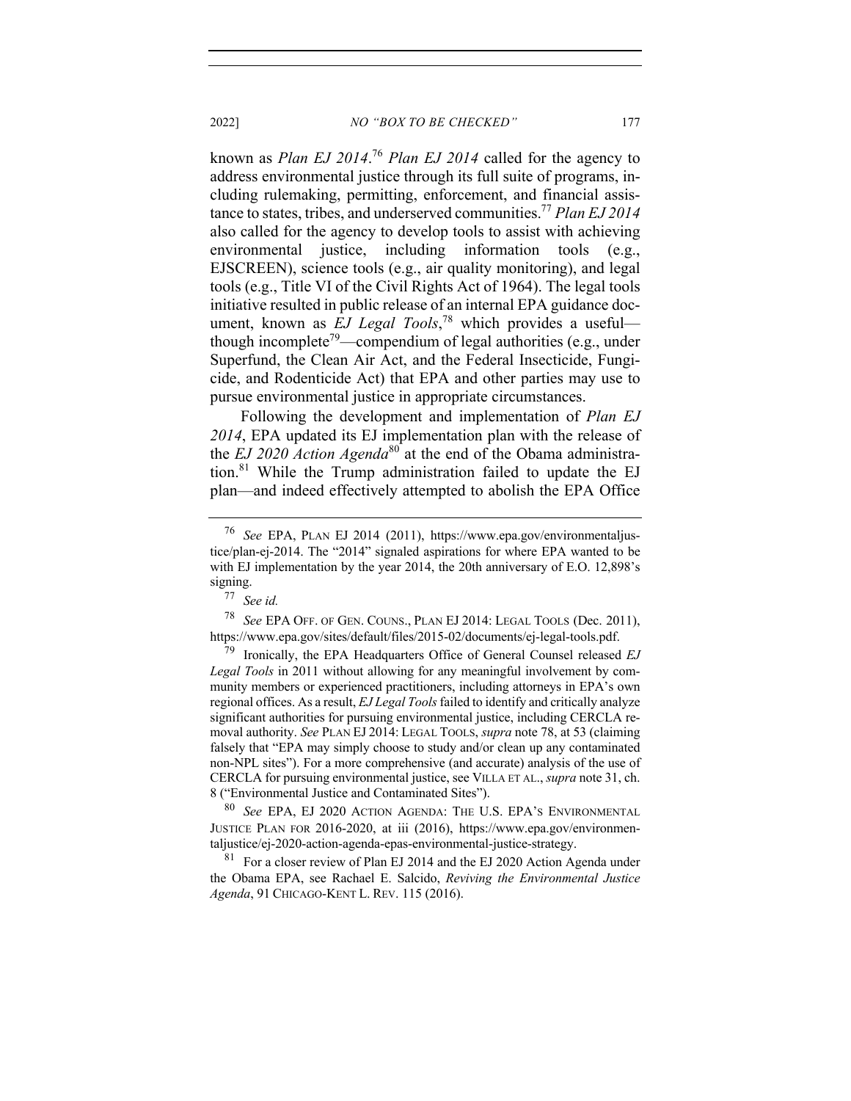known as *Plan EJ 2014*. <sup>76</sup> *Plan EJ 2014* called for the agency to address environmental justice through its full suite of programs, including rulemaking, permitting, enforcement, and financial assistance to states, tribes, and underserved communities.77 *Plan EJ 2014* also called for the agency to develop tools to assist with achieving environmental justice, including information tools (e.g., EJSCREEN), science tools (e.g., air quality monitoring), and legal tools (e.g., Title VI of the Civil Rights Act of 1964). The legal tools initiative resulted in public release of an internal EPA guidance document, known as *EJ Legal Tools*, <sup>78</sup> which provides a useful though incomplete<sup>79</sup>—compendium of legal authorities (e.g., under Superfund, the Clean Air Act, and the Federal Insecticide, Fungicide, and Rodenticide Act) that EPA and other parties may use to pursue environmental justice in appropriate circumstances.

Following the development and implementation of *Plan EJ 2014*, EPA updated its EJ implementation plan with the release of the *EJ 2020 Action Agenda*<sup>80</sup> at the end of the Obama administration. $81$  While the Trump administration failed to update the EJ plan—and indeed effectively attempted to abolish the EPA Office

<sup>76</sup> *See* EPA, PLAN EJ 2014 (2011), https://www.epa.gov/environmentaljustice/plan-ej-2014. The "2014" signaled aspirations for where EPA wanted to be with EJ implementation by the year 2014, the 20th anniversary of E.O. 12,898's signing.

<sup>77</sup> *See id.*

<sup>78</sup> *See* EPA OFF. OF GEN. COUNS., PLAN EJ 2014: LEGAL TOOLS (Dec. 2011), https://www.epa.gov/sites/default/files/2015-02/documents/ej-legal-tools.pdf.

<sup>79</sup> Ironically, the EPA Headquarters Office of General Counsel released *EJ Legal Tools* in 2011 without allowing for any meaningful involvement by community members or experienced practitioners, including attorneys in EPA's own regional offices. As a result, *EJ Legal Tools*failed to identify and critically analyze significant authorities for pursuing environmental justice, including CERCLA removal authority. *See* PLAN EJ 2014: LEGAL TOOLS, *supra* note 78, at 53 (claiming falsely that "EPA may simply choose to study and/or clean up any contaminated non-NPL sites"). For a more comprehensive (and accurate) analysis of the use of CERCLA for pursuing environmental justice, see VILLA ET AL., *supra* note 31, ch. 8 ("Environmental Justice and Contaminated Sites").

<sup>80</sup> *See* EPA, EJ 2020 ACTION AGENDA: THE U.S. EPA'S ENVIRONMENTAL JUSTICE PLAN FOR 2016-2020, at iii (2016), https://www.epa.gov/environmentaljustice/ej-2020-action-agenda-epas-environmental-justice-strategy.

<sup>&</sup>lt;sup>81</sup> For a closer review of Plan EJ 2014 and the EJ 2020 Action Agenda under the Obama EPA, see Rachael E. Salcido, *Reviving the Environmental Justice Agenda*, 91 CHICAGO-KENT L. REV. 115 (2016).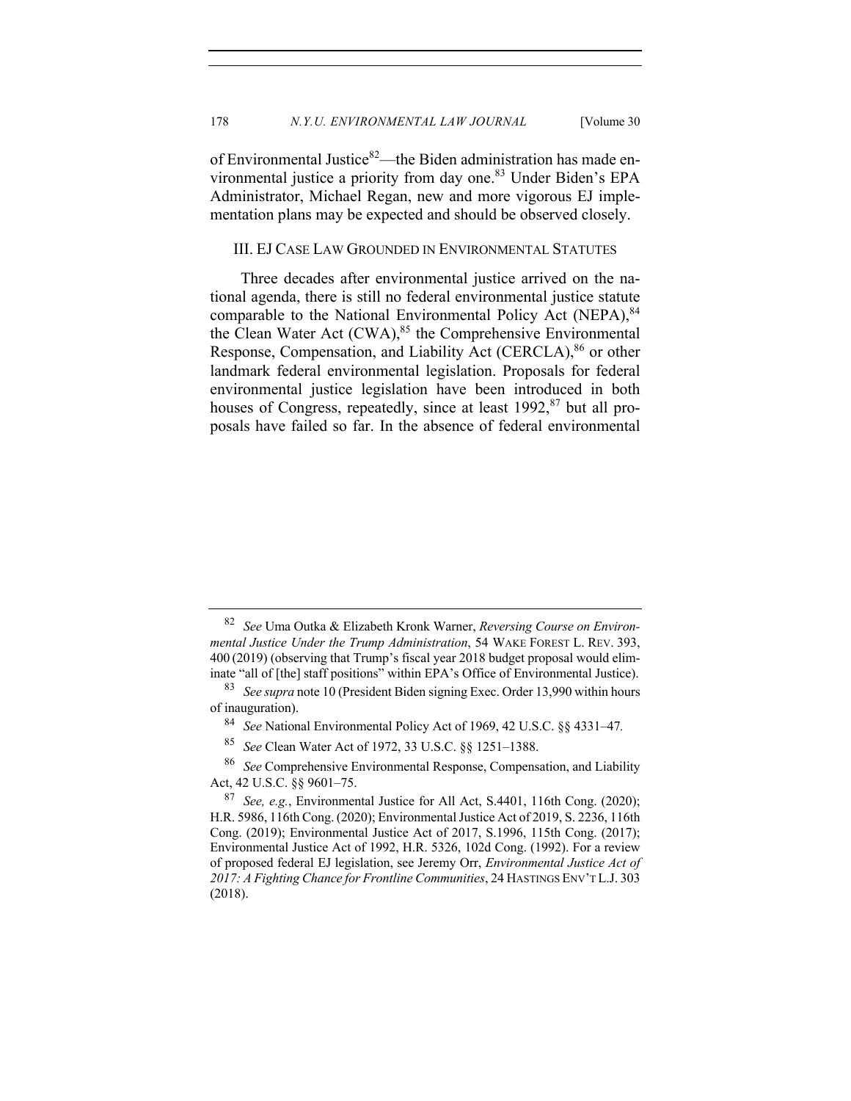of Environmental Justice<sup>82</sup>—the Biden administration has made environmental justice a priority from day one.<sup>83</sup> Under Biden's EPA Administrator, Michael Regan, new and more vigorous EJ implementation plans may be expected and should be observed closely.

#### III. EJ CASE LAW GROUNDED IN ENVIRONMENTAL STATUTES

Three decades after environmental justice arrived on the national agenda, there is still no federal environmental justice statute comparable to the National Environmental Policy Act (NEPA), 84 the Clean Water Act  $(CWA)$ ,<sup>85</sup> the Comprehensive Environmental Response, Compensation, and Liability Act (CERCLA),<sup>86</sup> or other landmark federal environmental legislation. Proposals for federal environmental justice legislation have been introduced in both houses of Congress, repeatedly, since at least  $1992$ ,  $87$  but all proposals have failed so far. In the absence of federal environmental

<sup>82</sup> *See* Uma Outka & Elizabeth Kronk Warner, *Reversing Course on Environmental Justice Under the Trump Administration*, 54 WAKE FOREST L. REV. 393, 400 (2019) (observing that Trump's fiscal year 2018 budget proposal would eliminate "all of [the] staff positions" within EPA's Office of Environmental Justice).

<sup>83</sup> *See supra* note 10 (President Biden signing Exec. Order 13,990 within hours of inauguration).

<sup>84</sup> *See* National Environmental Policy Act of 1969, 42 U.S.C. §§ 4331–47*.*

<sup>85</sup> *See* Clean Water Act of 1972, 33 U.S.C. §§ 1251–1388.

<sup>86</sup> *See* Comprehensive Environmental Response, Compensation, and Liability Act, 42 U.S.C. §§ 9601–75.

<sup>87</sup> *See, e.g.*, Environmental Justice for All Act, S.4401, 116th Cong. (2020); H.R. 5986, 116th Cong. (2020); Environmental Justice Act of 2019, S. 2236, 116th Cong. (2019); Environmental Justice Act of 2017, S.1996, 115th Cong. (2017); Environmental Justice Act of 1992, H.R. 5326, 102d Cong. (1992). For a review of proposed federal EJ legislation, see Jeremy Orr, *Environmental Justice Act of 2017: A Fighting Chance for Frontline Communities*, 24 HASTINGS ENV'T L.J. 303 (2018).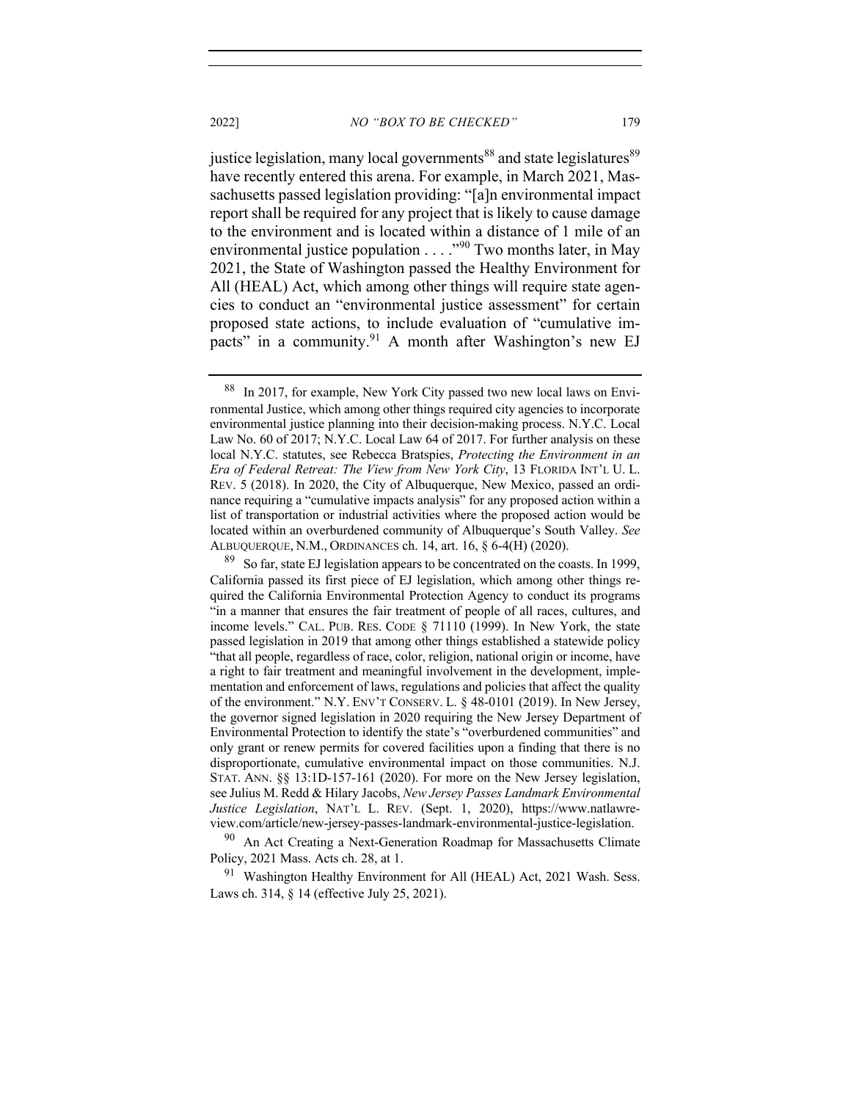justice legislation, many local governments<sup>88</sup> and state legislatures<sup>89</sup> have recently entered this arena. For example, in March 2021, Massachusetts passed legislation providing: "[a]n environmental impact report shall be required for any project that is likely to cause damage to the environment and is located within a distance of 1 mile of an environmental justice population . . . . "<sup>90</sup> Two months later, in May 2021, the State of Washington passed the Healthy Environment for All (HEAL) Act, which among other things will require state agencies to conduct an "environmental justice assessment" for certain proposed state actions, to include evaluation of "cumulative impacts" in a community. $91$  A month after Washington's new EJ

<sup>90</sup> An Act Creating a Next-Generation Roadmap for Massachusetts Climate Policy, 2021 Mass. Acts ch. 28, at 1.

 $91$  Washington Healthy Environment for All (HEAL) Act, 2021 Wash. Sess. Laws ch. 314, § 14 (effective July 25, 2021).

<sup>88</sup> In 2017, for example, New York City passed two new local laws on Environmental Justice, which among other things required city agencies to incorporate environmental justice planning into their decision-making process. N.Y.C. Local Law No. 60 of 2017; N.Y.C. Local Law 64 of 2017. For further analysis on these local N.Y.C. statutes, see Rebecca Bratspies, *Protecting the Environment in an Era of Federal Retreat: The View from New York City*, 13 FLORIDA INT'L U. L. REV. 5 (2018). In 2020, the City of Albuquerque, New Mexico, passed an ordinance requiring a "cumulative impacts analysis" for any proposed action within a list of transportation or industrial activities where the proposed action would be located within an overburdened community of Albuquerque's South Valley. *See* ALBUQUERQUE, N.M., ORDINANCES ch. 14, art. 16, § 6-4(H) (2020).

 $89\text{ }$  So far, state EJ legislation appears to be concentrated on the coasts. In 1999, California passed its first piece of EJ legislation, which among other things required the California Environmental Protection Agency to conduct its programs "in a manner that ensures the fair treatment of people of all races, cultures, and income levels." CAL. PUB. RES. CODE § 71110 (1999). In New York, the state passed legislation in 2019 that among other things established a statewide policy "that all people, regardless of race, color, religion, national origin or income, have a right to fair treatment and meaningful involvement in the development, implementation and enforcement of laws, regulations and policies that affect the quality of the environment." N.Y. ENV'T CONSERV. L. § 48-0101 (2019). In New Jersey, the governor signed legislation in 2020 requiring the New Jersey Department of Environmental Protection to identify the state's "overburdened communities" and only grant or renew permits for covered facilities upon a finding that there is no disproportionate, cumulative environmental impact on those communities. N.J. STAT. ANN. §§ 13:1D-157-161 (2020). For more on the New Jersey legislation, see Julius M. Redd & Hilary Jacobs, *New Jersey Passes Landmark Environmental Justice Legislation*, NAT'L L. REV. (Sept. 1, 2020), https://www.natlawreview.com/article/new-jersey-passes-landmark-environmental-justice-legislation.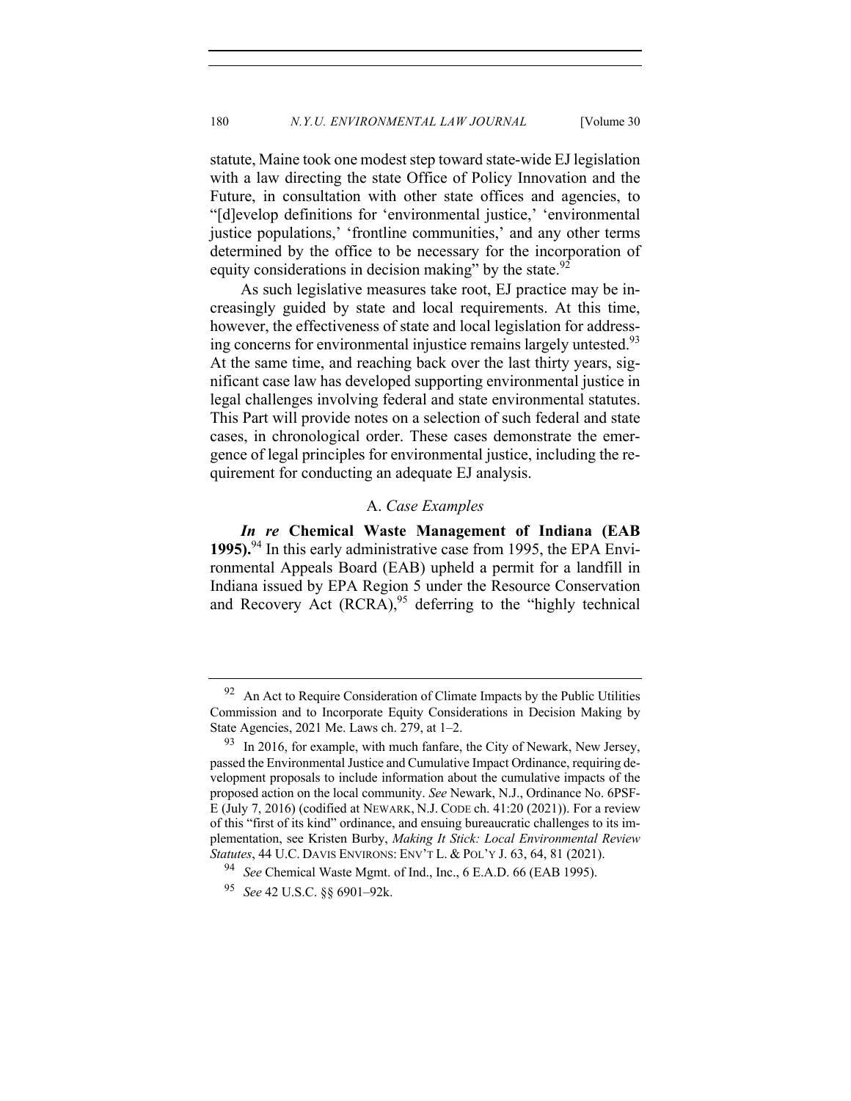statute, Maine took one modest step toward state-wide EJ legislation with a law directing the state Office of Policy Innovation and the Future, in consultation with other state offices and agencies, to "[d]evelop definitions for 'environmental justice,' 'environmental justice populations,' 'frontline communities,' and any other terms determined by the office to be necessary for the incorporation of equity considerations in decision making" by the state. $92$ 

As such legislative measures take root, EJ practice may be increasingly guided by state and local requirements. At this time, however, the effectiveness of state and local legislation for addressing concerns for environmental injustice remains largely untested.<sup>93</sup> At the same time, and reaching back over the last thirty years, significant case law has developed supporting environmental justice in legal challenges involving federal and state environmental statutes. This Part will provide notes on a selection of such federal and state cases, in chronological order. These cases demonstrate the emergence of legal principles for environmental justice, including the requirement for conducting an adequate EJ analysis.

# A. *Case Examples*

*In re* **Chemical Waste Management of Indiana (EAB 1995).**<sup>94</sup> In this early administrative case from 1995, the EPA Environmental Appeals Board (EAB) upheld a permit for a landfill in Indiana issued by EPA Region 5 under the Resource Conservation and Recovery Act  $(RCRA)$ ,<sup>95</sup> deferring to the "highly technical

 $92$  An Act to Require Consideration of Climate Impacts by the Public Utilities Commission and to Incorporate Equity Considerations in Decision Making by State Agencies, 2021 Me. Laws ch. 279, at 1–2.

 $93$  In 2016, for example, with much fanfare, the City of Newark, New Jersey, passed the Environmental Justice and Cumulative Impact Ordinance, requiring development proposals to include information about the cumulative impacts of the proposed action on the local community. *See* Newark, N.J., Ordinance No. 6PSF-E (July 7, 2016) (codified at NEWARK, N.J. CODE ch. 41:20 (2021)). For a review of this "first of its kind" ordinance, and ensuing bureaucratic challenges to its implementation, see Kristen Burby, *Making It Stick: Local Environmental Review Statutes*, 44 U.C. DAVIS ENVIRONS: ENV'T L. & POL'Y J. 63, 64, 81 (2021).

<sup>94</sup> *See* Chemical Waste Mgmt. of Ind., Inc., 6 E.A.D. 66 (EAB 1995).

<sup>95</sup> *See* 42 U.S.C. §§ 6901–92k.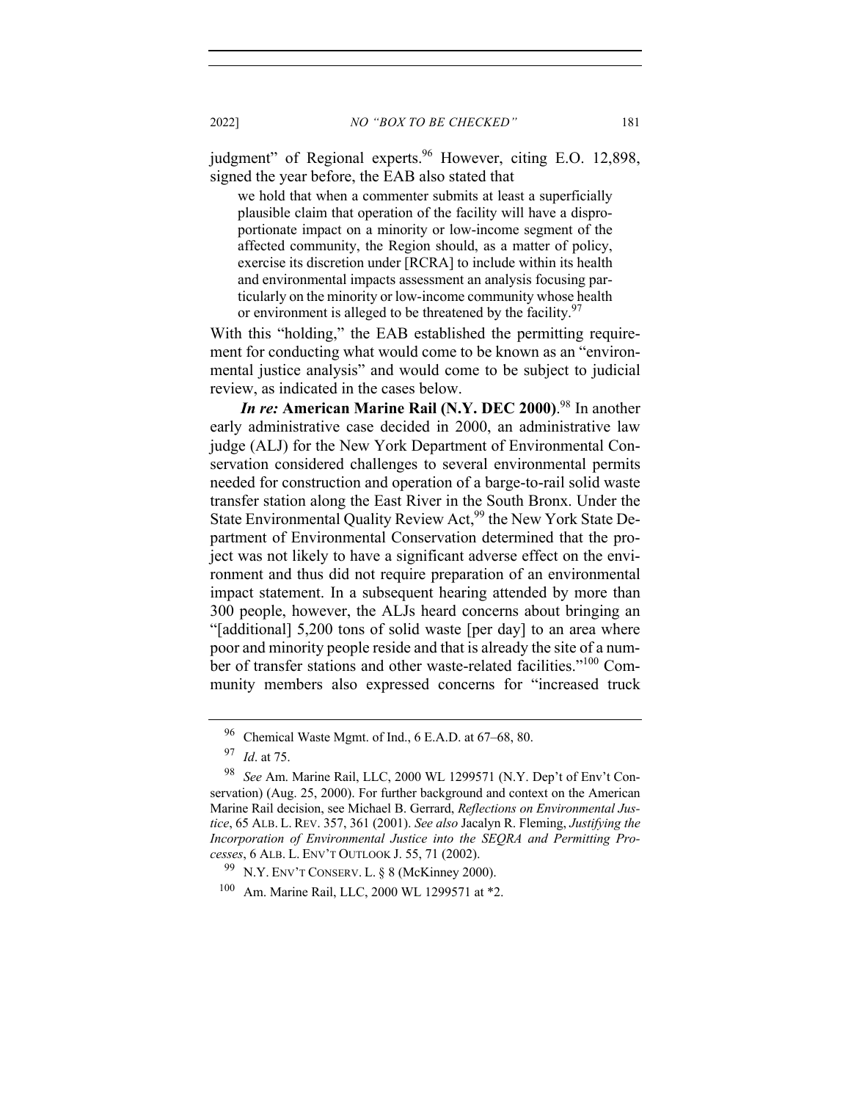judgment" of Regional experts.<sup>96</sup> However, citing E.O. 12,898, signed the year before, the EAB also stated that

we hold that when a commenter submits at least a superficially plausible claim that operation of the facility will have a disproportionate impact on a minority or low-income segment of the affected community, the Region should, as a matter of policy, exercise its discretion under [RCRA] to include within its health and environmental impacts assessment an analysis focusing particularly on the minority or low-income community whose health or environment is alleged to be threatened by the facility. $97$ 

With this "holding," the EAB established the permitting requirement for conducting what would come to be known as an "environmental justice analysis" and would come to be subject to judicial review, as indicated in the cases below.

*In re:* **American Marine Rail (N.Y. DEC 2000)**. <sup>98</sup> In another early administrative case decided in 2000, an administrative law judge (ALJ) for the New York Department of Environmental Conservation considered challenges to several environmental permits needed for construction and operation of a barge-to-rail solid waste transfer station along the East River in the South Bronx. Under the State Environmental Quality Review Act,<sup>99</sup> the New York State Department of Environmental Conservation determined that the project was not likely to have a significant adverse effect on the environment and thus did not require preparation of an environmental impact statement. In a subsequent hearing attended by more than 300 people, however, the ALJs heard concerns about bringing an "[additional] 5,200 tons of solid waste [per day] to an area where poor and minority people reside and that is already the site of a number of transfer stations and other waste-related facilities."100 Community members also expressed concerns for "increased truck

<sup>96</sup> Chemical Waste Mgmt. of Ind., 6 E.A.D. at 67–68, 80.

<sup>97</sup> *Id*. at 75.

<sup>98</sup> *See* Am. Marine Rail, LLC, 2000 WL 1299571 (N.Y. Dep't of Env't Conservation) (Aug. 25, 2000). For further background and context on the American Marine Rail decision, see Michael B. Gerrard, *Reflections on Environmental Justice*, 65 ALB. L. REV. 357, 361 (2001). *See also* Jacalyn R. Fleming, *Justifying the Incorporation of Environmental Justice into the SEQRA and Permitting Processes*, 6 ALB. L. ENV'T OUTLOOK J. 55, 71 (2002).

 $99$  N.Y. ENV'T CONSERV. L. § 8 (McKinney 2000).

<sup>100</sup> Am. Marine Rail, LLC, 2000 WL 1299571 at \*2.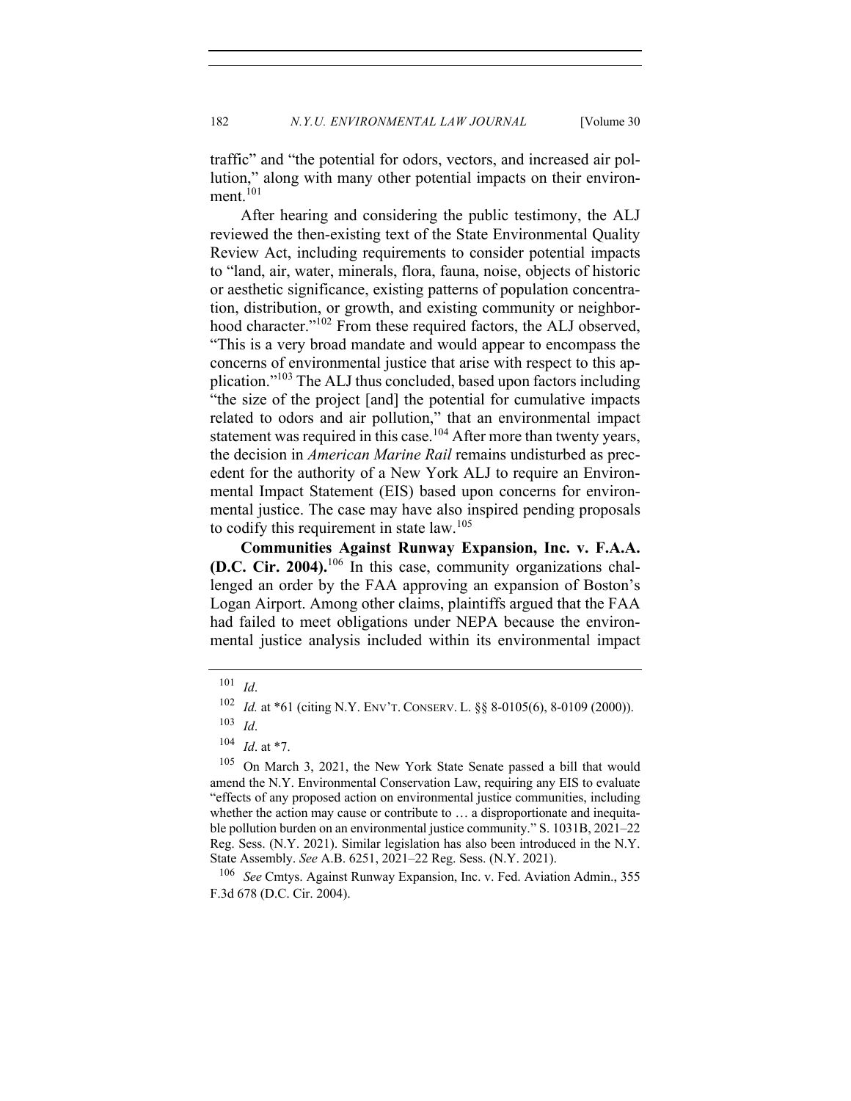traffic" and "the potential for odors, vectors, and increased air pollution," along with many other potential impacts on their environment.<sup>101</sup>

After hearing and considering the public testimony, the ALJ reviewed the then-existing text of the State Environmental Quality Review Act, including requirements to consider potential impacts to "land, air, water, minerals, flora, fauna, noise, objects of historic or aesthetic significance, existing patterns of population concentration, distribution, or growth, and existing community or neighborhood character."<sup>102</sup> From these required factors, the ALJ observed, "This is a very broad mandate and would appear to encompass the concerns of environmental justice that arise with respect to this application."<sup>103</sup> The ALJ thus concluded, based upon factors including "the size of the project [and] the potential for cumulative impacts related to odors and air pollution," that an environmental impact statement was required in this case.<sup>104</sup> After more than twenty years, the decision in *American Marine Rail* remains undisturbed as precedent for the authority of a New York ALJ to require an Environmental Impact Statement (EIS) based upon concerns for environmental justice. The case may have also inspired pending proposals to codify this requirement in state law.<sup>105</sup>

**Communities Against Runway Expansion, Inc. v. F.A.A. (D.C. Cir. 2004).**<sup>106</sup> In this case, community organizations challenged an order by the FAA approving an expansion of Boston's Logan Airport. Among other claims, plaintiffs argued that the FAA had failed to meet obligations under NEPA because the environmental justice analysis included within its environmental impact

<sup>106</sup> *See* Cmtys. Against Runway Expansion, Inc. v. Fed. Aviation Admin., 355 F.3d 678 (D.C. Cir. 2004).

<sup>101</sup> *Id*.

<sup>&</sup>lt;sup>102</sup> *Id.* at \*61 (citing N.Y. ENV'T. CONSERV. L. §§ 8-0105(6), 8-0109 (2000)).

<sup>103</sup> *Id*.

<sup>104</sup> *Id*. at \*7.

<sup>&</sup>lt;sup>105</sup> On March 3, 2021, the New York State Senate passed a bill that would amend the N.Y. Environmental Conservation Law, requiring any EIS to evaluate "effects of any proposed action on environmental justice communities, including whether the action may cause or contribute to ... a disproportionate and inequitable pollution burden on an environmental justice community." S. 1031B, 2021–22 Reg. Sess. (N.Y. 2021). Similar legislation has also been introduced in the N.Y. State Assembly. *See* A.B. 6251, 2021–22 Reg. Sess. (N.Y. 2021).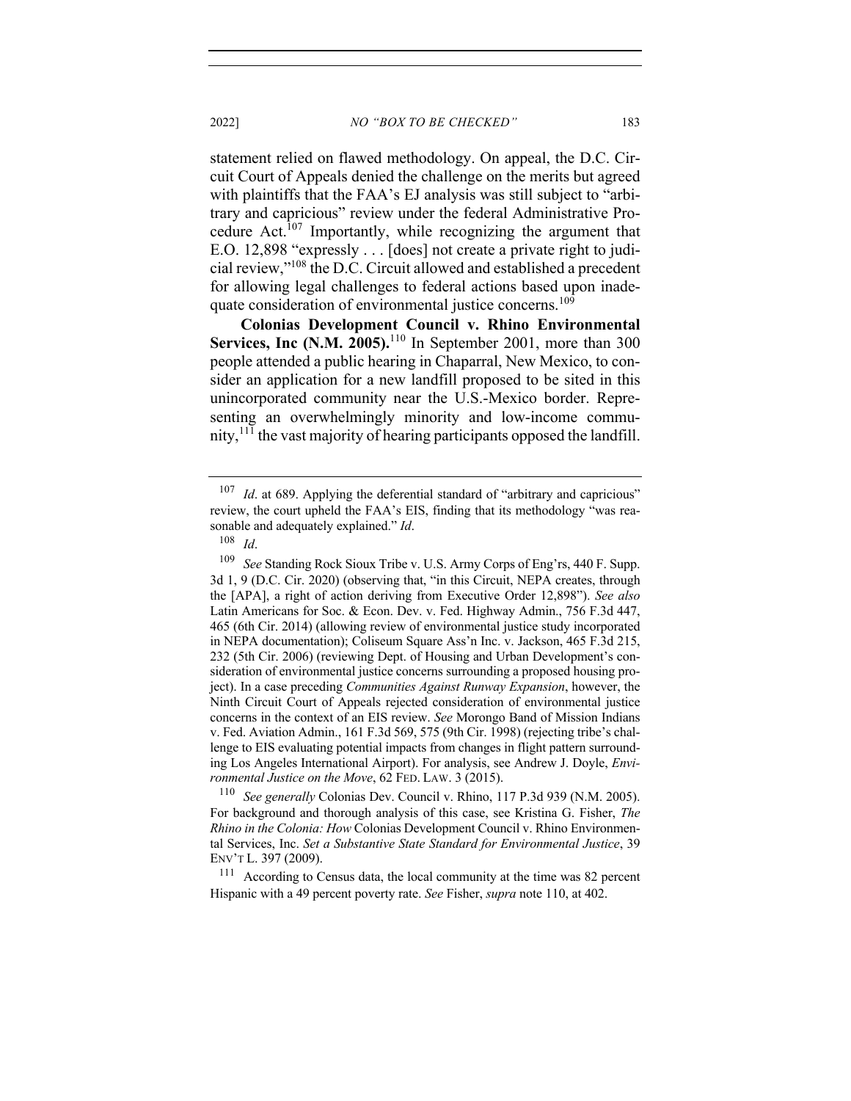statement relied on flawed methodology. On appeal, the D.C. Circuit Court of Appeals denied the challenge on the merits but agreed with plaintiffs that the FAA's EJ analysis was still subject to "arbitrary and capricious" review under the federal Administrative Procedure Act.<sup>107</sup> Importantly, while recognizing the argument that E.O. 12,898 "expressly . . . [does] not create a private right to judicial review,"108 the D.C. Circuit allowed and established a precedent for allowing legal challenges to federal actions based upon inadequate consideration of environmental justice concerns.<sup>109</sup>

**Colonias Development Council v. Rhino Environmental Services, Inc (N.M. 2005).**<sup>110</sup> In September 2001, more than 300 people attended a public hearing in Chaparral, New Mexico, to consider an application for a new landfill proposed to be sited in this unincorporated community near the U.S.-Mexico border. Representing an overwhelmingly minority and low-income community,  $111$  the vast majority of hearing participants opposed the landfill.

<sup>110</sup> *See generally* Colonias Dev. Council v. Rhino, 117 P.3d 939 (N.M. 2005). For background and thorough analysis of this case, see Kristina G. Fisher, *The Rhino in the Colonia: How* Colonias Development Council v. Rhino Environmental Services, Inc. *Set a Substantive State Standard for Environmental Justice*, 39 ENV'T L. 397 (2009).

<sup>111</sup> According to Census data, the local community at the time was 82 percent Hispanic with a 49 percent poverty rate. *See* Fisher, *supra* note 110, at 402.

<sup>&</sup>lt;sup>107</sup> *Id.* at 689. Applying the deferential standard of "arbitrary and capricious" review, the court upheld the FAA's EIS, finding that its methodology "was reasonable and adequately explained." *Id*. 108 *Id*.

<sup>109</sup> *See* Standing Rock Sioux Tribe v. U.S. Army Corps of Eng'rs, 440 F. Supp. 3d 1, 9 (D.C. Cir. 2020) (observing that, "in this Circuit, NEPA creates, through the [APA], a right of action deriving from Executive Order 12,898"). *See also* Latin Americans for Soc. & Econ. Dev. v. Fed. Highway Admin., 756 F.3d 447, 465 (6th Cir. 2014) (allowing review of environmental justice study incorporated in NEPA documentation); Coliseum Square Ass'n Inc. v. Jackson, 465 F.3d 215, 232 (5th Cir. 2006) (reviewing Dept. of Housing and Urban Development's consideration of environmental justice concerns surrounding a proposed housing project). In a case preceding *Communities Against Runway Expansion*, however, the Ninth Circuit Court of Appeals rejected consideration of environmental justice concerns in the context of an EIS review. *See* Morongo Band of Mission Indians v. Fed. Aviation Admin., 161 F.3d 569, 575 (9th Cir. 1998) (rejecting tribe's challenge to EIS evaluating potential impacts from changes in flight pattern surrounding Los Angeles International Airport). For analysis, see Andrew J. Doyle, *Environmental Justice on the Move*, 62 FED. LAW. 3 (2015).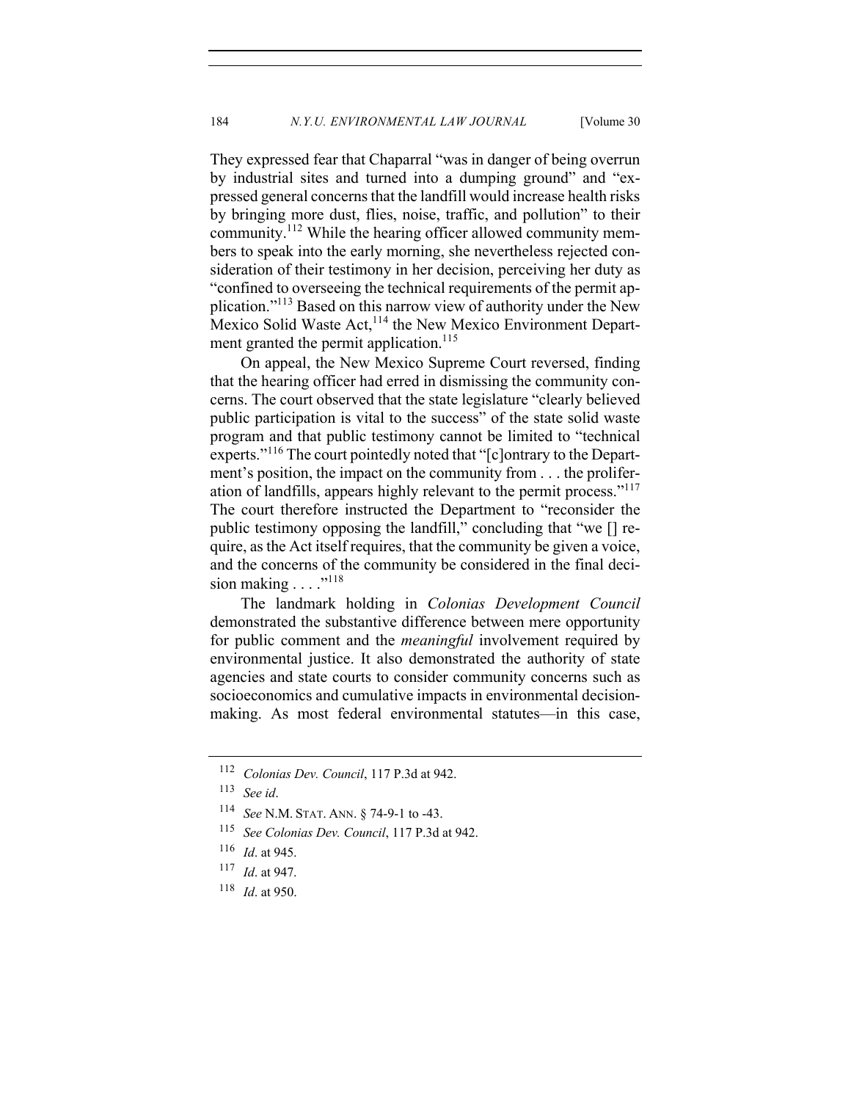They expressed fear that Chaparral "was in danger of being overrun by industrial sites and turned into a dumping ground" and "expressed general concerns that the landfill would increase health risks by bringing more dust, flies, noise, traffic, and pollution" to their community.112 While the hearing officer allowed community members to speak into the early morning, she nevertheless rejected consideration of their testimony in her decision, perceiving her duty as

"confined to overseeing the technical requirements of the permit application."<sup>113</sup> Based on this narrow view of authority under the New Mexico Solid Waste Act,<sup>114</sup> the New Mexico Environment Department granted the permit application.<sup>115</sup>

On appeal, the New Mexico Supreme Court reversed, finding that the hearing officer had erred in dismissing the community concerns. The court observed that the state legislature "clearly believed public participation is vital to the success" of the state solid waste program and that public testimony cannot be limited to "technical experts."<sup>116</sup> The court pointedly noted that "[c]ontrary to the Department's position, the impact on the community from . . . the proliferation of landfills, appears highly relevant to the permit process."<sup>117</sup> The court therefore instructed the Department to "reconsider the public testimony opposing the landfill," concluding that "we [] require, as the Act itself requires, that the community be given a voice, and the concerns of the community be considered in the final decision making . . . ."<sup>118</sup>

The landmark holding in *Colonias Development Council* demonstrated the substantive difference between mere opportunity for public comment and the *meaningful* involvement required by environmental justice. It also demonstrated the authority of state agencies and state courts to consider community concerns such as socioeconomics and cumulative impacts in environmental decisionmaking. As most federal environmental statutes—in this case,

<sup>118</sup> *Id*. at 950.

<sup>112</sup> *Colonias Dev. Council*, 117 P.3d at 942.

<sup>113</sup> *See id*.

<sup>114</sup> *See* N.M. STAT. ANN. § 74-9-1 to -43.

<sup>115</sup> *See Colonias Dev. Council*, 117 P.3d at 942.

<sup>116</sup> *Id*. at 945.

<sup>117</sup> *Id*. at 947.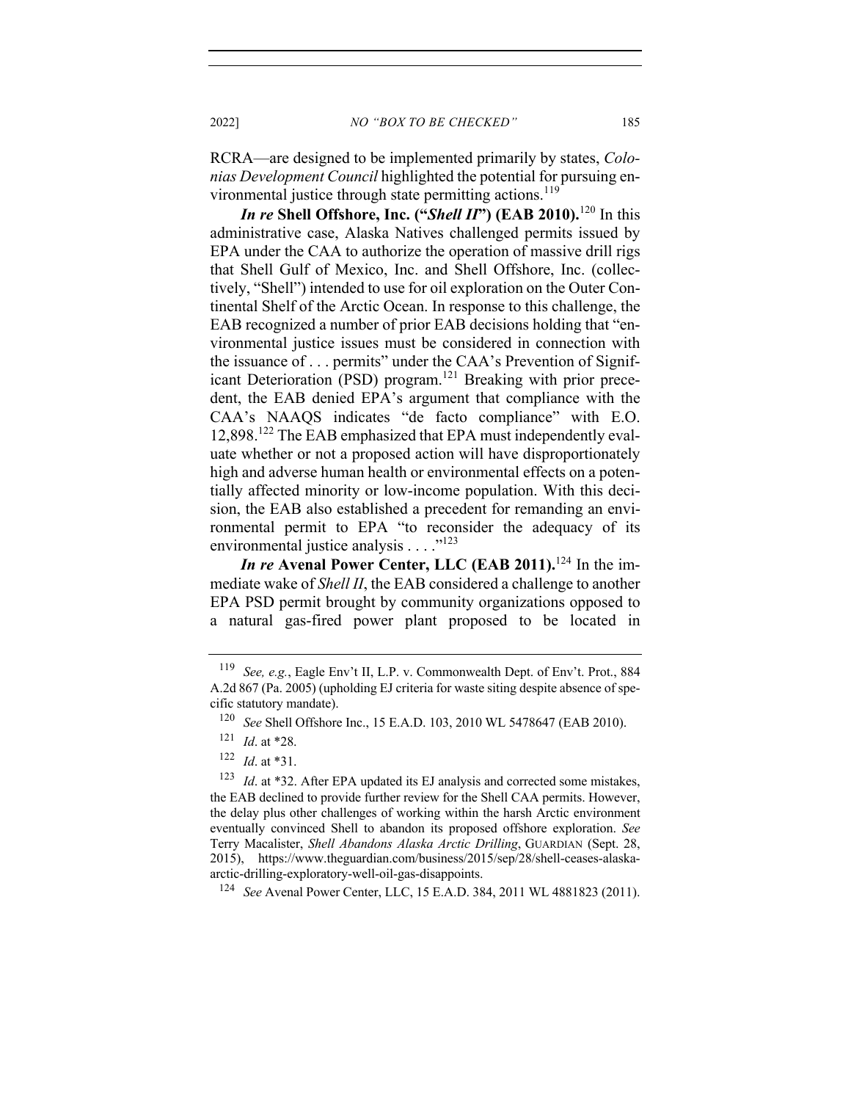RCRA—are designed to be implemented primarily by states, *Colonias Development Council* highlighted the potential for pursuing environmental justice through state permitting actions.<sup>119</sup>

*In re* **Shell Offshore, Inc. ("***Shell II***") (EAB 2010).**<sup>120</sup> In this administrative case, Alaska Natives challenged permits issued by EPA under the CAA to authorize the operation of massive drill rigs that Shell Gulf of Mexico, Inc. and Shell Offshore, Inc. (collectively, "Shell") intended to use for oil exploration on the Outer Continental Shelf of the Arctic Ocean. In response to this challenge, the EAB recognized a number of prior EAB decisions holding that "environmental justice issues must be considered in connection with the issuance of . . . permits" under the CAA's Prevention of Significant Deterioration (PSD) program.<sup>121</sup> Breaking with prior precedent, the EAB denied EPA's argument that compliance with the CAA's NAAQS indicates "de facto compliance" with E.O. 12,898.<sup>122</sup> The EAB emphasized that EPA must independently evaluate whether or not a proposed action will have disproportionately high and adverse human health or environmental effects on a potentially affected minority or low-income population. With this decision, the EAB also established a precedent for remanding an environmental permit to EPA "to reconsider the adequacy of its environmental justice analysis . . . . "<sup>123</sup>

*In re* **Avenal Power Center, LLC (EAB 2011).**<sup>124</sup> In the immediate wake of *Shell II*, the EAB considered a challenge to another EPA PSD permit brought by community organizations opposed to a natural gas-fired power plant proposed to be located in

<sup>124</sup> *See* Avenal Power Center, LLC, 15 E.A.D. 384, 2011 WL 4881823 (2011).

<sup>119</sup> *See, e.g.*, Eagle Env't II, L.P. v. Commonwealth Dept. of Env't. Prot., 884 A.2d 867 (Pa. 2005) (upholding EJ criteria for waste siting despite absence of specific statutory mandate).

<sup>120</sup> *See* Shell Offshore Inc., 15 E.A.D. 103, 2010 WL 5478647 (EAB 2010).

<sup>121</sup> *Id*. at \*28.

<sup>122</sup> *Id*. at \*31.

<sup>&</sup>lt;sup>123</sup> *Id.* at \*32. After EPA updated its EJ analysis and corrected some mistakes, the EAB declined to provide further review for the Shell CAA permits. However, the delay plus other challenges of working within the harsh Arctic environment eventually convinced Shell to abandon its proposed offshore exploration. *See*  Terry Macalister, *Shell Abandons Alaska Arctic Drilling*, GUARDIAN (Sept. 28, 2015), https://www.theguardian.com/business/2015/sep/28/shell-ceases-alaskaarctic-drilling-exploratory-well-oil-gas-disappoints.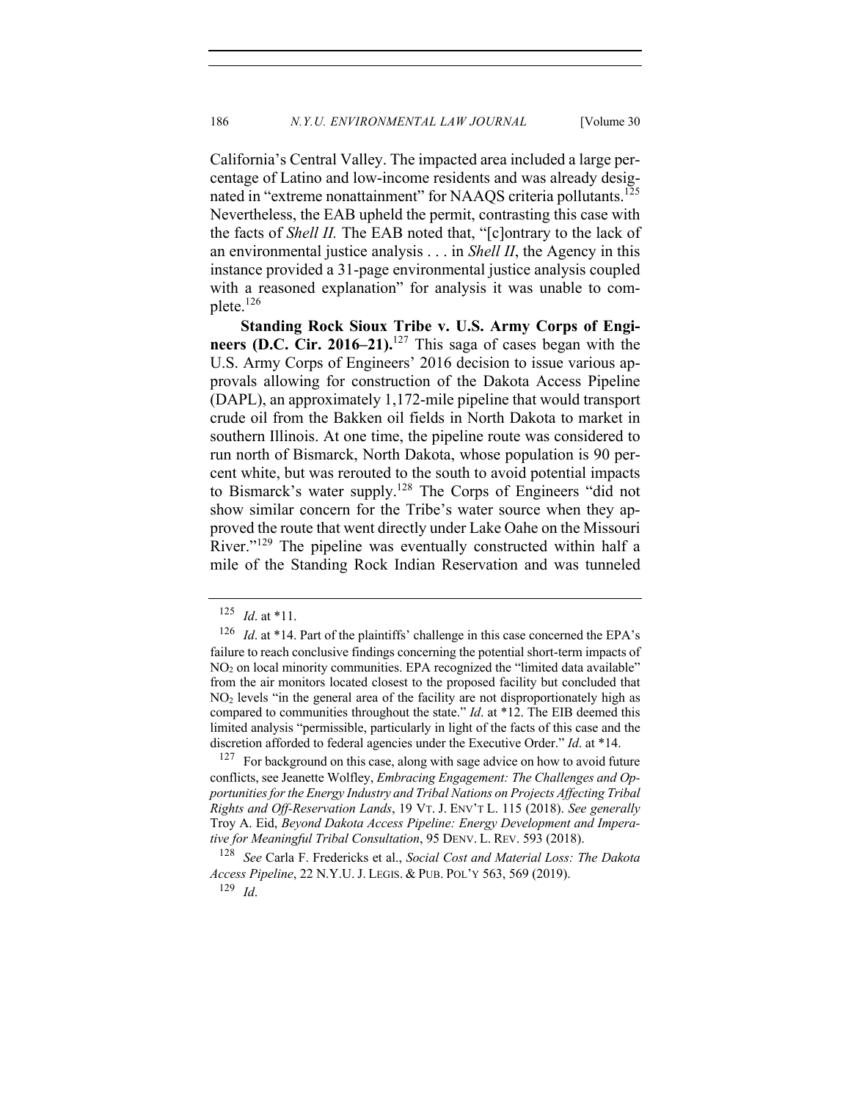California's Central Valley. The impacted area included a large percentage of Latino and low-income residents and was already designated in "extreme nonattainment" for NAAQS criteria pollutants.<sup>125</sup> Nevertheless, the EAB upheld the permit, contrasting this case with the facts of *Shell II.* The EAB noted that, "[c]ontrary to the lack of an environmental justice analysis . . . in *Shell II*, the Agency in this instance provided a 31-page environmental justice analysis coupled with a reasoned explanation" for analysis it was unable to complete.126

**Standing Rock Sioux Tribe v. U.S. Army Corps of Engineers (D.C. Cir. 2016–21).**<sup>127</sup> This saga of cases began with the U.S. Army Corps of Engineers' 2016 decision to issue various approvals allowing for construction of the Dakota Access Pipeline (DAPL), an approximately 1,172-mile pipeline that would transport crude oil from the Bakken oil fields in North Dakota to market in southern Illinois. At one time, the pipeline route was considered to run north of Bismarck, North Dakota, whose population is 90 percent white, but was rerouted to the south to avoid potential impacts to Bismarck's water supply.128 The Corps of Engineers "did not show similar concern for the Tribe's water source when they approved the route that went directly under Lake Oahe on the Missouri River."<sup>129</sup> The pipeline was eventually constructed within half a mile of the Standing Rock Indian Reservation and was tunneled

 $127$  For background on this case, along with sage advice on how to avoid future conflicts, see Jeanette Wolfley, *Embracing Engagement: The Challenges and Opportunities for the Energy Industry and Tribal Nations on Projects Affecting Tribal Rights and Off-Reservation Lands*, 19 VT. J. ENV'T L. 115 (2018). *See generally* Troy A. Eid, *Beyond Dakota Access Pipeline: Energy Development and Imperative for Meaningful Tribal Consultation*, 95 DENV. L. REV. 593 (2018).

 $125$  *Id.* at \*11.

<sup>&</sup>lt;sup>126</sup> *Id.* at \*14. Part of the plaintiffs' challenge in this case concerned the EPA's failure to reach conclusive findings concerning the potential short-term impacts of NO2 on local minority communities. EPA recognized the "limited data available" from the air monitors located closest to the proposed facility but concluded that  $NO<sub>2</sub>$  levels "in the general area of the facility are not disproportionately high as compared to communities throughout the state." *Id*. at \*12. The EIB deemed this limited analysis "permissible, particularly in light of the facts of this case and the discretion afforded to federal agencies under the Executive Order." *Id*. at \*14.

<sup>128</sup> *See* Carla F. Fredericks et al., *Social Cost and Material Loss: The Dakota Access Pipeline*, 22 N.Y.U.J. LEGIS. & PUB. POL'Y 563, 569 (2019).

<sup>129</sup> *Id*.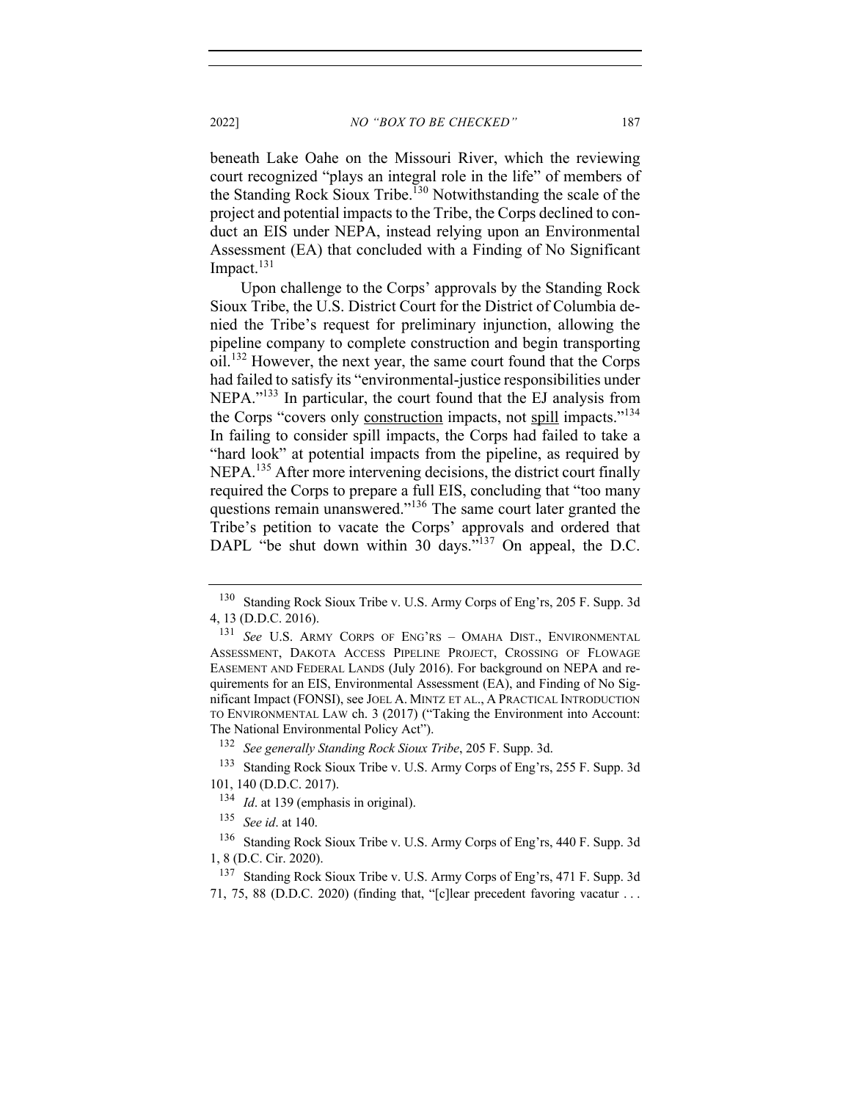beneath Lake Oahe on the Missouri River, which the reviewing court recognized "plays an integral role in the life" of members of the Standing Rock Sioux Tribe.<sup>130</sup> Notwithstanding the scale of the project and potential impacts to the Tribe, the Corps declined to conduct an EIS under NEPA, instead relying upon an Environmental Assessment (EA) that concluded with a Finding of No Significant Impact.<sup>131</sup>

Upon challenge to the Corps' approvals by the Standing Rock Sioux Tribe, the U.S. District Court for the District of Columbia denied the Tribe's request for preliminary injunction, allowing the pipeline company to complete construction and begin transporting oil.<sup>132</sup> However, the next year, the same court found that the Corps had failed to satisfy its "environmental-justice responsibilities under NEPA."133 In particular, the court found that the EJ analysis from the Corps "covers only construction impacts, not spill impacts."<sup>134</sup> In failing to consider spill impacts, the Corps had failed to take a "hard look" at potential impacts from the pipeline, as required by NEPA.<sup>135</sup> After more intervening decisions, the district court finally required the Corps to prepare a full EIS, concluding that "too many questions remain unanswered."<sup>136</sup> The same court later granted the Tribe's petition to vacate the Corps' approvals and ordered that DAPL "be shut down within 30 days."<sup>137</sup> On appeal, the D.C.

<sup>130</sup> Standing Rock Sioux Tribe v. U.S. Army Corps of Eng'rs, 205 F. Supp. 3d 4, 13 (D.D.C. 2016).

<sup>131</sup> *See* U.S. ARMY CORPS OF ENG'RS – OMAHA DIST., ENVIRONMENTAL ASSESSMENT, DAKOTA ACCESS PIPELINE PROJECT, CROSSING OF FLOWAGE EASEMENT AND FEDERAL LANDS (July 2016). For background on NEPA and requirements for an EIS, Environmental Assessment (EA), and Finding of No Significant Impact (FONSI), see JOEL A. MINTZ ET AL., A PRACTICAL INTRODUCTION TO ENVIRONMENTAL LAW ch. 3 (2017) ("Taking the Environment into Account: The National Environmental Policy Act").

<sup>132</sup> *See generally Standing Rock Sioux Tribe*, 205 F. Supp. 3d.

<sup>133</sup> Standing Rock Sioux Tribe v. U.S. Army Corps of Eng'rs, 255 F. Supp. 3d 101, 140 (D.D.C. 2017).

<sup>134</sup> *Id*. at 139 (emphasis in original).

<sup>135</sup> *See id*. at 140.

<sup>136</sup> Standing Rock Sioux Tribe v. U.S. Army Corps of Eng'rs, 440 F. Supp. 3d 1, 8 (D.C. Cir. 2020).

<sup>137</sup> Standing Rock Sioux Tribe v. U.S. Army Corps of Eng'rs, 471 F. Supp. 3d 71, 75, 88 (D.D.C. 2020) (finding that, "[c]lear precedent favoring vacatur . . .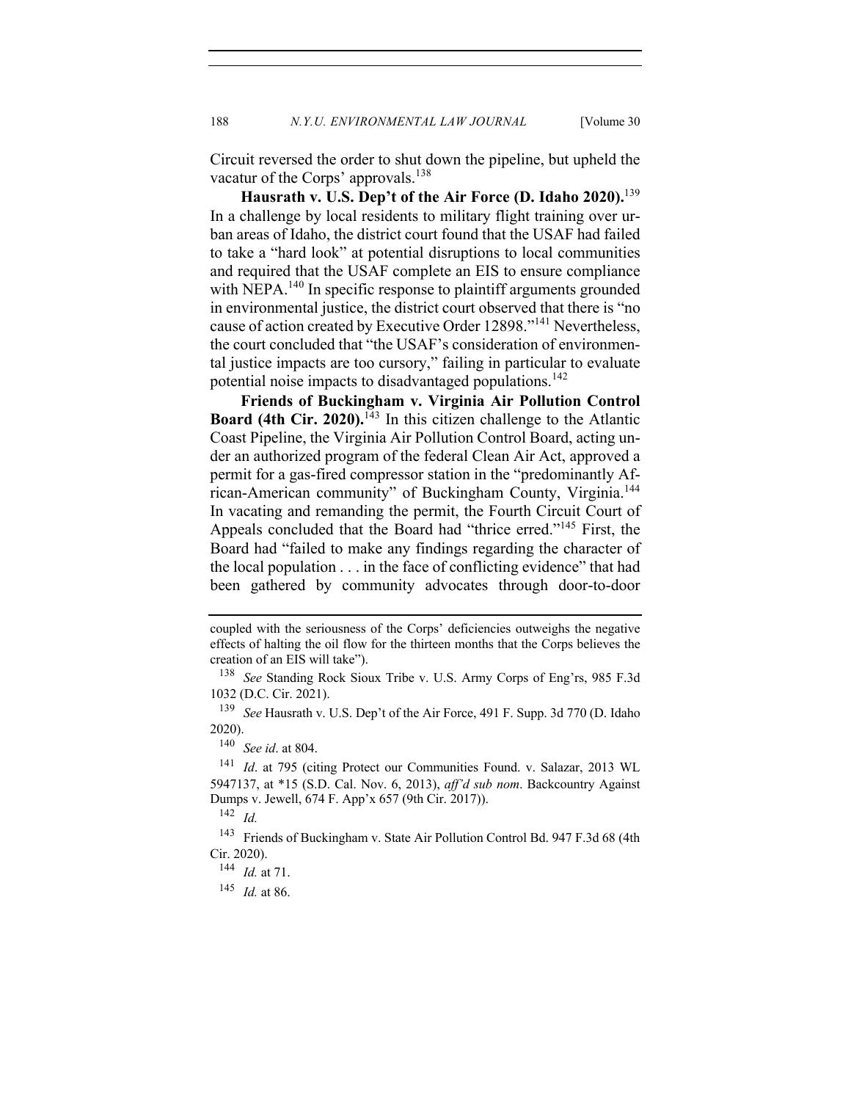Circuit reversed the order to shut down the pipeline, but upheld the vacatur of the Corps' approvals.<sup>138</sup>

**Hausrath v. U.S. Dep't of the Air Force (D. Idaho 2020).**<sup>139</sup> In a challenge by local residents to military flight training over urban areas of Idaho, the district court found that the USAF had failed to take a "hard look" at potential disruptions to local communities and required that the USAF complete an EIS to ensure compliance with NEPA.<sup>140</sup> In specific response to plaintiff arguments grounded in environmental justice, the district court observed that there is "no cause of action created by Executive Order 12898."<sup>141</sup> Nevertheless, the court concluded that "the USAF's consideration of environmental justice impacts are too cursory," failing in particular to evaluate potential noise impacts to disadvantaged populations.<sup>142</sup>

**Friends of Buckingham v. Virginia Air Pollution Control Board (4th Cir. 2020).**<sup>143</sup> In this citizen challenge to the Atlantic Coast Pipeline, the Virginia Air Pollution Control Board, acting under an authorized program of the federal Clean Air Act, approved a permit for a gas-fired compressor station in the "predominantly African-American community" of Buckingham County, Virginia.<sup>144</sup> In vacating and remanding the permit, the Fourth Circuit Court of Appeals concluded that the Board had "thrice erred."145 First, the Board had "failed to make any findings regarding the character of the local population . . . in the face of conflicting evidence" that had been gathered by community advocates through door-to-door

coupled with the seriousness of the Corps' deficiencies outweighs the negative effects of halting the oil flow for the thirteen months that the Corps believes the creation of an EIS will take").

<sup>138</sup> *See* Standing Rock Sioux Tribe v. U.S. Army Corps of Eng'rs, 985 F.3d 1032 (D.C. Cir. 2021).

<sup>139</sup> *See* Hausrath v. U.S. Dep't of the Air Force, 491 F. Supp. 3d 770 (D. Idaho 2020).

<sup>140</sup> *See id*. at 804.

<sup>141</sup> *Id*. at 795 (citing Protect our Communities Found. v. Salazar, 2013 WL 5947137, at \*15 (S.D. Cal. Nov. 6, 2013), *aff'd sub nom*. Backcountry Against Dumps v. Jewell, 674 F. App'x 657 (9th Cir. 2017)). <sup>142</sup> *Id.*

<sup>143</sup> Friends of Buckingham v. State Air Pollution Control Bd. 947 F.3d 68 (4th Cir. 2020).

<sup>144</sup> *Id.* at 71.

<sup>145</sup> *Id.* at 86.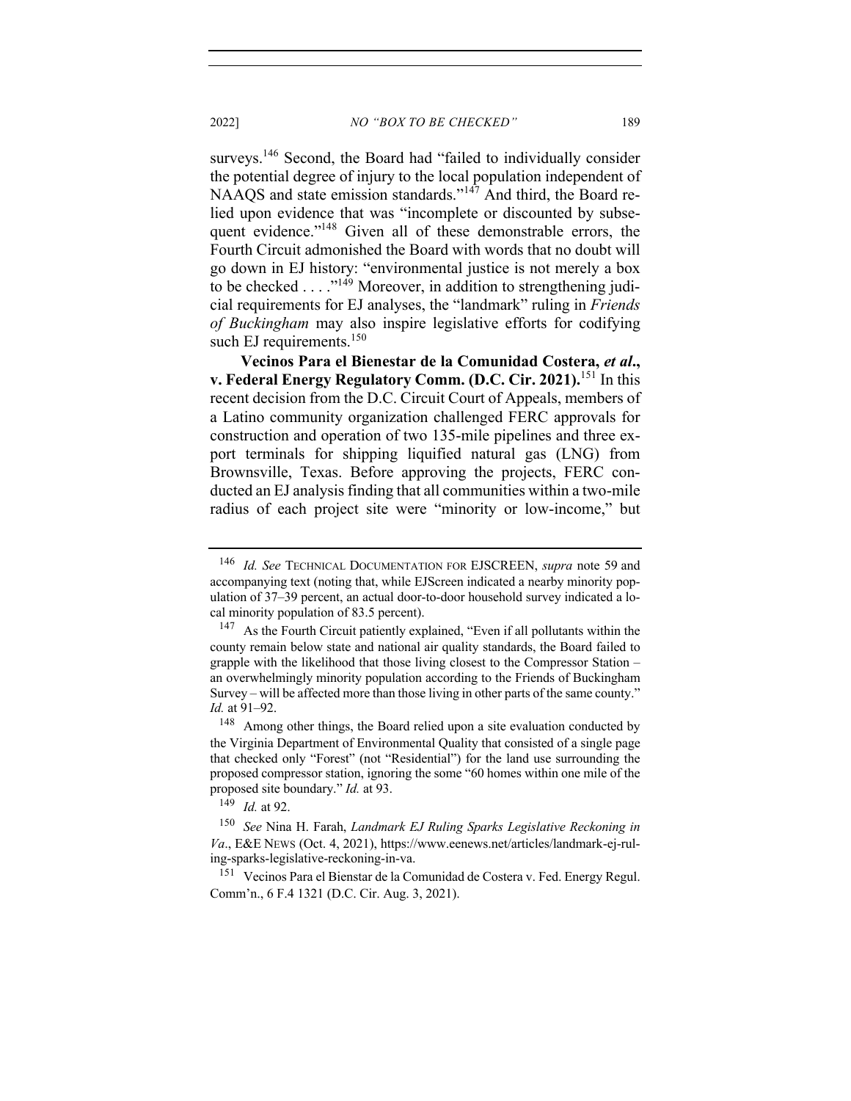surveys.<sup>146</sup> Second, the Board had "failed to individually consider the potential degree of injury to the local population independent of NAAQS and state emission standards."<sup>147</sup> And third, the Board relied upon evidence that was "incomplete or discounted by subsequent evidence."<sup>148</sup> Given all of these demonstrable errors, the Fourth Circuit admonished the Board with words that no doubt will go down in EJ history: "environmental justice is not merely a box to be checked  $\dots$ ."<sup>149</sup> Moreover, in addition to strengthening judicial requirements for EJ analyses, the "landmark" ruling in *Friends* 

*of Buckingham* may also inspire legislative efforts for codifying

**Vecinos Para el Bienestar de la Comunidad Costera,** *et al***., v. Federal Energy Regulatory Comm. (D.C. Cir. 2021).**<sup>151</sup> In this recent decision from the D.C. Circuit Court of Appeals, members of a Latino community organization challenged FERC approvals for construction and operation of two 135-mile pipelines and three export terminals for shipping liquified natural gas (LNG) from Brownsville, Texas. Before approving the projects, FERC conducted an EJ analysis finding that all communities within a two-mile radius of each project site were "minority or low-income," but

such EJ requirements. $150$ 

<sup>146</sup> *Id. See* TECHNICAL DOCUMENTATION FOR EJSCREEN, *supra* note 59 and accompanying text (noting that, while EJScreen indicated a nearby minority population of 37–39 percent, an actual door-to-door household survey indicated a local minority population of 83.5 percent).

<sup>&</sup>lt;sup>147</sup> As the Fourth Circuit patiently explained, "Even if all pollutants within the county remain below state and national air quality standards, the Board failed to grapple with the likelihood that those living closest to the Compressor Station – an overwhelmingly minority population according to the Friends of Buckingham Survey – will be affected more than those living in other parts of the same county." *Id.* at 91–92.

<sup>&</sup>lt;sup>148</sup> Among other things, the Board relied upon a site evaluation conducted by the Virginia Department of Environmental Quality that consisted of a single page that checked only "Forest" (not "Residential") for the land use surrounding the proposed compressor station, ignoring the some "60 homes within one mile of the proposed site boundary." *Id.* at 93.

<sup>149</sup> *Id.* at 92.

<sup>150</sup> *See* Nina H. Farah, *Landmark EJ Ruling Sparks Legislative Reckoning in Va*., E&E NEWS (Oct. 4, 2021), https://www.eenews.net/articles/landmark-ej-ruling-sparks-legislative-reckoning-in-va.

<sup>151</sup> Vecinos Para el Bienstar de la Comunidad de Costera v. Fed. Energy Regul. Comm'n., 6 F.4 1321 (D.C. Cir. Aug. 3, 2021).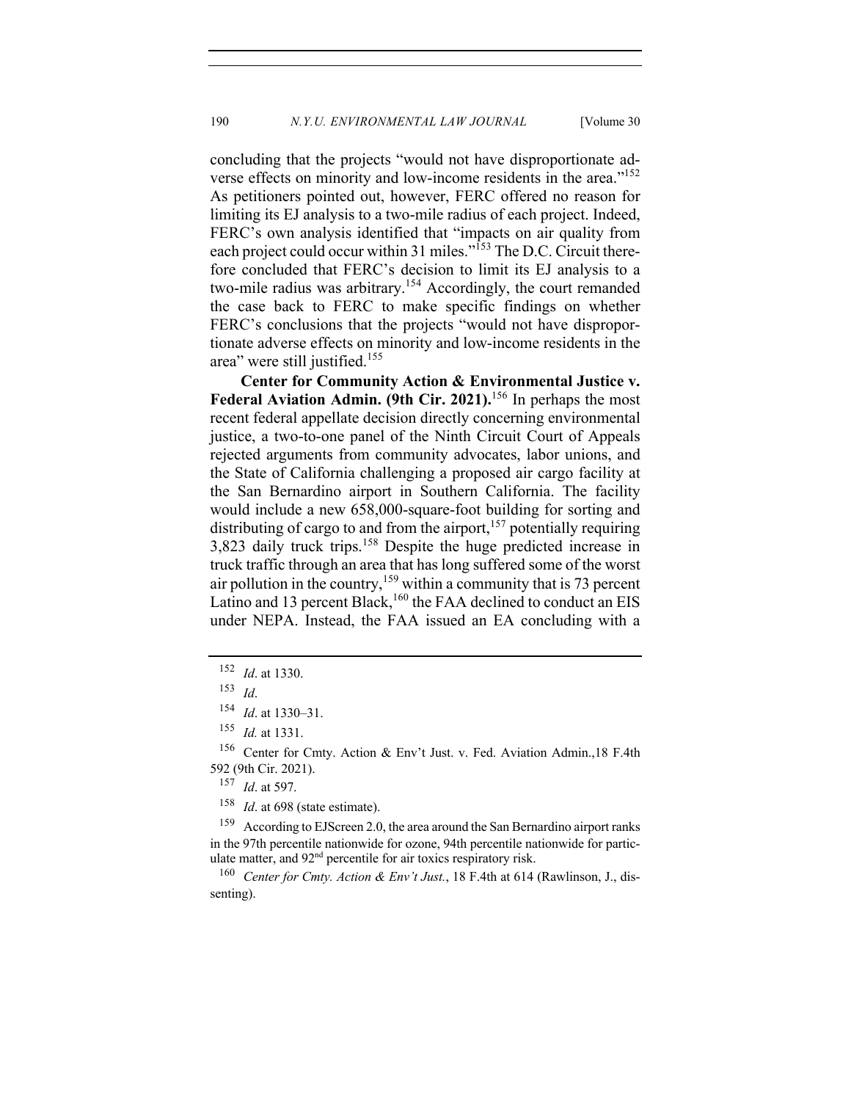concluding that the projects "would not have disproportionate adverse effects on minority and low-income residents in the area."<sup>152</sup> As petitioners pointed out, however, FERC offered no reason for limiting its EJ analysis to a two-mile radius of each project. Indeed, FERC's own analysis identified that "impacts on air quality from each project could occur within 31 miles."<sup>153</sup> The D.C. Circuit therefore concluded that FERC's decision to limit its EJ analysis to a two-mile radius was arbitrary.<sup>154</sup> Accordingly, the court remanded the case back to FERC to make specific findings on whether FERC's conclusions that the projects "would not have disproportionate adverse effects on minority and low-income residents in the area" were still justified.<sup>155</sup>

**Center for Community Action & Environmental Justice v. Federal Aviation Admin. (9th Cir. 2021).**<sup>156</sup> In perhaps the most recent federal appellate decision directly concerning environmental justice, a two-to-one panel of the Ninth Circuit Court of Appeals rejected arguments from community advocates, labor unions, and the State of California challenging a proposed air cargo facility at the San Bernardino airport in Southern California. The facility would include a new 658,000-square-foot building for sorting and distributing of cargo to and from the airport, $157$  potentially requiring  $3,823$  daily truck trips.<sup>158</sup> Despite the huge predicted increase in truck traffic through an area that has long suffered some of the worst air pollution in the country,<sup>159</sup> within a community that is 73 percent Latino and 13 percent Black,<sup>160</sup> the FAA declined to conduct an EIS under NEPA. Instead, the FAA issued an EA concluding with a

<sup>156</sup> Center for Cmty. Action & Env't Just. v. Fed. Aviation Admin.,18 F.4th 592 (9th Cir. 2021).

<sup>157</sup> *Id*. at 597.

<sup>158</sup> *Id.* at 698 (state estimate).

<sup>159</sup> According to EJScreen 2.0, the area around the San Bernardino airport ranks in the 97th percentile nationwide for ozone, 94th percentile nationwide for particulate matter, and 92<sup>nd</sup> percentile for air toxics respiratory risk.

<sup>160</sup> *Center for Cmty. Action & Env't Just.*, 18 F.4th at 614 (Rawlinson, J., dissenting).

<sup>152</sup> *Id*. at 1330.

<sup>153</sup> *Id*.

<sup>154</sup> *Id*. at 1330–31.

<sup>155</sup> *Id.* at 1331.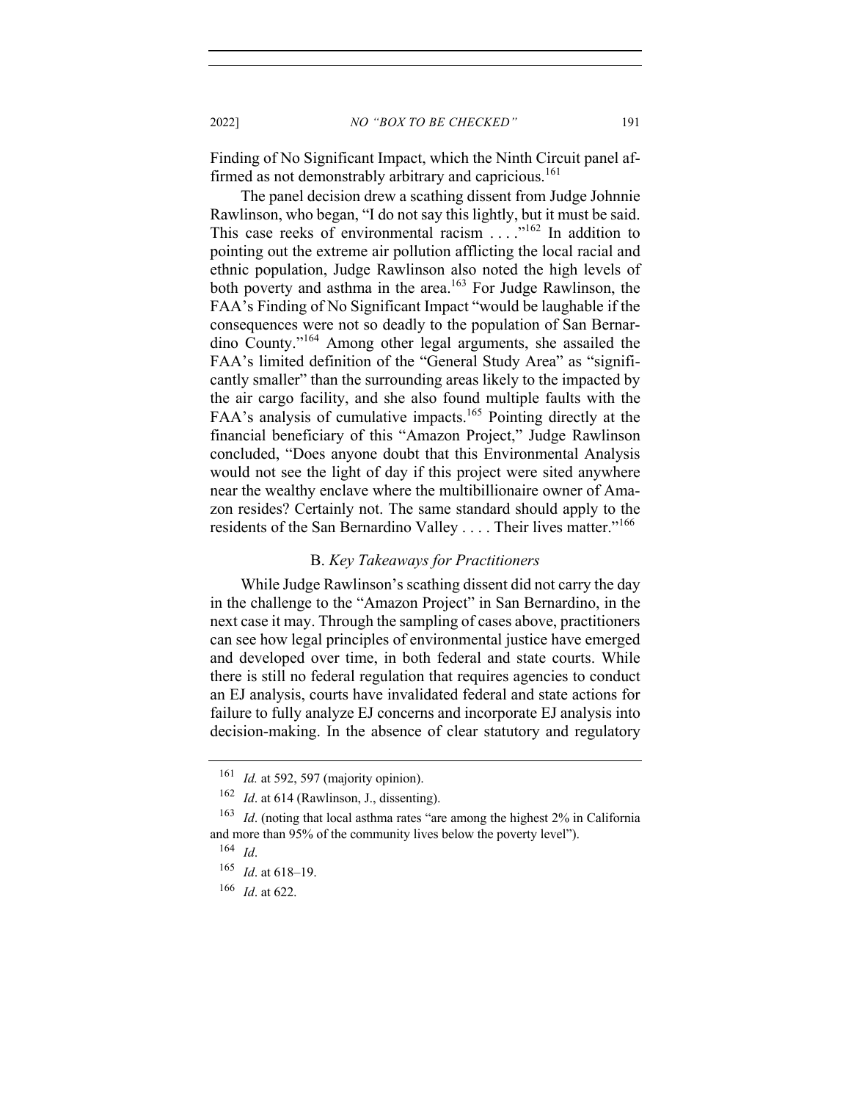Finding of No Significant Impact, which the Ninth Circuit panel affirmed as not demonstrably arbitrary and capricious.<sup>161</sup>

The panel decision drew a scathing dissent from Judge Johnnie Rawlinson, who began, "I do not say this lightly, but it must be said. This case reeks of environmental racism . . . . . . <sup>162</sup> In addition to pointing out the extreme air pollution afflicting the local racial and ethnic population, Judge Rawlinson also noted the high levels of both poverty and asthma in the area.<sup>163</sup> For Judge Rawlinson, the FAA's Finding of No Significant Impact "would be laughable if the consequences were not so deadly to the population of San Bernardino County."<sup>164</sup> Among other legal arguments, she assailed the FAA's limited definition of the "General Study Area" as "significantly smaller" than the surrounding areas likely to the impacted by the air cargo facility, and she also found multiple faults with the FAA's analysis of cumulative impacts.<sup>165</sup> Pointing directly at the financial beneficiary of this "Amazon Project," Judge Rawlinson concluded, "Does anyone doubt that this Environmental Analysis would not see the light of day if this project were sited anywhere near the wealthy enclave where the multibillionaire owner of Amazon resides? Certainly not. The same standard should apply to the residents of the San Bernardino Valley . . . . Their lives matter."<sup>166</sup>

### B. *Key Takeaways for Practitioners*

While Judge Rawlinson's scathing dissent did not carry the day in the challenge to the "Amazon Project" in San Bernardino, in the next case it may. Through the sampling of cases above, practitioners can see how legal principles of environmental justice have emerged and developed over time, in both federal and state courts. While there is still no federal regulation that requires agencies to conduct an EJ analysis, courts have invalidated federal and state actions for failure to fully analyze EJ concerns and incorporate EJ analysis into decision-making. In the absence of clear statutory and regulatory

<sup>161</sup> *Id.* at 592, 597 (majority opinion).

<sup>&</sup>lt;sup>162</sup> *Id.* at 614 (Rawlinson, J., dissenting).

<sup>163</sup> *Id*. (noting that local asthma rates "are among the highest 2% in California and more than 95% of the community lives below the poverty level").

<sup>164</sup> *Id*.

<sup>165</sup> *Id*. at 618–19.

<sup>166</sup> *Id*. at 622.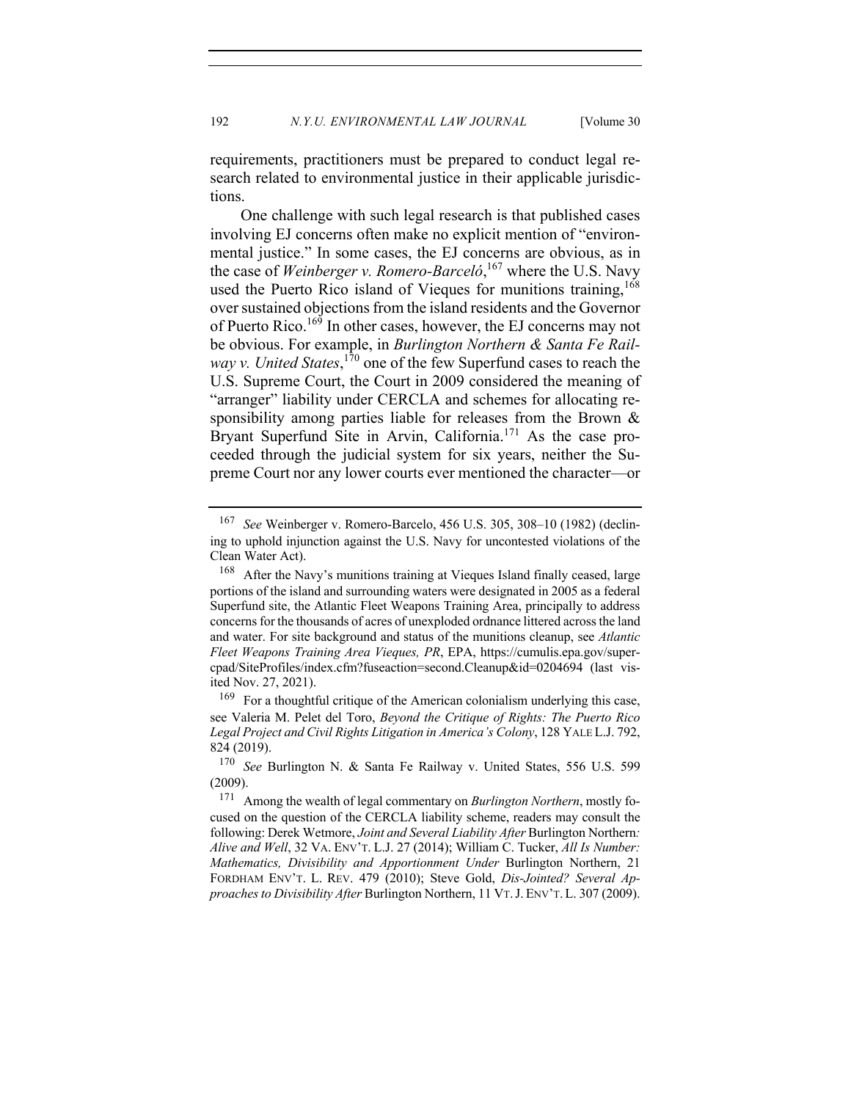requirements, practitioners must be prepared to conduct legal research related to environmental justice in their applicable jurisdictions.

One challenge with such legal research is that published cases involving EJ concerns often make no explicit mention of "environmental justice." In some cases, the EJ concerns are obvious, as in the case of *Weinberger v. Romero-Barceló*, <sup>167</sup> where the U.S. Navy used the Puerto Rico island of Vieques for munitions training,<sup>168</sup> over sustained objections from the island residents and the Governor of Puerto Rico.<sup>169</sup> In other cases, however, the EJ concerns may not be obvious. For example, in *Burlington Northern & Santa Fe Rail*way v. United States,<sup>170</sup> one of the few Superfund cases to reach the U.S. Supreme Court, the Court in 2009 considered the meaning of "arranger" liability under CERCLA and schemes for allocating responsibility among parties liable for releases from the Brown & Bryant Superfund Site in Arvin, California.<sup>171</sup> As the case proceeded through the judicial system for six years, neither the Supreme Court nor any lower courts ever mentioned the character—or

See Weinberger v. Romero-Barcelo, 456 U.S. 305, 308-10 (1982) (declining to uphold injunction against the U.S. Navy for uncontested violations of the Clean Water Act).

<sup>168</sup> After the Navy's munitions training at Vieques Island finally ceased, large portions of the island and surrounding waters were designated in 2005 as a federal Superfund site, the Atlantic Fleet Weapons Training Area, principally to address concerns for the thousands of acres of unexploded ordnance littered across the land and water. For site background and status of the munitions cleanup, see *Atlantic Fleet Weapons Training Area Vieques, PR*, EPA, https://cumulis.epa.gov/supercpad/SiteProfiles/index.cfm?fuseaction=second.Cleanup&id=0204694 (last visited Nov. 27, 2021).

<sup>&</sup>lt;sup>169</sup> For a thoughtful critique of the American colonialism underlying this case, see Valeria M. Pelet del Toro, *Beyond the Critique of Rights: The Puerto Rico Legal Project and Civil Rights Litigation in America's Colony*, 128 YALE L.J. 792, 824 (2019).

<sup>170</sup> *See* Burlington N. & Santa Fe Railway v. United States, 556 U.S. 599 (2009).

<sup>171</sup> Among the wealth of legal commentary on *Burlington Northern*, mostly focused on the question of the CERCLA liability scheme, readers may consult the following: Derek Wetmore, *Joint and Several Liability After* Burlington Northern*: Alive and Well*, 32 VA. ENV'T. L.J. 27 (2014); William C. Tucker, *All Is Number: Mathematics, Divisibility and Apportionment Under* Burlington Northern, 21 FORDHAM ENV'T. L. REV. 479 (2010); Steve Gold, *Dis-Jointed? Several Approaches to Divisibility After* Burlington Northern, 11 VT.J. ENV'T. L. 307 (2009).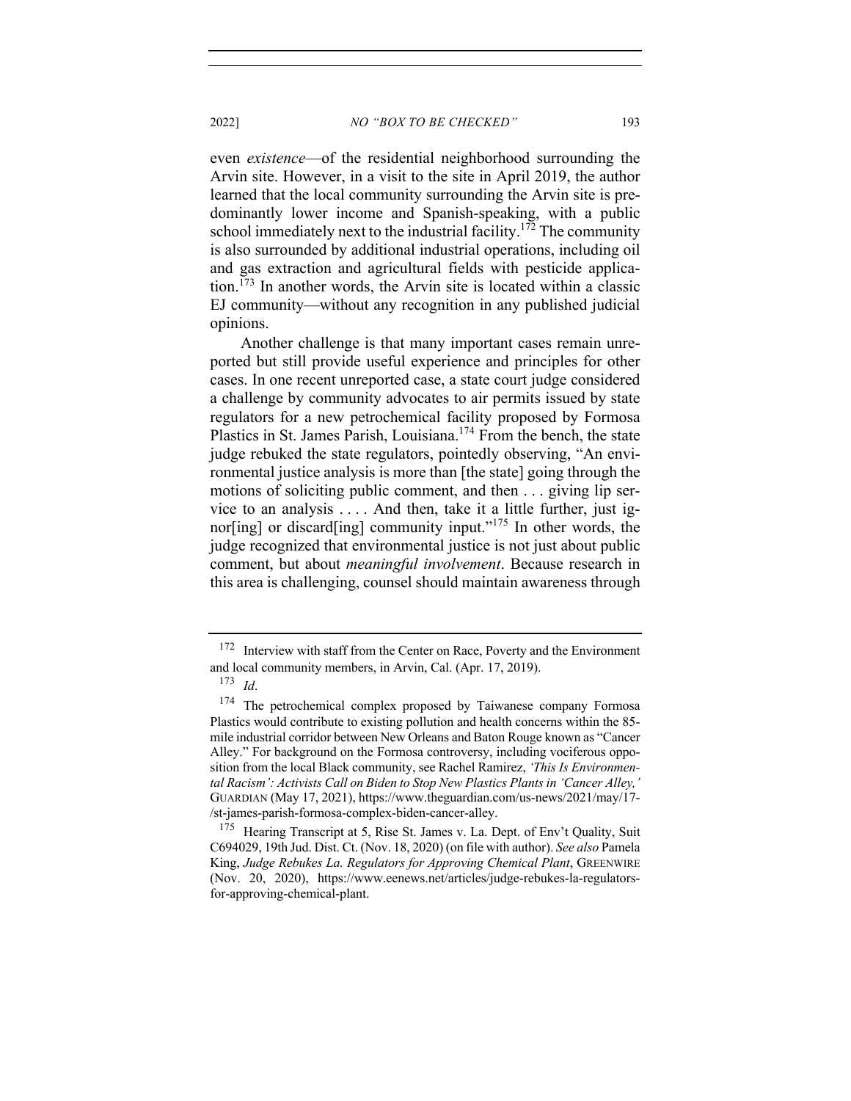even *existence*—of the residential neighborhood surrounding the Arvin site. However, in a visit to the site in April 2019, the author learned that the local community surrounding the Arvin site is predominantly lower income and Spanish-speaking, with a public school immediately next to the industrial facility.<sup>172</sup> The community is also surrounded by additional industrial operations, including oil and gas extraction and agricultural fields with pesticide application.<sup>173</sup> In another words, the Arvin site is located within a classic EJ community—without any recognition in any published judicial opinions.

Another challenge is that many important cases remain unreported but still provide useful experience and principles for other cases. In one recent unreported case, a state court judge considered a challenge by community advocates to air permits issued by state regulators for a new petrochemical facility proposed by Formosa Plastics in St. James Parish, Louisiana.<sup>174</sup> From the bench, the state judge rebuked the state regulators, pointedly observing, "An environmental justice analysis is more than [the state] going through the motions of soliciting public comment, and then . . . giving lip service to an analysis . . . . And then, take it a little further, just ignor[ing] or discard[ing] community input."<sup>175</sup> In other words, the judge recognized that environmental justice is not just about public comment, but about *meaningful involvement*. Because research in this area is challenging, counsel should maintain awareness through

 $172$  Interview with staff from the Center on Race, Poverty and the Environment and local community members, in Arvin, Cal. (Apr. 17, 2019).

<sup>173</sup> *Id*.

<sup>&</sup>lt;sup>174</sup> The petrochemical complex proposed by Taiwanese company Formosa Plastics would contribute to existing pollution and health concerns within the 85 mile industrial corridor between New Orleans and Baton Rouge known as "Cancer Alley." For background on the Formosa controversy, including vociferous opposition from the local Black community, see Rachel Ramirez, *'This Is Environmental Racism': Activists Call on Biden to Stop New Plastics Plants in 'Cancer Alley,'* GUARDIAN (May 17, 2021), https://www.theguardian.com/us-news/2021/may/17- /st-james-parish-formosa-complex-biden-cancer-alley.

<sup>&</sup>lt;sup>175</sup> Hearing Transcript at 5, Rise St. James v. La. Dept. of Env't Quality, Suit C694029, 19th Jud. Dist. Ct. (Nov. 18, 2020) (on file with author). *See also* Pamela King, *Judge Rebukes La. Regulators for Approving Chemical Plant*, GREENWIRE (Nov. 20, 2020), https://www.eenews.net/articles/judge-rebukes-la-regulatorsfor-approving-chemical-plant.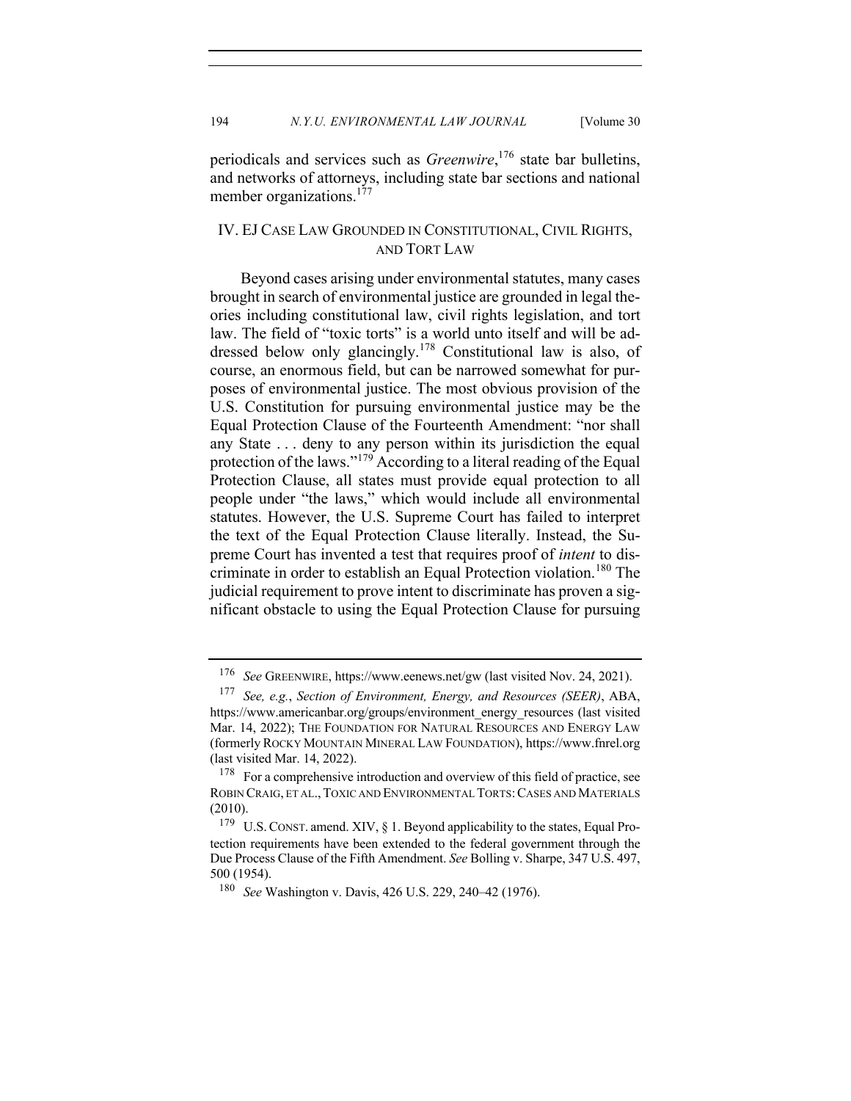periodicals and services such as *Greenwire*, <sup>176</sup> state bar bulletins, and networks of attorneys, including state bar sections and national member organizations.<sup>177</sup>

# IV. EJ CASE LAW GROUNDED IN CONSTITUTIONAL, CIVIL RIGHTS, AND TORT LAW

Beyond cases arising under environmental statutes, many cases brought in search of environmental justice are grounded in legal theories including constitutional law, civil rights legislation, and tort law. The field of "toxic torts" is a world unto itself and will be addressed below only glancingly.<sup>178</sup> Constitutional law is also, of course, an enormous field, but can be narrowed somewhat for purposes of environmental justice. The most obvious provision of the U.S. Constitution for pursuing environmental justice may be the Equal Protection Clause of the Fourteenth Amendment: "nor shall any State . . . deny to any person within its jurisdiction the equal protection of the laws."<sup>179</sup> According to a literal reading of the Equal Protection Clause, all states must provide equal protection to all people under "the laws," which would include all environmental statutes. However, the U.S. Supreme Court has failed to interpret the text of the Equal Protection Clause literally. Instead, the Supreme Court has invented a test that requires proof of *intent* to discriminate in order to establish an Equal Protection violation.<sup>180</sup> The judicial requirement to prove intent to discriminate has proven a significant obstacle to using the Equal Protection Clause for pursuing

<sup>176</sup> *See* GREENWIRE, https://www.eenews.net/gw (last visited Nov. 24, 2021).

<sup>177</sup> *See, e.g.*, *Section of Environment, Energy, and Resources (SEER)*, ABA, https://www.americanbar.org/groups/environment\_energy\_resources (last visited Mar. 14, 2022); THE FOUNDATION FOR NATURAL RESOURCES AND ENERGY LAW (formerly ROCKY MOUNTAIN MINERAL LAW FOUNDATION), https://www.fnrel.org (last visited Mar. 14, 2022).

<sup>&</sup>lt;sup>178</sup> For a comprehensive introduction and overview of this field of practice, see ROBIN CRAIG, ET AL., TOXIC AND ENVIRONMENTAL TORTS: CASES AND MATERIALS (2010).

<sup>179</sup> U.S.CONST. amend. XIV, § 1. Beyond applicability to the states, Equal Protection requirements have been extended to the federal government through the Due Process Clause of the Fifth Amendment. *See* Bolling v. Sharpe, 347 U.S. 497, 500 (1954).

<sup>180</sup> *See* Washington v. Davis, 426 U.S. 229, 240–42 (1976).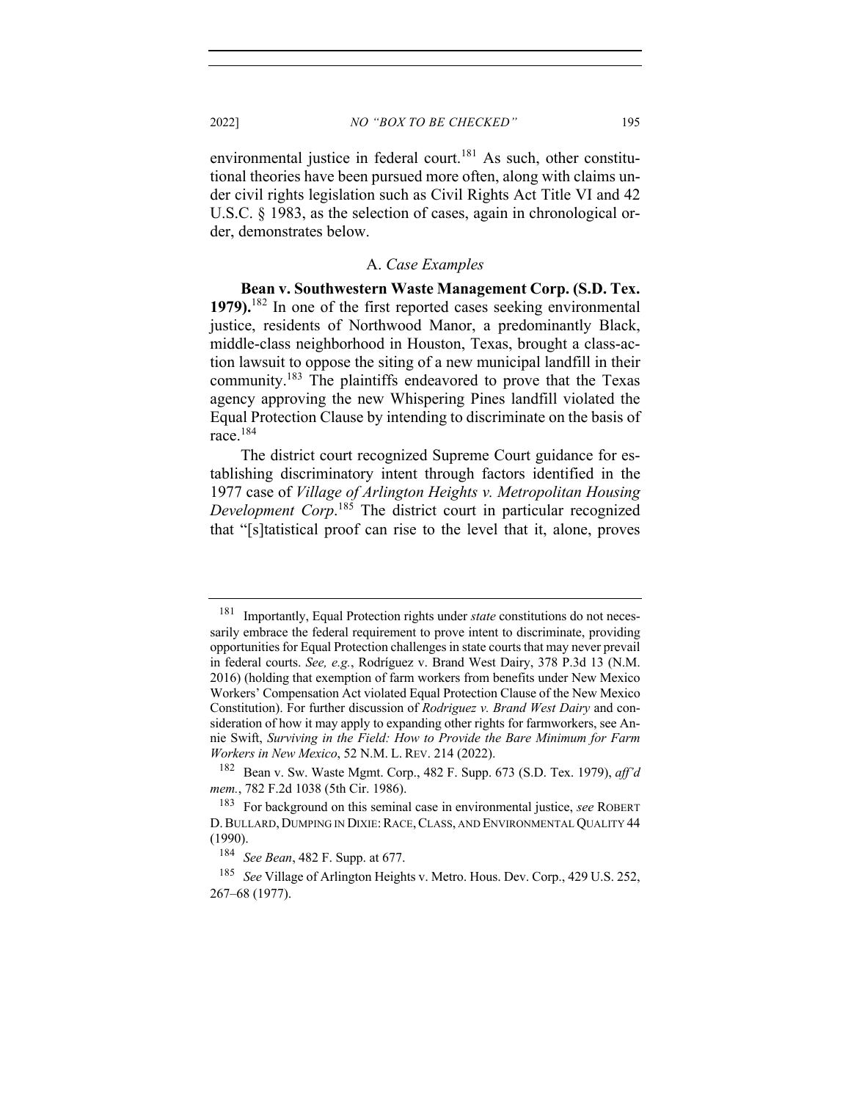environmental justice in federal court.<sup>181</sup> As such, other constitutional theories have been pursued more often, along with claims under civil rights legislation such as Civil Rights Act Title VI and 42 U.S.C. § 1983, as the selection of cases, again in chronological order, demonstrates below.

#### A. *Case Examples*

**Bean v. Southwestern Waste Management Corp. (S.D. Tex. 1979).**<sup>182</sup> In one of the first reported cases seeking environmental justice, residents of Northwood Manor, a predominantly Black, middle-class neighborhood in Houston, Texas, brought a class-action lawsuit to oppose the siting of a new municipal landfill in their community.183 The plaintiffs endeavored to prove that the Texas agency approving the new Whispering Pines landfill violated the Equal Protection Clause by intending to discriminate on the basis of race.<sup>184</sup>

The district court recognized Supreme Court guidance for establishing discriminatory intent through factors identified in the 1977 case of *Village of Arlington Heights v. Metropolitan Housing Development Corp*. <sup>185</sup> The district court in particular recognized that "[s]tatistical proof can rise to the level that it, alone, proves

<sup>181</sup> Importantly, Equal Protection rights under *state* constitutions do not necessarily embrace the federal requirement to prove intent to discriminate, providing opportunities for Equal Protection challenges in state courts that may never prevail in federal courts. *See, e.g.*, Rodríguez v. Brand West Dairy, 378 P.3d 13 (N.M. 2016) (holding that exemption of farm workers from benefits under New Mexico Workers' Compensation Act violated Equal Protection Clause of the New Mexico Constitution). For further discussion of *Rodriguez v. Brand West Dairy* and consideration of how it may apply to expanding other rights for farmworkers, see Annie Swift, *Surviving in the Field: How to Provide the Bare Minimum for Farm Workers in New Mexico*, 52 N.M. L. REV. 214 (2022).

<sup>182</sup> Bean v. Sw. Waste Mgmt. Corp., 482 F. Supp. 673 (S.D. Tex. 1979), *aff'd mem.*, 782 F.2d 1038 (5th Cir. 1986).

<sup>183</sup> For background on this seminal case in environmental justice, *see* ROBERT D. BULLARD, DUMPING IN DIXIE: RACE, CLASS, AND ENVIRONMENTAL QUALITY 44 (1990).

<sup>184</sup> *See Bean*, 482 F. Supp. at 677.

<sup>185</sup> *See* Village of Arlington Heights v. Metro. Hous. Dev. Corp., 429 U.S. 252, 267–68 (1977).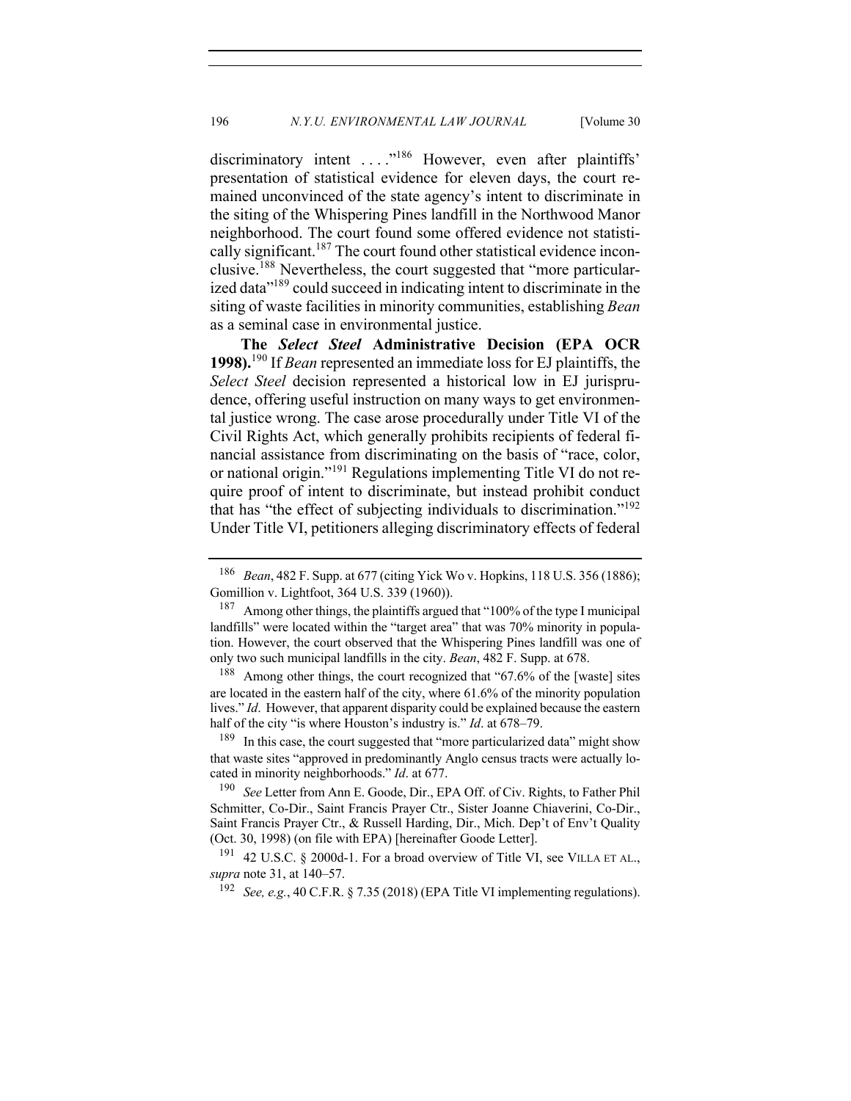discriminatory intent ...."<sup>186</sup> However, even after plaintiffs' presentation of statistical evidence for eleven days, the court remained unconvinced of the state agency's intent to discriminate in the siting of the Whispering Pines landfill in the Northwood Manor neighborhood. The court found some offered evidence not statistically significant.<sup>187</sup> The court found other statistical evidence inconclusive.<sup>188</sup> Nevertheless, the court suggested that "more particularized data<sup>"189</sup> could succeed in indicating intent to discriminate in the siting of waste facilities in minority communities, establishing *Bean* as a seminal case in environmental justice.

**The** *Select Steel* **Administrative Decision (EPA OCR 1998).**<sup>190</sup> If *Bean* represented an immediate loss for EJ plaintiffs, the *Select Steel* decision represented a historical low in EJ jurisprudence, offering useful instruction on many ways to get environmental justice wrong. The case arose procedurally under Title VI of the Civil Rights Act, which generally prohibits recipients of federal financial assistance from discriminating on the basis of "race, color, or national origin."<sup>191</sup> Regulations implementing Title VI do not require proof of intent to discriminate, but instead prohibit conduct that has "the effect of subjecting individuals to discrimination."<sup>192</sup> Under Title VI, petitioners alleging discriminatory effects of federal

<sup>186</sup> *Bean*, 482 F. Supp. at 677 (citing Yick Wo v. Hopkins, 118 U.S. 356 (1886); Gomillion v. Lightfoot, 364 U.S. 339 (1960)).

<sup>&</sup>lt;sup>187</sup> Among other things, the plaintiffs argued that "100% of the type I municipal landfills" were located within the "target area" that was 70% minority in population. However, the court observed that the Whispering Pines landfill was one of only two such municipal landfills in the city. *Bean*, 482 F. Supp. at 678.

<sup>188</sup> Among other things, the court recognized that "67.6% of the [waste] sites are located in the eastern half of the city, where 61.6% of the minority population lives." *Id*. However, that apparent disparity could be explained because the eastern half of the city "is where Houston's industry is." *Id*. at 678–79.

<sup>&</sup>lt;sup>189</sup> In this case, the court suggested that "more particularized data" might show that waste sites "approved in predominantly Anglo census tracts were actually located in minority neighborhoods." *Id*. at 677.

<sup>190</sup> *See* Letter from Ann E. Goode, Dir., EPA Off. of Civ. Rights, to Father Phil Schmitter, Co-Dir., Saint Francis Prayer Ctr., Sister Joanne Chiaverini, Co-Dir., Saint Francis Prayer Ctr., & Russell Harding, Dir., Mich. Dep't of Env't Quality (Oct. 30, 1998) (on file with EPA) [hereinafter Goode Letter].

<sup>&</sup>lt;sup>191</sup> 42 U.S.C. § 2000d-1. For a broad overview of Title VI, see VILLA ET AL., *supra* note 31, at 140–57.

<sup>192</sup> *See, e.g.*, 40 C.F.R. § 7.35 (2018) (EPA Title VI implementing regulations).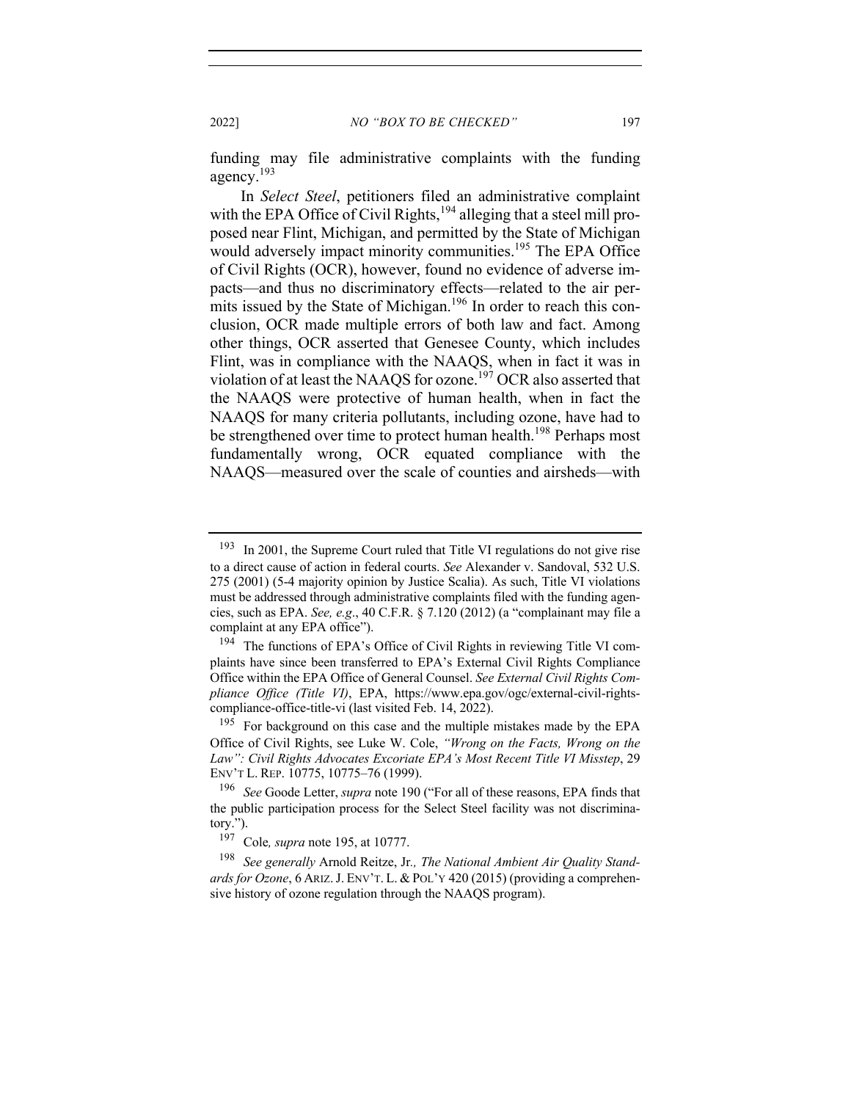2022] *NO "BOX TO BE CHECKED"* 197

funding may file administrative complaints with the funding agency.<sup>193</sup>

In *Select Steel*, petitioners filed an administrative complaint with the EPA Office of Civil Rights,<sup>194</sup> alleging that a steel mill proposed near Flint, Michigan, and permitted by the State of Michigan would adversely impact minority communities.<sup>195</sup> The EPA Office of Civil Rights (OCR), however, found no evidence of adverse impacts—and thus no discriminatory effects—related to the air permits issued by the State of Michigan.<sup>196</sup> In order to reach this conclusion, OCR made multiple errors of both law and fact. Among other things, OCR asserted that Genesee County, which includes Flint, was in compliance with the NAAQS, when in fact it was in violation of at least the NAAQS for ozone.<sup>197</sup> OCR also asserted that the NAAQS were protective of human health, when in fact the NAAQS for many criteria pollutants, including ozone, have had to be strengthened over time to protect human health.<sup>198</sup> Perhaps most fundamentally wrong, OCR equated compliance with the NAAQS—measured over the scale of counties and airsheds—with

 $193$  In 2001, the Supreme Court ruled that Title VI regulations do not give rise to a direct cause of action in federal courts. *See* Alexander v. Sandoval, 532 U.S. 275 (2001) (5-4 majority opinion by Justice Scalia). As such, Title VI violations must be addressed through administrative complaints filed with the funding agencies, such as EPA. *See, e.g*., 40 C.F.R. § 7.120 (2012) (a "complainant may file a complaint at any EPA office").

<sup>&</sup>lt;sup>194</sup> The functions of EPA's Office of Civil Rights in reviewing Title VI complaints have since been transferred to EPA's External Civil Rights Compliance Office within the EPA Office of General Counsel. *See External Civil Rights Compliance Office (Title VI)*, EPA, https://www.epa.gov/ogc/external-civil-rightscompliance-office-title-vi (last visited Feb. 14, 2022).

<sup>&</sup>lt;sup>195</sup> For background on this case and the multiple mistakes made by the EPA Office of Civil Rights, see Luke W. Cole, *"Wrong on the Facts, Wrong on the Law": Civil Rights Advocates Excoriate EPA's Most Recent Title VI Misstep*, 29 ENV'T L. REP. 10775, 10775–76 (1999).

<sup>196</sup> *See* Goode Letter, *supra* note 190 ("For all of these reasons, EPA finds that the public participation process for the Select Steel facility was not discriminatory.").

<sup>197</sup> Cole*, supra* note 195, at 10777.

<sup>198</sup> *See generally* Arnold Reitze, Jr*., The National Ambient Air Quality Standards for Ozone*, 6 ARIZ.J. ENV'T. L. & POL'Y 420 (2015) (providing a comprehensive history of ozone regulation through the NAAQS program).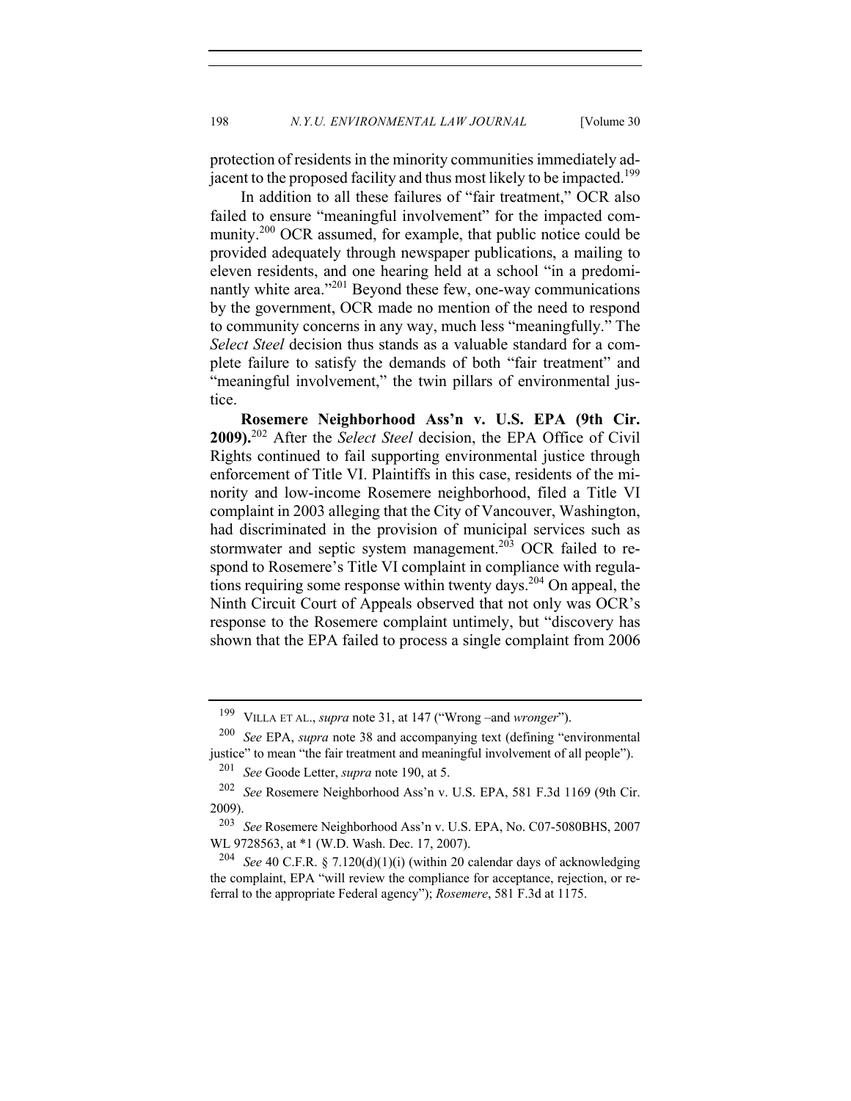protection of residents in the minority communities immediately adjacent to the proposed facility and thus most likely to be impacted.<sup>199</sup>

In addition to all these failures of "fair treatment," OCR also failed to ensure "meaningful involvement" for the impacted community.<sup>200</sup> OCR assumed, for example, that public notice could be provided adequately through newspaper publications, a mailing to eleven residents, and one hearing held at a school "in a predominantly white area."<sup>201</sup> Beyond these few, one-way communications by the government, OCR made no mention of the need to respond to community concerns in any way, much less "meaningfully." The *Select Steel* decision thus stands as a valuable standard for a complete failure to satisfy the demands of both "fair treatment" and "meaningful involvement," the twin pillars of environmental justice.

**Rosemere Neighborhood Ass'n v. U.S. EPA (9th Cir. 2009).**<sup>202</sup> After the *Select Steel* decision, the EPA Office of Civil Rights continued to fail supporting environmental justice through enforcement of Title VI. Plaintiffs in this case, residents of the minority and low-income Rosemere neighborhood, filed a Title VI complaint in 2003 alleging that the City of Vancouver, Washington, had discriminated in the provision of municipal services such as stormwater and septic system management.<sup>203</sup> OCR failed to respond to Rosemere's Title VI complaint in compliance with regulations requiring some response within twenty days.<sup>204</sup> On appeal, the Ninth Circuit Court of Appeals observed that not only was OCR's response to the Rosemere complaint untimely, but "discovery has shown that the EPA failed to process a single complaint from 2006

<sup>199</sup> VILLA ET AL., *supra* note 31, at 147 ("Wrong –and *wronger*").

<sup>200</sup> *See* EPA, *supra* note 38 and accompanying text (defining "environmental justice" to mean "the fair treatment and meaningful involvement of all people"). <sup>201</sup> *See* Goode Letter, *supra* note 190, at 5.

<sup>202</sup> *See* Rosemere Neighborhood Ass'n v. U.S. EPA, 581 F.3d 1169 (9th Cir. 2009).

<sup>203</sup> *See* Rosemere Neighborhood Ass'n v. U.S. EPA, No. C07-5080BHS, 2007 WL 9728563, at \*1 (W.D. Wash. Dec. 17, 2007).

<sup>&</sup>lt;sup>204</sup> *See* 40 C.F.R. § 7.120(d)(1)(i) (within 20 calendar days of acknowledging the complaint, EPA "will review the compliance for acceptance, rejection, or referral to the appropriate Federal agency"); *Rosemere*, 581 F.3d at 1175.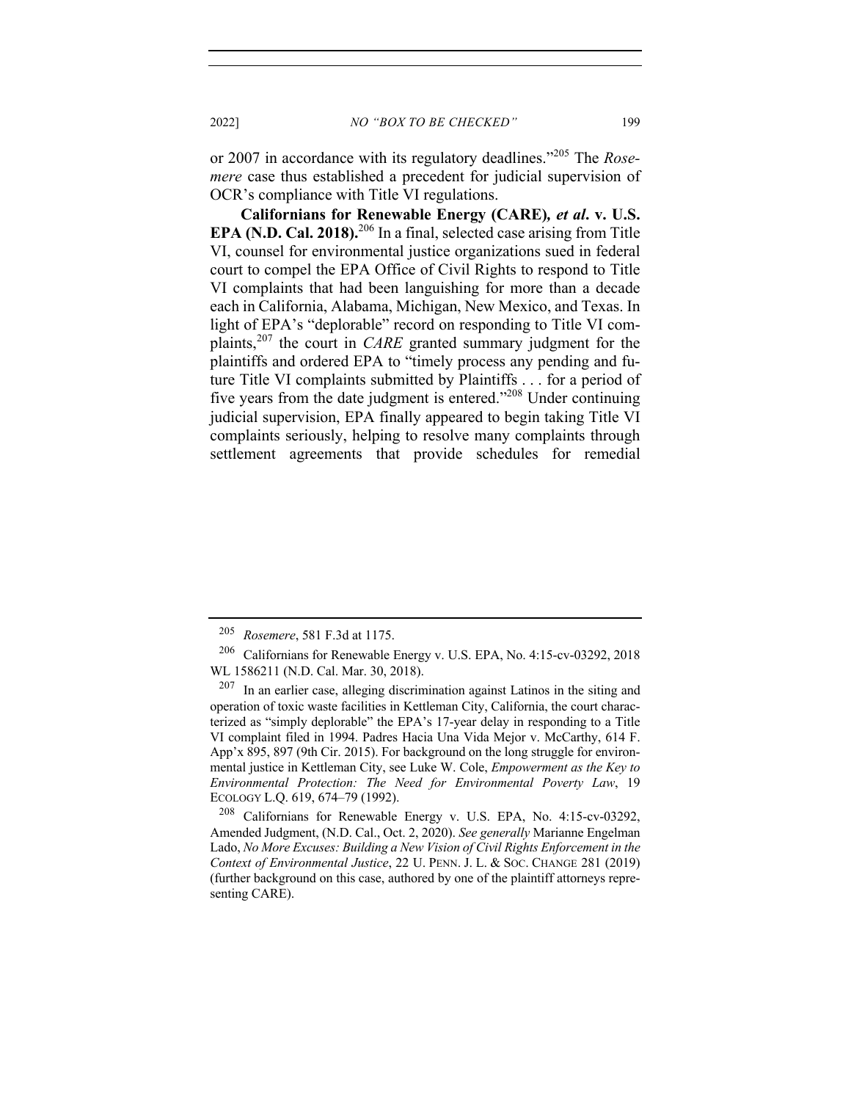or 2007 in accordance with its regulatory deadlines."<sup>205</sup> The *Rosemere* case thus established a precedent for judicial supervision of OCR's compliance with Title VI regulations.

**Californians for Renewable Energy (CARE)***, et al***. v. U.S. EPA (N.D. Cal. 2018).**<sup>206</sup> In a final, selected case arising from Title VI, counsel for environmental justice organizations sued in federal court to compel the EPA Office of Civil Rights to respond to Title VI complaints that had been languishing for more than a decade each in California, Alabama, Michigan, New Mexico, and Texas. In light of EPA's "deplorable" record on responding to Title VI complaints,<sup>207</sup> the court in *CARE* granted summary judgment for the plaintiffs and ordered EPA to "timely process any pending and future Title VI complaints submitted by Plaintiffs . . . for a period of five years from the date judgment is entered."208 Under continuing judicial supervision, EPA finally appeared to begin taking Title VI complaints seriously, helping to resolve many complaints through settlement agreements that provide schedules for remedial

<sup>205</sup> *Rosemere*, 581 F.3d at 1175.

<sup>206</sup> Californians for Renewable Energy v. U.S. EPA, No. 4:15-cv-03292, 2018 WL 1586211 (N.D. Cal. Mar. 30, 2018).

 $207$  In an earlier case, alleging discrimination against Latinos in the siting and operation of toxic waste facilities in Kettleman City, California, the court characterized as "simply deplorable" the EPA's 17-year delay in responding to a Title VI complaint filed in 1994. Padres Hacia Una Vida Mejor v. McCarthy, 614 F. App'x 895, 897 (9th Cir. 2015). For background on the long struggle for environmental justice in Kettleman City, see Luke W. Cole, *Empowerment as the Key to Environmental Protection: The Need for Environmental Poverty Law*, 19 ECOLOGY L.Q. 619, 674–79 (1992).

<sup>208</sup> Californians for Renewable Energy v. U.S. EPA, No. 4:15-cv-03292, Amended Judgment, (N.D. Cal., Oct. 2, 2020). *See generally* Marianne Engelman Lado, *No More Excuses: Building a New Vision of Civil Rights Enforcement in the Context of Environmental Justice*, 22 U. PENN. J. L. & SOC. CHANGE 281 (2019) (further background on this case, authored by one of the plaintiff attorneys representing CARE).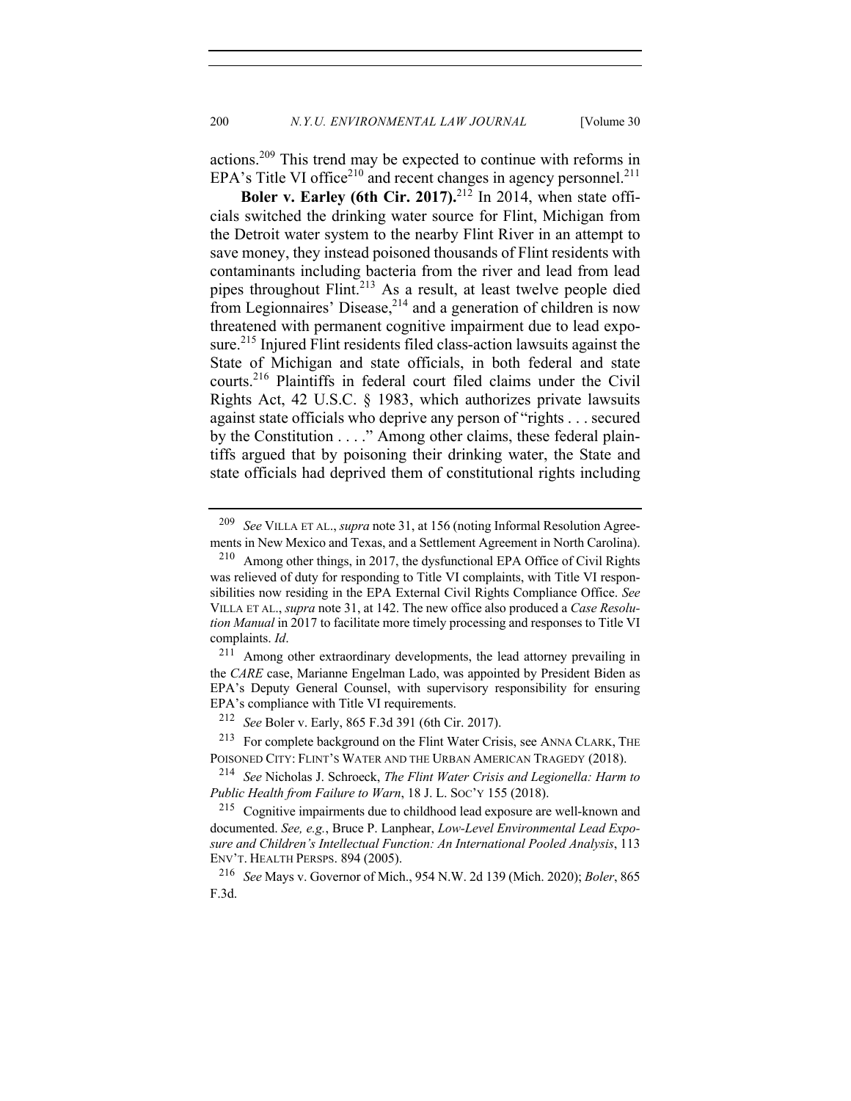actions.<sup>209</sup> This trend may be expected to continue with reforms in EPA's Title VI office<sup>210</sup> and recent changes in agency personnel.<sup>211</sup>

**Boler v. Earley (6th Cir. 2017).**<sup>212</sup> In 2014, when state officials switched the drinking water source for Flint, Michigan from the Detroit water system to the nearby Flint River in an attempt to save money, they instead poisoned thousands of Flint residents with contaminants including bacteria from the river and lead from lead pipes throughout Flint.<sup>213</sup> As a result, at least twelve people died from Legionnaires' Disease, $2^{14}$  and a generation of children is now threatened with permanent cognitive impairment due to lead exposure.<sup>215</sup> Injured Flint residents filed class-action lawsuits against the State of Michigan and state officials, in both federal and state courts.216 Plaintiffs in federal court filed claims under the Civil Rights Act, 42 U.S.C. § 1983, which authorizes private lawsuits against state officials who deprive any person of "rights . . . secured by the Constitution . . . ." Among other claims, these federal plaintiffs argued that by poisoning their drinking water, the State and state officials had deprived them of constitutional rights including

<sup>216</sup> *See* Mays v. Governor of Mich., 954 N.W. 2d 139 (Mich. 2020); *Boler*, 865 F.3d.

<sup>209</sup> *See* VILLA ET AL., *supra* note 31, at 156 (noting Informal Resolution Agreements in New Mexico and Texas, and a Settlement Agreement in North Carolina).

<sup>210</sup> Among other things, in 2017, the dysfunctional EPA Office of Civil Rights was relieved of duty for responding to Title VI complaints, with Title VI responsibilities now residing in the EPA External Civil Rights Compliance Office. *See*  VILLA ET AL., *supra* note 31, at 142. The new office also produced a *Case Resolution Manual* in 2017 to facilitate more timely processing and responses to Title VI complaints. *Id*.

<sup>211</sup> Among other extraordinary developments, the lead attorney prevailing in the *CARE* case, Marianne Engelman Lado, was appointed by President Biden as EPA's Deputy General Counsel, with supervisory responsibility for ensuring EPA's compliance with Title VI requirements.

<sup>212</sup> *See* Boler v. Early, 865 F.3d 391 (6th Cir. 2017).

<sup>&</sup>lt;sup>213</sup> For complete background on the Flint Water Crisis, see ANNA CLARK, THE POISONED CITY: FLINT'S WATER AND THE URBAN AMERICAN TRAGEDY (2018).

<sup>214</sup> *See* Nicholas J. Schroeck, *The Flint Water Crisis and Legionella: Harm to Public Health from Failure to Warn*, 18 J. L. SOC'Y 155 (2018).

<sup>215</sup> Cognitive impairments due to childhood lead exposure are well-known and documented. *See, e.g.*, Bruce P. Lanphear, *Low-Level Environmental Lead Exposure and Children's Intellectual Function: An International Pooled Analysis*, 113 ENV'T. HEALTH PERSPS. 894 (2005).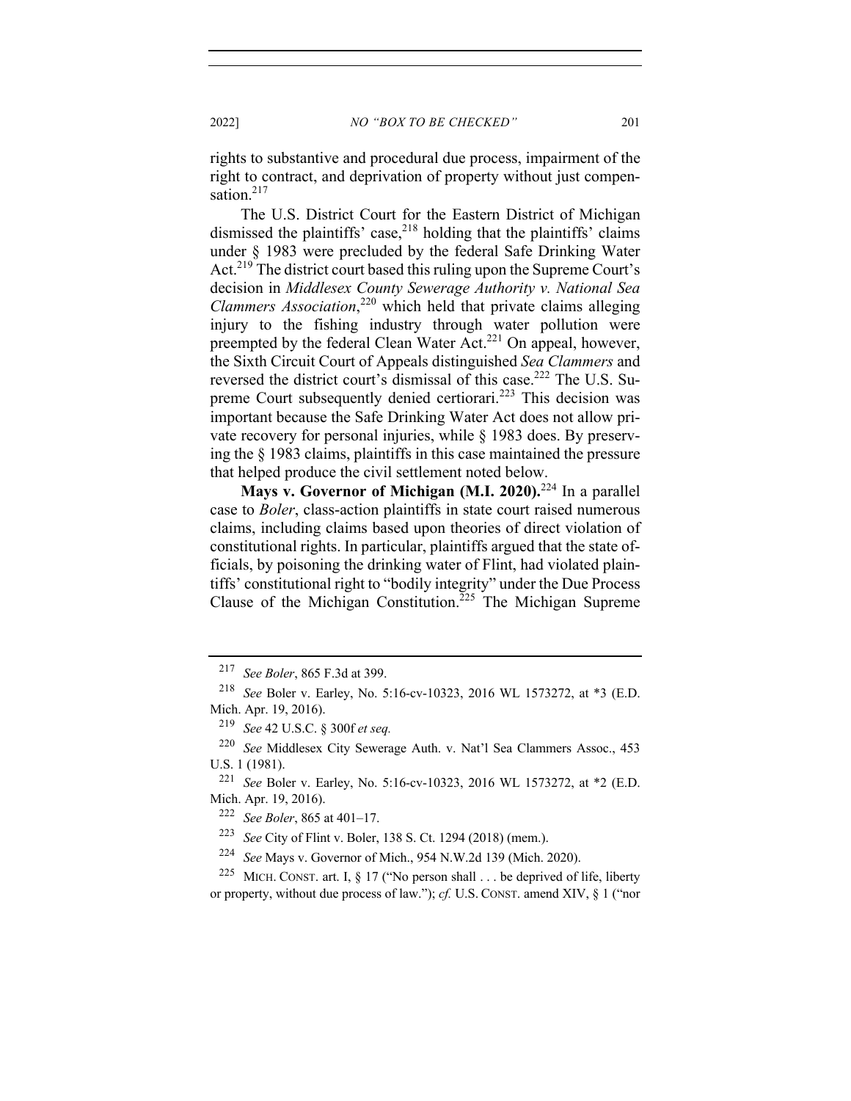rights to substantive and procedural due process, impairment of the right to contract, and deprivation of property without just compensation.<sup>217</sup>

The U.S. District Court for the Eastern District of Michigan dismissed the plaintiffs' case,<sup>218</sup> holding that the plaintiffs' claims under § 1983 were precluded by the federal Safe Drinking Water Act.<sup>219</sup> The district court based this ruling upon the Supreme Court's decision in *Middlesex County Sewerage Authority v. National Sea Clammers Association*, <sup>220</sup> which held that private claims alleging injury to the fishing industry through water pollution were preempted by the federal Clean Water Act.<sup>221</sup> On appeal, however, the Sixth Circuit Court of Appeals distinguished *Sea Clammers* and reversed the district court's dismissal of this case.<sup>222</sup> The U.S. Supreme Court subsequently denied certiorari.<sup>223</sup> This decision was important because the Safe Drinking Water Act does not allow private recovery for personal injuries, while § 1983 does. By preserving the § 1983 claims, plaintiffs in this case maintained the pressure that helped produce the civil settlement noted below.

**Mays v. Governor of Michigan (M.I. 2020).**<sup>224</sup> In a parallel case to *Boler*, class-action plaintiffs in state court raised numerous claims, including claims based upon theories of direct violation of constitutional rights. In particular, plaintiffs argued that the state officials, by poisoning the drinking water of Flint, had violated plaintiffs' constitutional right to "bodily integrity" under the Due Process Clause of the Michigan Constitution.<sup>225</sup> The Michigan Supreme

<sup>217</sup> *See Boler*, 865 F.3d at 399.

<sup>218</sup> *See* Boler v. Earley, No. 5:16-cv-10323, 2016 WL 1573272, at \*3 (E.D. Mich. Apr. 19, 2016).

<sup>219</sup> *See* 42 U.S.C. § 300f *et seq.*

<sup>220</sup> *See* Middlesex City Sewerage Auth. v. Nat'l Sea Clammers Assoc., 453 U.S. 1 (1981).

<sup>221</sup> *See* Boler v. Earley, No. 5:16-cv-10323, 2016 WL 1573272, at \*2 (E.D. Mich. Apr. 19, 2016).

<sup>222</sup> *See Boler*, 865 at 401–17.

<sup>223</sup> *See* City of Flint v. Boler, 138 S. Ct. 1294 (2018) (mem.).

<sup>224</sup> *See* Mays v. Governor of Mich., 954 N.W.2d 139 (Mich. 2020).

<sup>&</sup>lt;sup>225</sup> MICH. CONST. art. I, § 17 ("No person shall . . . be deprived of life, liberty or property, without due process of law."); *cf.* U.S. CONST. amend XIV, § 1 ("nor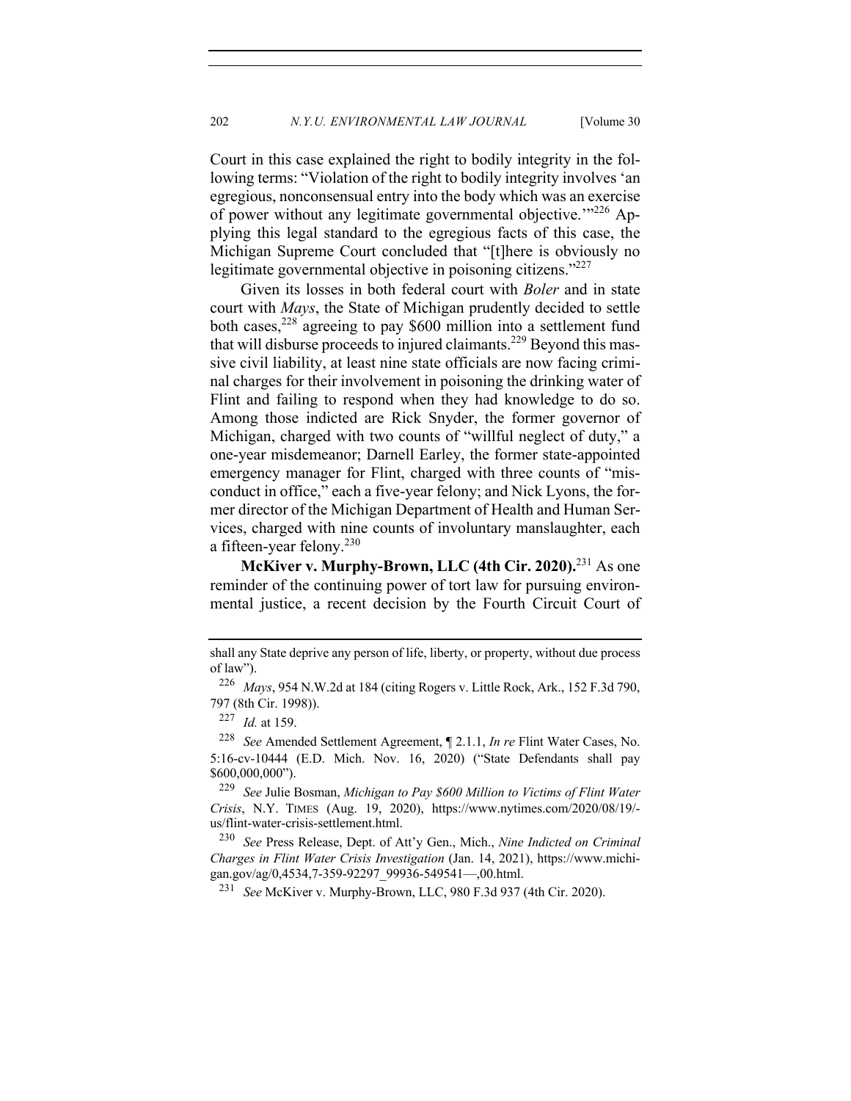Court in this case explained the right to bodily integrity in the following terms: "Violation of the right to bodily integrity involves 'an egregious, nonconsensual entry into the body which was an exercise of power without any legitimate governmental objective."<sup>226</sup> Applying this legal standard to the egregious facts of this case, the Michigan Supreme Court concluded that "[t]here is obviously no legitimate governmental objective in poisoning citizens."<sup>227</sup>

Given its losses in both federal court with *Boler* and in state court with *Mays*, the State of Michigan prudently decided to settle both cases,  $228$  agreeing to pay \$600 million into a settlement fund that will disburse proceeds to injured claimants.<sup>229</sup> Beyond this massive civil liability, at least nine state officials are now facing criminal charges for their involvement in poisoning the drinking water of Flint and failing to respond when they had knowledge to do so. Among those indicted are Rick Snyder, the former governor of Michigan, charged with two counts of "willful neglect of duty," a one-year misdemeanor; Darnell Earley, the former state-appointed emergency manager for Flint, charged with three counts of "misconduct in office," each a five-year felony; and Nick Lyons, the former director of the Michigan Department of Health and Human Services, charged with nine counts of involuntary manslaughter, each a fifteen-year felony. $230$ 

**McKiver v. Murphy-Brown, LLC (4th Cir. 2020).**<sup>231</sup> As one reminder of the continuing power of tort law for pursuing environmental justice, a recent decision by the Fourth Circuit Court of

<sup>228</sup> *See* Amended Settlement Agreement, ¶ 2.1.1, *In re* Flint Water Cases, No. 5:16-cv-10444 (E.D. Mich. Nov. 16, 2020) ("State Defendants shall pay \$600,000,000").

<sup>229</sup> *See* Julie Bosman, *Michigan to Pay \$600 Million to Victims of Flint Water Crisis*, N.Y. TIMES (Aug. 19, 2020), https://www.nytimes.com/2020/08/19/ us/flint-water-crisis-settlement.html.

<sup>230</sup> *See* Press Release, Dept. of Att'y Gen., Mich., *Nine Indicted on Criminal Charges in Flint Water Crisis Investigation* (Jan. 14, 2021), https://www.michigan.gov/ag/0,4534,7-359-92297\_99936-549541—,00.html.

<sup>231</sup> *See* McKiver v. Murphy-Brown, LLC, 980 F.3d 937 (4th Cir. 2020).

shall any State deprive any person of life, liberty, or property, without due process of law").

<sup>226</sup> *Mays*, 954 N.W.2d at 184 (citing Rogers v. Little Rock, Ark., 152 F.3d 790, 797 (8th Cir. 1998)).

<sup>227</sup> *Id.* at 159.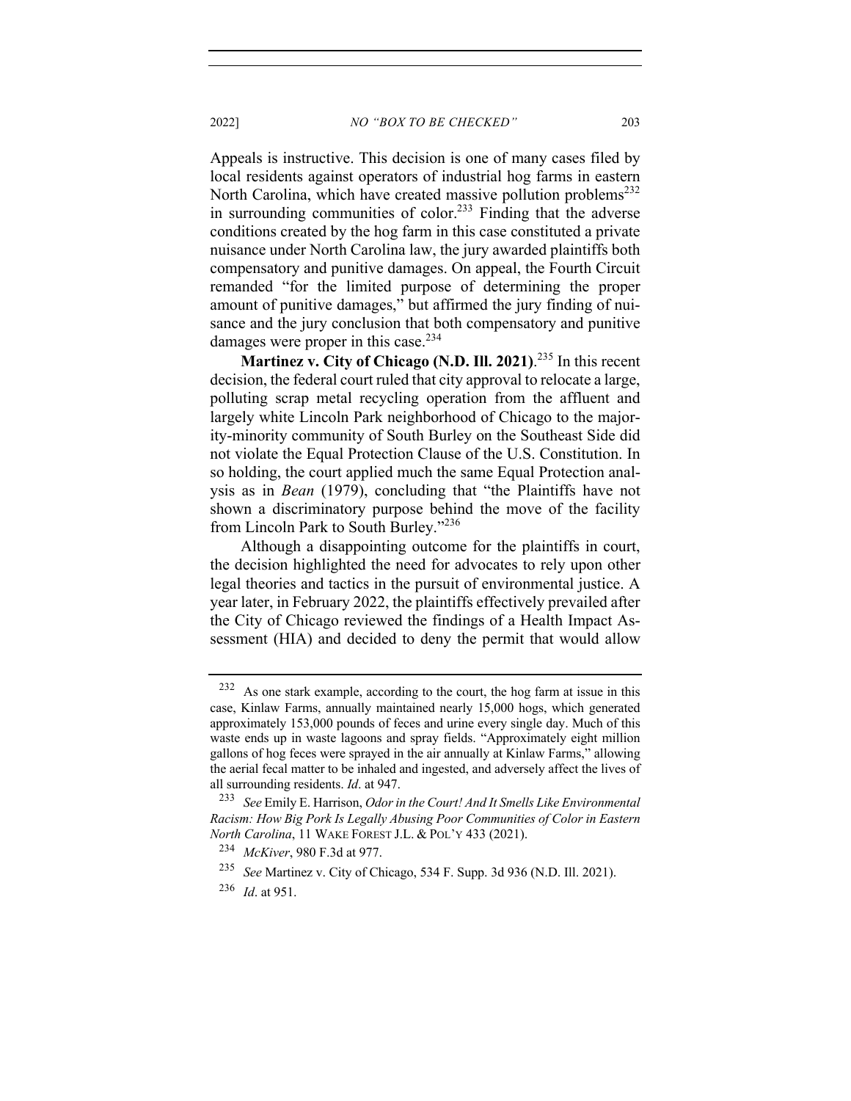2022] *NO "BOX TO BE CHECKED"* 203

Appeals is instructive. This decision is one of many cases filed by local residents against operators of industrial hog farms in eastern North Carolina, which have created massive pollution problems<sup>232</sup> in surrounding communities of color.<sup>233</sup> Finding that the adverse conditions created by the hog farm in this case constituted a private nuisance under North Carolina law, the jury awarded plaintiffs both compensatory and punitive damages. On appeal, the Fourth Circuit remanded "for the limited purpose of determining the proper amount of punitive damages," but affirmed the jury finding of nuisance and the jury conclusion that both compensatory and punitive

Martinez v. City of Chicago (N.D. Ill. 2021).<sup>235</sup> In this recent decision, the federal court ruled that city approval to relocate a large, polluting scrap metal recycling operation from the affluent and largely white Lincoln Park neighborhood of Chicago to the majority-minority community of South Burley on the Southeast Side did not violate the Equal Protection Clause of the U.S. Constitution. In so holding, the court applied much the same Equal Protection analysis as in *Bean* (1979), concluding that "the Plaintiffs have not shown a discriminatory purpose behind the move of the facility from Lincoln Park to South Burley."<sup>236</sup>

damages were proper in this case. $234$ 

Although a disappointing outcome for the plaintiffs in court, the decision highlighted the need for advocates to rely upon other legal theories and tactics in the pursuit of environmental justice. A year later, in February 2022, the plaintiffs effectively prevailed after the City of Chicago reviewed the findings of a Health Impact Assessment (HIA) and decided to deny the permit that would allow

<sup>232</sup> As one stark example, according to the court, the hog farm at issue in this case, Kinlaw Farms, annually maintained nearly 15,000 hogs, which generated approximately 153,000 pounds of feces and urine every single day. Much of this waste ends up in waste lagoons and spray fields. "Approximately eight million gallons of hog feces were sprayed in the air annually at Kinlaw Farms," allowing the aerial fecal matter to be inhaled and ingested, and adversely affect the lives of all surrounding residents. *Id*. at 947.

<sup>233</sup> *See* Emily E. Harrison, *Odor in the Court! And It Smells Like Environmental Racism: How Big Pork Is Legally Abusing Poor Communities of Color in Eastern North Carolina*, 11 WAKE FOREST J.L. & POL'Y 433 (2021).

<sup>234</sup> *McKiver*, 980 F.3d at 977.

<sup>235</sup> *See* Martinez v. City of Chicago, 534 F. Supp. 3d 936 (N.D. Ill. 2021).

<sup>236</sup> *Id*. at 951.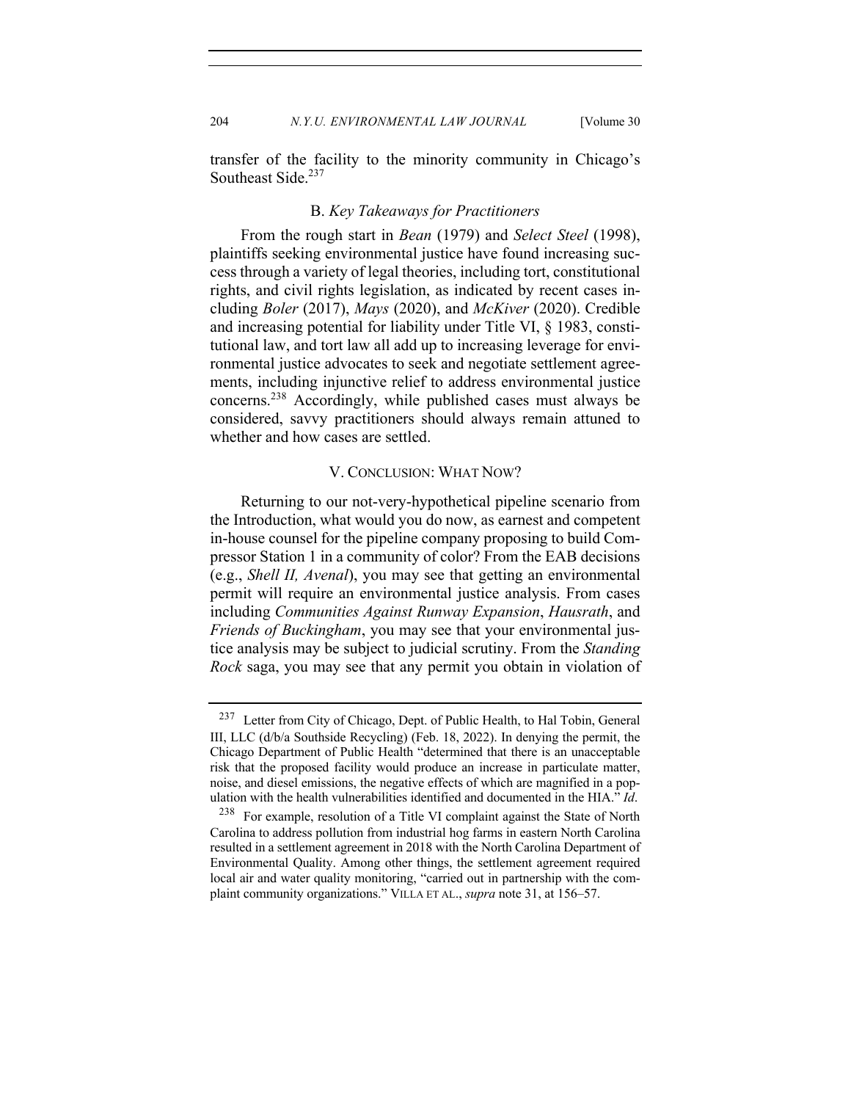204 *N.Y.U. ENVIRONMENTAL LAW JOURNAL* [Volume 30]

transfer of the facility to the minority community in Chicago's Southeast Side.<sup>237</sup>

#### B. *Key Takeaways for Practitioners*

From the rough start in *Bean* (1979) and *Select Steel* (1998), plaintiffs seeking environmental justice have found increasing success through a variety of legal theories, including tort, constitutional rights, and civil rights legislation, as indicated by recent cases including *Boler* (2017), *Mays* (2020), and *McKiver* (2020). Credible and increasing potential for liability under Title VI, § 1983, constitutional law, and tort law all add up to increasing leverage for environmental justice advocates to seek and negotiate settlement agreements, including injunctive relief to address environmental justice concerns.238 Accordingly, while published cases must always be considered, savvy practitioners should always remain attuned to whether and how cases are settled.

#### V. CONCLUSION: WHAT NOW?

Returning to our not-very-hypothetical pipeline scenario from the Introduction, what would you do now, as earnest and competent in-house counsel for the pipeline company proposing to build Compressor Station 1 in a community of color? From the EAB decisions (e.g., *Shell II, Avenal*), you may see that getting an environmental permit will require an environmental justice analysis. From cases including *Communities Against Runway Expansion*, *Hausrath*, and *Friends of Buckingham*, you may see that your environmental justice analysis may be subject to judicial scrutiny. From the *Standing Rock* saga, you may see that any permit you obtain in violation of

<sup>237</sup> Letter from City of Chicago, Dept. of Public Health, to Hal Tobin, General III, LLC (d/b/a Southside Recycling) (Feb. 18, 2022). In denying the permit, the Chicago Department of Public Health "determined that there is an unacceptable risk that the proposed facility would produce an increase in particulate matter, noise, and diesel emissions, the negative effects of which are magnified in a population with the health vulnerabilities identified and documented in the HIA." *Id*.

<sup>238</sup> For example, resolution of a Title VI complaint against the State of North Carolina to address pollution from industrial hog farms in eastern North Carolina resulted in a settlement agreement in 2018 with the North Carolina Department of Environmental Quality. Among other things, the settlement agreement required local air and water quality monitoring, "carried out in partnership with the complaint community organizations." VILLA ET AL., *supra* note 31, at 156–57.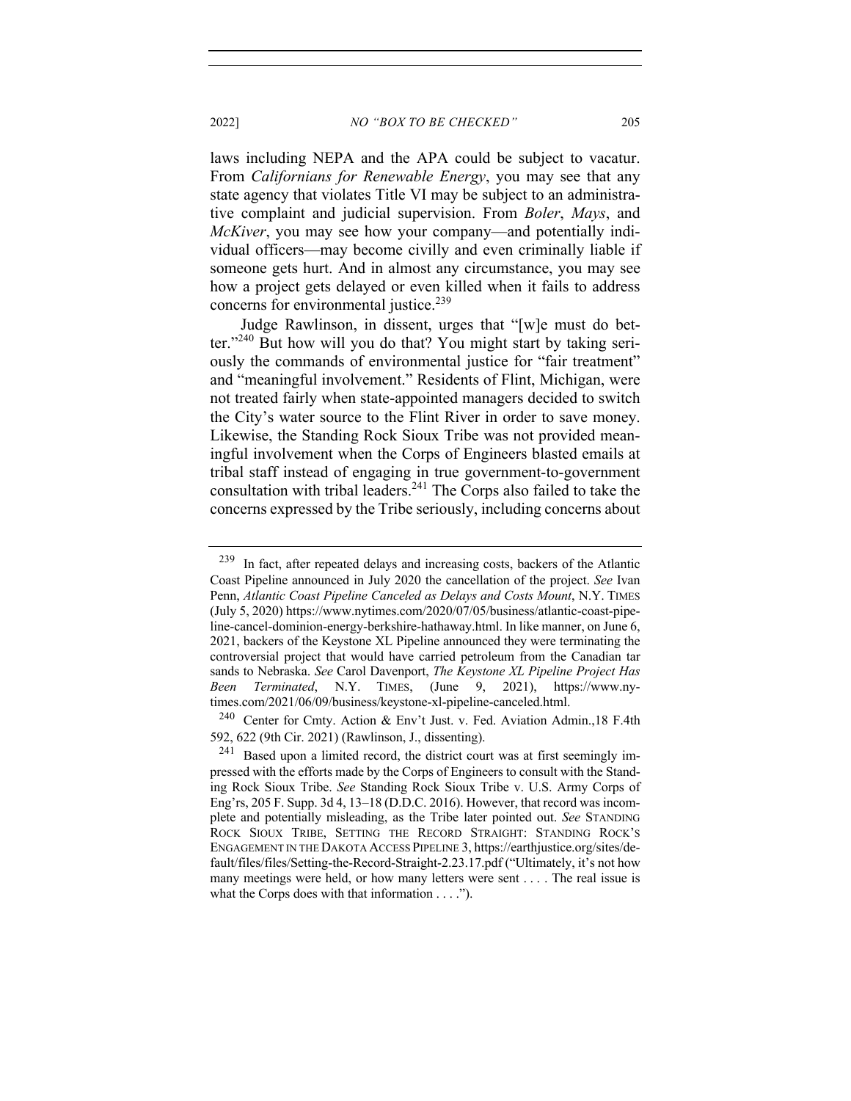laws including NEPA and the APA could be subject to vacatur. From *Californians for Renewable Energy*, you may see that any state agency that violates Title VI may be subject to an administrative complaint and judicial supervision. From *Boler*, *Mays*, and *McKiver*, you may see how your company—and potentially individual officers—may become civilly and even criminally liable if someone gets hurt. And in almost any circumstance, you may see how a project gets delayed or even killed when it fails to address concerns for environmental justice.<sup>239</sup>

Judge Rawlinson, in dissent, urges that "[w]e must do better."<sup>240</sup> But how will you do that? You might start by taking seriously the commands of environmental justice for "fair treatment" and "meaningful involvement." Residents of Flint, Michigan, were not treated fairly when state-appointed managers decided to switch the City's water source to the Flint River in order to save money. Likewise, the Standing Rock Sioux Tribe was not provided meaningful involvement when the Corps of Engineers blasted emails at tribal staff instead of engaging in true government-to-government consultation with tribal leaders.<sup>241</sup> The Corps also failed to take the concerns expressed by the Tribe seriously, including concerns about

<sup>239</sup> In fact, after repeated delays and increasing costs, backers of the Atlantic Coast Pipeline announced in July 2020 the cancellation of the project. *See* Ivan Penn, *Atlantic Coast Pipeline Canceled as Delays and Costs Mount*, N.Y. TIMES (July 5, 2020) https://www.nytimes.com/2020/07/05/business/atlantic-coast-pipeline-cancel-dominion-energy-berkshire-hathaway.html. In like manner, on June 6, 2021, backers of the Keystone XL Pipeline announced they were terminating the controversial project that would have carried petroleum from the Canadian tar sands to Nebraska. *See* Carol Davenport, *The Keystone XL Pipeline Project Has Been Terminated*, N.Y. TIMES, (June 9, 2021), https://www.nytimes.com/2021/06/09/business/keystone-xl-pipeline-canceled.html.

<sup>240</sup> Center for Cmty. Action & Env't Just. v. Fed. Aviation Admin.,18 F.4th 592, 622 (9th Cir. 2021) (Rawlinson, J., dissenting).

 $241$  Based upon a limited record, the district court was at first seemingly impressed with the efforts made by the Corps of Engineers to consult with the Standing Rock Sioux Tribe. *See* Standing Rock Sioux Tribe v. U.S. Army Corps of Eng'rs, 205 F. Supp. 3d 4, 13–18 (D.D.C. 2016). However, that record was incomplete and potentially misleading, as the Tribe later pointed out. *See* STANDING ROCK SIOUX TRIBE, SETTING THE RECORD STRAIGHT: STANDING ROCK'S ENGAGEMENT IN THE DAKOTA ACCESS PIPELINE 3, https://earthjustice.org/sites/default/files/files/Setting-the-Record-Straight-2.23.17.pdf ("Ultimately, it's not how many meetings were held, or how many letters were sent . . . . The real issue is what the Corps does with that information . . . .").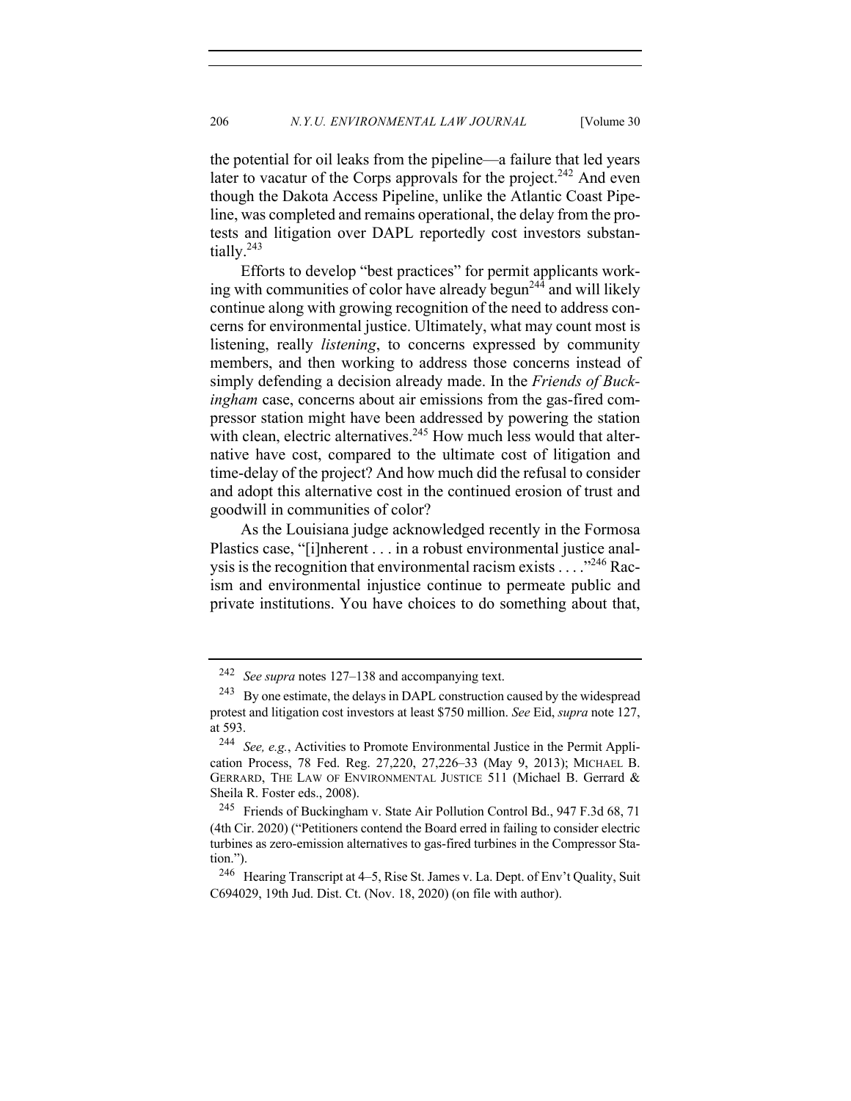the potential for oil leaks from the pipeline—a failure that led years later to vacatur of the Corps approvals for the project.<sup>242</sup> And even though the Dakota Access Pipeline, unlike the Atlantic Coast Pipeline, was completed and remains operational, the delay from the protests and litigation over DAPL reportedly cost investors substantially.<sup>243</sup>

Efforts to develop "best practices" for permit applicants working with communities of color have already begun<sup>244</sup> and will likely continue along with growing recognition of the need to address concerns for environmental justice. Ultimately, what may count most is listening, really *listening*, to concerns expressed by community members, and then working to address those concerns instead of simply defending a decision already made. In the *Friends of Buckingham* case, concerns about air emissions from the gas-fired compressor station might have been addressed by powering the station with clean, electric alternatives.<sup>245</sup> How much less would that alternative have cost, compared to the ultimate cost of litigation and time-delay of the project? And how much did the refusal to consider and adopt this alternative cost in the continued erosion of trust and goodwill in communities of color?

As the Louisiana judge acknowledged recently in the Formosa Plastics case, "[i]nherent . . . in a robust environmental justice analysis is the recognition that environmental racism exists  $\dots$ ."<sup>246</sup> Racism and environmental injustice continue to permeate public and private institutions. You have choices to do something about that,

<sup>242</sup> *See supra* notes 127–138 and accompanying text.

 $243$  By one estimate, the delays in DAPL construction caused by the widespread protest and litigation cost investors at least \$750 million. *See* Eid, *supra* note 127, at 593.

<sup>244</sup> *See, e.g.*, Activities to Promote Environmental Justice in the Permit Application Process, 78 Fed. Reg. 27,220, 27,226–33 (May 9, 2013); MICHAEL B. GERRARD, THE LAW OF ENVIRONMENTAL JUSTICE 511 (Michael B. Gerrard & Sheila R. Foster eds., 2008).

<sup>245</sup> Friends of Buckingham v. State Air Pollution Control Bd., 947 F.3d 68, 71 (4th Cir. 2020) ("Petitioners contend the Board erred in failing to consider electric turbines as zero-emission alternatives to gas-fired turbines in the Compressor Station.").

<sup>246</sup> Hearing Transcript at 4–5, Rise St. James v. La. Dept. of Env't Quality, Suit C694029, 19th Jud. Dist. Ct. (Nov. 18, 2020) (on file with author).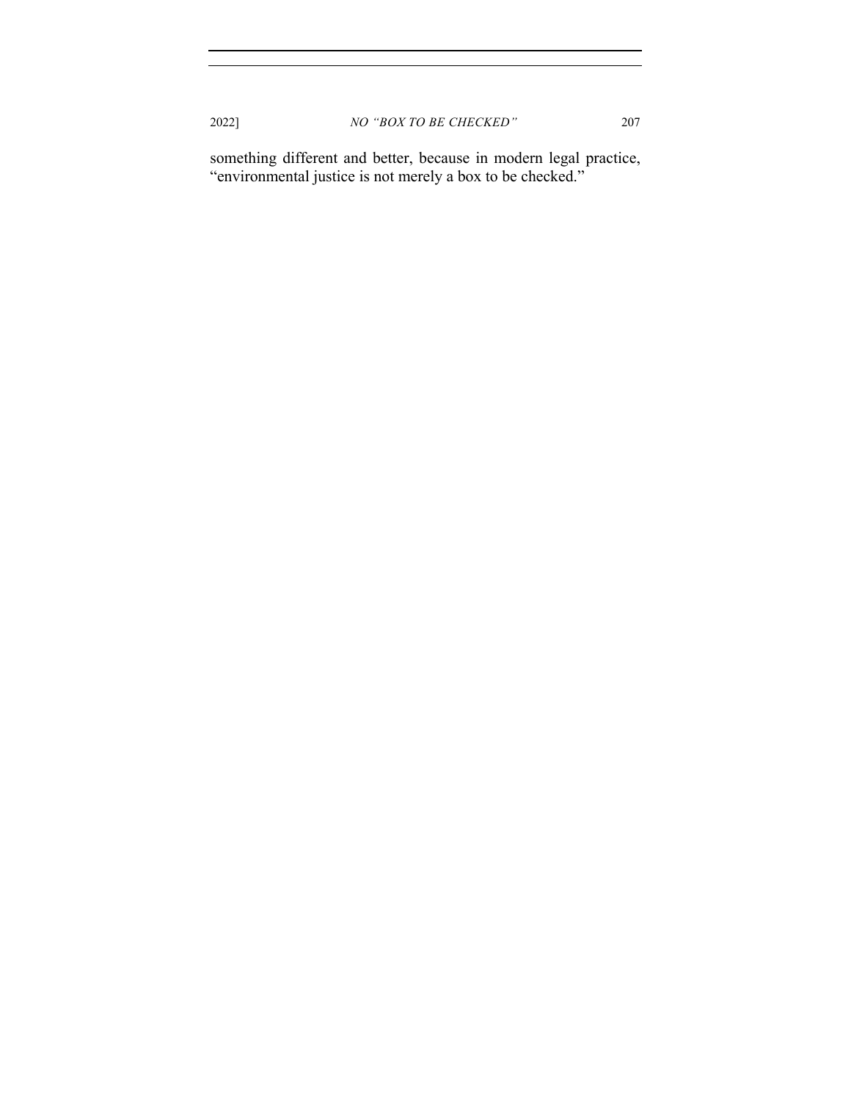something different and better, because in modern legal practice, "environmental justice is not merely a box to be checked."